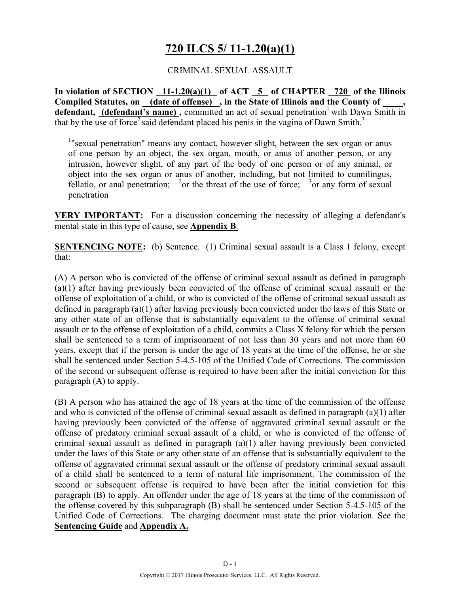# **720 ILCS 5/ 11-1.20(a)(1)**

### CRIMINAL SEXUAL ASSAULT

**In violation of SECTION 11-1.20(a)(1) of ACT 5 of CHAPTER 720 of the Illinois**  Compiled Statutes, on <u>(date of offense)</u>, in the State of Illinois and the County of **defendant, (defendant's name), committed an act of sexual penetration<sup>1</sup> with Dawn Smith in** that by the use of force<sup>2</sup> said defendant placed his penis in the vagina of Dawn Smith.<sup>3</sup>

<sup>1</sup>" sexual penetration" means any contact, however slight, between the sex organ or anus of one person by an object, the sex organ, mouth, or anus of another person, or any intrusion, however slight, of any part of the body of one person or of any animal, or object into the sex organ or anus of another, including, but not limited to cunnilingus, fellatio, or anal penetration; <sup>2</sup> or the threat of the use of force; <sup>3</sup> or any form of sexual penetration

**VERY IMPORTANT:** For a discussion concerning the necessity of alleging a defendant's mental state in this type of cause, see **Appendix B**.

**SENTENCING NOTE:** (b) Sentence. (1) Criminal sexual assault is a Class 1 felony, except that:

(A) A person who is convicted of the offense of criminal sexual assault as defined in paragraph (a)(1) after having previously been convicted of the offense of criminal sexual assault or the offense of exploitation of a child, or who is convicted of the offense of criminal sexual assault as defined in paragraph (a)(1) after having previously been convicted under the laws of this State or any other state of an offense that is substantially equivalent to the offense of criminal sexual assault or to the offense of exploitation of a child, commits a Class X felony for which the person shall be sentenced to a term of imprisonment of not less than 30 years and not more than 60 years, except that if the person is under the age of 18 years at the time of the offense, he or she shall be sentenced under Section 5-4.5-105 of the Unified Code of Corrections. The commission of the second or subsequent offense is required to have been after the initial conviction for this paragraph (A) to apply.

(B) A person who has attained the age of 18 years at the time of the commission of the offense and who is convicted of the offense of criminal sexual assault as defined in paragraph (a)(1) after having previously been convicted of the offense of aggravated criminal sexual assault or the offense of predatory criminal sexual assault of a child, or who is convicted of the offense of criminal sexual assault as defined in paragraph (a)(1) after having previously been convicted under the laws of this State or any other state of an offense that is substantially equivalent to the offense of aggravated criminal sexual assault or the offense of predatory criminal sexual assault of a child shall be sentenced to a term of natural life imprisonment. The commission of the second or subsequent offense is required to have been after the initial conviction for this paragraph (B) to apply. An offender under the age of 18 years at the time of the commission of the offense covered by this subparagraph (B) shall be sentenced under Section 5-4.5-105 of the Unified Code of Corrections. The charging document must state the prior violation. See the **Sentencing Guide** and **Appendix A.**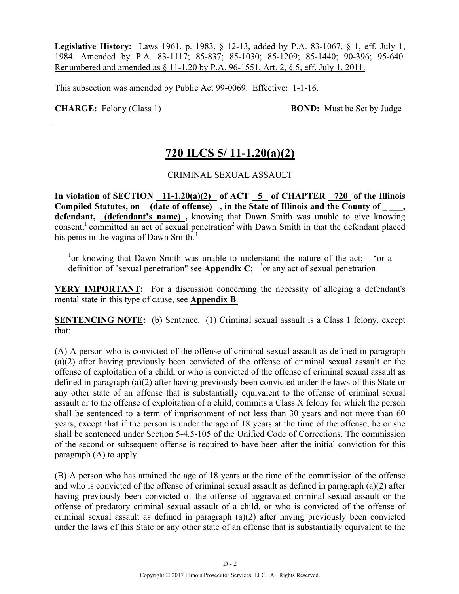**Legislative History:** Laws 1961, p. 1983, § 12-13, added by P.A. 83-1067, § 1, eff. July 1, 1984. Amended by P.A. 83-1117; 85-837; 85-1030; 85-1209; 85-1440; 90-396; 95-640. Renumbered and amended as § 11-1.20 by P.A. 96-1551, Art. 2, § 5, eff. July 1, 2011.

This subsection was amended by Public Act 99-0069. Effective: 1-1-16.

**CHARGE:** Felony (Class 1) **BOND:** Must be Set by Judge

# **720 ILCS 5/ 11-1.20(a)(2)**

### CRIMINAL SEXUAL ASSAULT

In violation of SECTION  $11-1.20(a)(2)$  of ACT  $\overline{5}$  of CHAPTER  $\overline{720}$  of the Illinois Compiled Statutes, on (date of offense), in the State of Illinois and the County of **defendant, (defendant's name) ,** knowing that Dawn Smith was unable to give knowing consent,<sup>1</sup> committed an act of sexual penetration<sup>2</sup> with Dawn Smith in that the defendant placed his penis in the vagina of Dawn Smith.<sup>3</sup>

<sup>1</sup> or knowing that Dawn Smith was unable to understand the nature of the act;  $2$  $^{2}$ or a definition of "sexual penetration" see **Appendix C**; <sup>3</sup> or any act of sexual penetration

**VERY IMPORTANT:** For a discussion concerning the necessity of alleging a defendant's mental state in this type of cause, see **Appendix B**.

**SENTENCING NOTE:** (b) Sentence. (1) Criminal sexual assault is a Class 1 felony, except that:

(A) A person who is convicted of the offense of criminal sexual assault as defined in paragraph (a)(2) after having previously been convicted of the offense of criminal sexual assault or the offense of exploitation of a child, or who is convicted of the offense of criminal sexual assault as defined in paragraph (a)(2) after having previously been convicted under the laws of this State or any other state of an offense that is substantially equivalent to the offense of criminal sexual assault or to the offense of exploitation of a child, commits a Class X felony for which the person shall be sentenced to a term of imprisonment of not less than 30 years and not more than 60 years, except that if the person is under the age of 18 years at the time of the offense, he or she shall be sentenced under Section 5-4.5-105 of the Unified Code of Corrections. The commission of the second or subsequent offense is required to have been after the initial conviction for this paragraph (A) to apply.

(B) A person who has attained the age of 18 years at the time of the commission of the offense and who is convicted of the offense of criminal sexual assault as defined in paragraph (a)(2) after having previously been convicted of the offense of aggravated criminal sexual assault or the offense of predatory criminal sexual assault of a child, or who is convicted of the offense of criminal sexual assault as defined in paragraph (a)(2) after having previously been convicted under the laws of this State or any other state of an offense that is substantially equivalent to the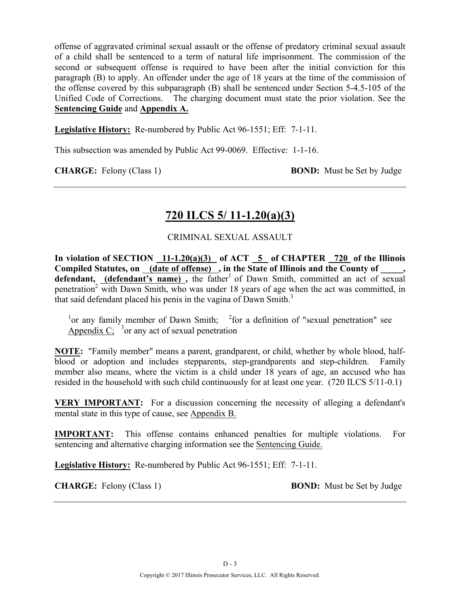offense of aggravated criminal sexual assault or the offense of predatory criminal sexual assault of a child shall be sentenced to a term of natural life imprisonment. The commission of the second or subsequent offense is required to have been after the initial conviction for this paragraph (B) to apply. An offender under the age of 18 years at the time of the commission of the offense covered by this subparagraph (B) shall be sentenced under Section 5-4.5-105 of the Unified Code of Corrections. The charging document must state the prior violation. See the **Sentencing Guide** and **Appendix A.**

**Legislative History:** Re-numbered by Public Act 96-1551; Eff: 7-1-11.

This subsection was amended by Public Act 99-0069. Effective: 1-1-16.

**CHARGE:** Felony (Class 1) **BOND:** Must be Set by Judge

## **720 ILCS 5/ 11-1.20(a)(3)**

### CRIMINAL SEXUAL ASSAULT

**In violation of SECTION 11-1.20(a)(3) of ACT 5 of CHAPTER 720 of the Illinois**  Compiled Statutes, on <u>(date of offense)</u>, in the State of Illinois and the County of \_\_\_\_\_, defendant, **(defendant's name)**, the father<sup>1</sup> of Dawn Smith, committed an act of sexual penetration<sup>2</sup> with Dawn Smith, who was under 18 years of age when the act was committed, in that said defendant placed his penis in the vagina of Dawn Smith.<sup>3</sup>

<sup>1</sup> or any family member of Dawn Smith;  $\frac{2}{100}$  a definition of "sexual penetration" see Appendix  $C_i^3$  or any act of sexual penetration

**NOTE:** "Family member" means a parent, grandparent, or child, whether by whole blood, halfblood or adoption and includes stepparents, step-grandparents and step-children. Family member also means, where the victim is a child under 18 years of age, an accused who has resided in the household with such child continuously for at least one year. (720 ILCS 5/11-0.1)

**VERY IMPORTANT:** For a discussion concerning the necessity of alleging a defendant's mental state in this type of cause, see Appendix B.

**IMPORTANT:** This offense contains enhanced penalties for multiple violations. For sentencing and alternative charging information see the Sentencing Guide.

**Legislative History:** Re-numbered by Public Act 96-1551; Eff: 7-1-11.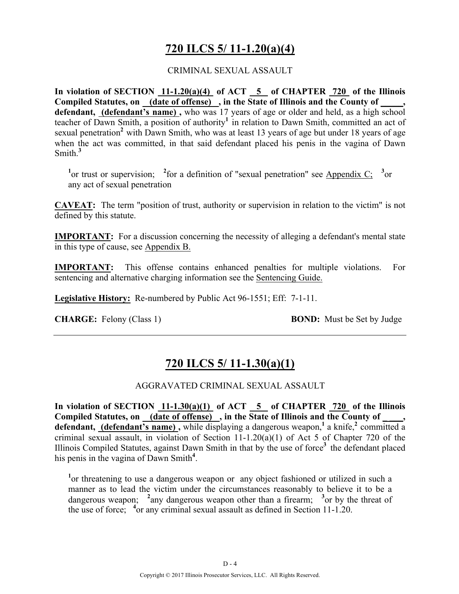# **720 ILCS 5/ 11-1.20(a)(4)**

### CRIMINAL SEXUAL ASSAULT

**In violation of SECTION 11-1.20(a)(4) of ACT 5 of CHAPTER 720 of the Illinois**  Compiled Statutes, on <u>(date of offense)</u>, in the State of Illinois and the County of  $\cdot$ , **defendant, (defendant's name) ,** who was 17 years of age or older and held, as a high school teacher of Dawn Smith, a position of authority<sup>1</sup> in relation to Dawn Smith, committed an act of sexual penetration<sup>2</sup> with Dawn Smith, who was at least 13 years of age but under 18 years of age when the act was committed, in that said defendant placed his penis in the vagina of Dawn Smith.**<sup>3</sup>**

<sup>1</sup><sup>or</sup> trust or supervision; <sup>2</sup> for a definition of "sexual penetration" see Appendix C; <sup>3</sup><sup>or</sup> any act of sexual penetration

**CAVEAT:** The term "position of trust, authority or supervision in relation to the victim" is not defined by this statute.

**IMPORTANT:** For a discussion concerning the necessity of alleging a defendant's mental state in this type of cause, see Appendix B.

**IMPORTANT:** This offense contains enhanced penalties for multiple violations. For sentencing and alternative charging information see the Sentencing Guide.

**Legislative History:** Re-numbered by Public Act 96-1551; Eff: 7-1-11.

**CHARGE:** Felony (Class 1) **BOND:** Must be Set by Judge

# **720 ILCS 5/ 11-1.30(a)(1)**

### AGGRAVATED CRIMINAL SEXUAL ASSAULT

In violation of SECTION  $11-1.30(a)(1)$  of ACT  $\overline{5}$  of CHAPTER 720 of the Illinois Compiled Statutes, on (date of offense), in the State of Illinois and the County of **defendant, (defendant's name)**, while displaying a dangerous weapon,<sup>1</sup> a knife,<sup>2</sup> committed a criminal sexual assault, in violation of Section 11-1.20(a)(1) of Act 5 of Chapter 720 of the Illinois Compiled Statutes, against Dawn Smith in that by the use of force**<sup>3</sup>**the defendant placed his penis in the vagina of Dawn Smith**<sup>4</sup>** .

<sup>1</sup> or threatening to use a dangerous weapon or any object fashioned or utilized in such a manner as to lead the victim under the circumstances reasonably to believe it to be a dangerous weapon; <sup>2</sup> any dangerous weapon other than a firearm; <sup>3</sup> or by the threat of the use of force; **<sup>4</sup>** or any criminal sexual assault as defined in Section 11-1.20.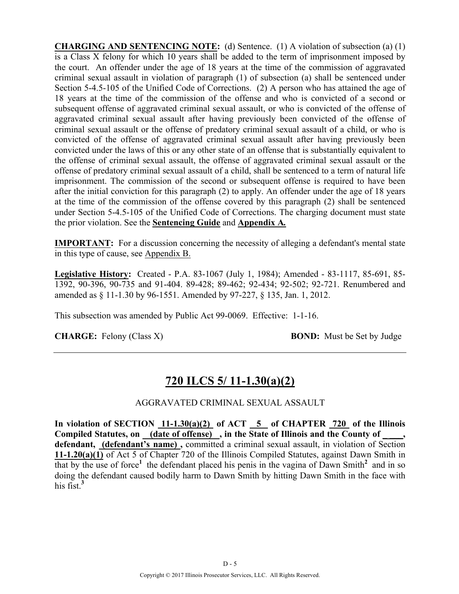**CHARGING AND SENTENCING NOTE:** (d) Sentence. (1) A violation of subsection (a) (1) is a Class  $\overline{X}$  felony for which 10 years shall be added to the term of imprisonment imposed by the court. An offender under the age of 18 years at the time of the commission of aggravated criminal sexual assault in violation of paragraph (1) of subsection (a) shall be sentenced under Section 5-4.5-105 of the Unified Code of Corrections. (2) A person who has attained the age of 18 years at the time of the commission of the offense and who is convicted of a second or subsequent offense of aggravated criminal sexual assault, or who is convicted of the offense of aggravated criminal sexual assault after having previously been convicted of the offense of criminal sexual assault or the offense of predatory criminal sexual assault of a child, or who is convicted of the offense of aggravated criminal sexual assault after having previously been convicted under the laws of this or any other state of an offense that is substantially equivalent to the offense of criminal sexual assault, the offense of aggravated criminal sexual assault or the offense of predatory criminal sexual assault of a child, shall be sentenced to a term of natural life imprisonment. The commission of the second or subsequent offense is required to have been after the initial conviction for this paragraph (2) to apply. An offender under the age of 18 years at the time of the commission of the offense covered by this paragraph (2) shall be sentenced under Section 5-4.5-105 of the Unified Code of Corrections. The charging document must state the prior violation. See the **Sentencing Guide** and **Appendix A***.*

**IMPORTANT:** For a discussion concerning the necessity of alleging a defendant's mental state in this type of cause, see Appendix B.

**Legislative History:** Created - P.A. 83-1067 (July 1, 1984); Amended - 83-1117, 85-691, 85- 1392, 90-396, 90-735 and 91-404. 89-428; 89-462; 92-434; 92-502; 92-721. Renumbered and amended as § 11-1.30 by 96-1551. Amended by 97-227, § 135, Jan. 1, 2012.

This subsection was amended by Public Act 99-0069. Effective: 1-1-16.

**CHARGE:** Felony (Class X) **BOND:** Must be Set by Judge

# **720 ILCS 5/ 11-1.30(a)(2)**

### AGGRAVATED CRIMINAL SEXUAL ASSAULT

In violation of SECTION  $11-1.30(a)(2)$  of ACT  $\overline{5}$  of CHAPTER  $\overline{720}$  of the Illinois Compiled Statutes, on (date of offense), in the State of Illinois and the County of **defendant, (defendant's name) ,** committed a criminal sexual assault, in violation of Section **11-1.20(a)(1)** of Act 5 of Chapter 720 of the Illinois Compiled Statutes, against Dawn Smith in that by the use of force<sup>1</sup> the defendant placed his penis in the vagina of Dawn Smith<sup>2</sup> and in so doing the defendant caused bodily harm to Dawn Smith by hitting Dawn Smith in the face with his fist<sup>3</sup>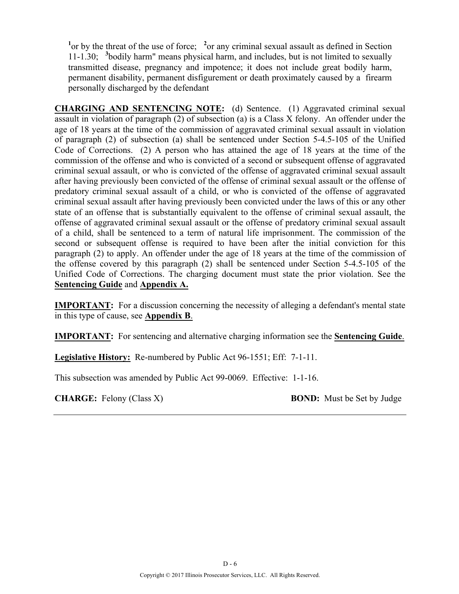<sup>1</sup> or by the threat of the use of force; <sup>2</sup> or any criminal sexual assault as defined in Section 11-1.30; **<sup>3</sup>** bodily harm" means physical harm, and includes, but is not limited to sexually transmitted disease, pregnancy and impotence; it does not include great bodily harm, permanent disability, permanent disfigurement or death proximately caused by a firearm personally discharged by the defendant

**CHARGING AND SENTENCING NOTE:** (d) Sentence. (1) Aggravated criminal sexual assault in violation of paragraph (2) of subsection (a) is a Class X felony. An offender under the age of 18 years at the time of the commission of aggravated criminal sexual assault in violation of paragraph (2) of subsection (a) shall be sentenced under Section 5-4.5-105 of the Unified Code of Corrections. (2) A person who has attained the age of 18 years at the time of the commission of the offense and who is convicted of a second or subsequent offense of aggravated criminal sexual assault, or who is convicted of the offense of aggravated criminal sexual assault after having previously been convicted of the offense of criminal sexual assault or the offense of predatory criminal sexual assault of a child, or who is convicted of the offense of aggravated criminal sexual assault after having previously been convicted under the laws of this or any other state of an offense that is substantially equivalent to the offense of criminal sexual assault, the offense of aggravated criminal sexual assault or the offense of predatory criminal sexual assault of a child, shall be sentenced to a term of natural life imprisonment. The commission of the second or subsequent offense is required to have been after the initial conviction for this paragraph (2) to apply. An offender under the age of 18 years at the time of the commission of the offense covered by this paragraph (2) shall be sentenced under Section 5-4.5-105 of the Unified Code of Corrections. The charging document must state the prior violation. See the **Sentencing Guide** and **Appendix A.**

**IMPORTANT:** For a discussion concerning the necessity of alleging a defendant's mental state in this type of cause, see **Appendix B**.

**IMPORTANT:** For sentencing and alternative charging information see the **Sentencing Guide**.

**Legislative History:** Re-numbered by Public Act 96-1551; Eff: 7-1-11.

This subsection was amended by Public Act 99-0069. Effective: 1-1-16.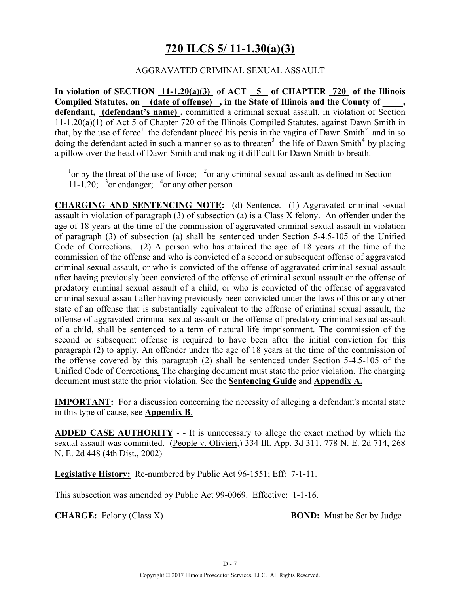# **720 ILCS 5/ 11-1.30(a)(3)**

### AGGRAVATED CRIMINAL SEXUAL ASSAULT

**In violation of SECTION 11-1.20(a)(3) of ACT 5 of CHAPTER 720 of the Illinois**  Compiled Statutes, on (date of offense), in the State of Illinois and the County of **defendant, (defendant's name) ,** committed a criminal sexual assault, in violation of Section 11-1.20(a)(1) of Act 5 of Chapter 720 of the Illinois Compiled Statutes, against Dawn Smith in that, by the use of force<sup>1</sup> the defendant placed his penis in the vagina of Dawn Smith<sup>2</sup> and in so doing the defendant acted in such a manner so as to threaten<sup>3</sup> the life of Dawn Smith<sup>4</sup> by placing a pillow over the head of Dawn Smith and making it difficult for Dawn Smith to breath.

<sup>1</sup> or by the threat of the use of force; <sup>2</sup> or any criminal sexual assault as defined in Section 11-1.20;  $3$  or endanger;  $4$  or any other person

**CHARGING AND SENTENCING NOTE:** (d) Sentence. (1) Aggravated criminal sexual assault in violation of paragraph (3) of subsection (a) is a Class X felony. An offender under the age of 18 years at the time of the commission of aggravated criminal sexual assault in violation of paragraph (3) of subsection (a) shall be sentenced under Section 5-4.5-105 of the Unified Code of Corrections. (2) A person who has attained the age of 18 years at the time of the commission of the offense and who is convicted of a second or subsequent offense of aggravated criminal sexual assault, or who is convicted of the offense of aggravated criminal sexual assault after having previously been convicted of the offense of criminal sexual assault or the offense of predatory criminal sexual assault of a child, or who is convicted of the offense of aggravated criminal sexual assault after having previously been convicted under the laws of this or any other state of an offense that is substantially equivalent to the offense of criminal sexual assault, the offense of aggravated criminal sexual assault or the offense of predatory criminal sexual assault of a child, shall be sentenced to a term of natural life imprisonment. The commission of the second or subsequent offense is required to have been after the initial conviction for this paragraph (2) to apply. An offender under the age of 18 years at the time of the commission of the offense covered by this paragraph (2) shall be sentenced under Section 5-4.5-105 of the Unified Code of Corrections*.* The charging document must state the prior violation. The charging document must state the prior violation. See the **Sentencing Guide** and **Appendix A.**

**IMPORTANT:** For a discussion concerning the necessity of alleging a defendant's mental state in this type of cause, see **Appendix B**.

**ADDED CASE AUTHORITY** - - It is unnecessary to allege the exact method by which the sexual assault was committed. (People v. Olivieri,) 334 Ill. App. 3d 311, 778 N. E. 2d 714, 268 N. E. 2d 448 (4th Dist., 2002)

**Legislative History:** Re-numbered by Public Act 96-1551; Eff: 7-1-11.

This subsection was amended by Public Act 99-0069. Effective: 1-1-16.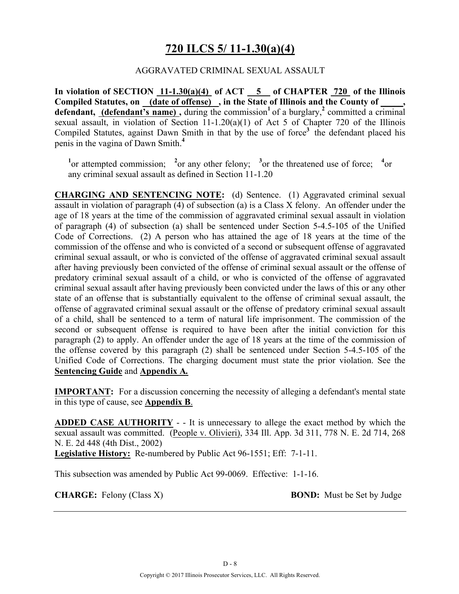## **720 ILCS 5/ 11-1.30(a)(4)**

### AGGRAVATED CRIMINAL SEXUAL ASSAULT

**In violation of SECTION 11-1.30(a)(4) of ACT 5 of CHAPTER 720 of the Illinois**  Compiled Statutes, on (date of offense), in the State of Illinois and the County of **defendant, (defendant's name),** during the commission<sup>1</sup> of a burglary,<sup>2</sup> committed a criminal sexual assault, in violation of Section 11-1.20(a)(1) of Act 5 of Chapter 720 of the Illinois Compiled Statutes, against Dawn Smith in that by the use of force<sup>3</sup> the defendant placed his penis in the vagina of Dawn Smith.**<sup>4</sup>**

<sup>1</sup><sup>or</sup> attempted commission; <sup>2</sup><sup>or</sup> any other felony; <sup>3</sup><sup>or</sup> the threatened use of force; <sup>4</sup><sup>or</sup> any criminal sexual assault as defined in Section 11-1.20

**CHARGING AND SENTENCING NOTE:** (d) Sentence. (1) Aggravated criminal sexual assault in violation of paragraph (4) of subsection (a) is a Class X felony. An offender under the age of 18 years at the time of the commission of aggravated criminal sexual assault in violation of paragraph (4) of subsection (a) shall be sentenced under Section 5-4.5-105 of the Unified Code of Corrections. (2) A person who has attained the age of 18 years at the time of the commission of the offense and who is convicted of a second or subsequent offense of aggravated criminal sexual assault, or who is convicted of the offense of aggravated criminal sexual assault after having previously been convicted of the offense of criminal sexual assault or the offense of predatory criminal sexual assault of a child, or who is convicted of the offense of aggravated criminal sexual assault after having previously been convicted under the laws of this or any other state of an offense that is substantially equivalent to the offense of criminal sexual assault, the offense of aggravated criminal sexual assault or the offense of predatory criminal sexual assault of a child, shall be sentenced to a term of natural life imprisonment. The commission of the second or subsequent offense is required to have been after the initial conviction for this paragraph (2) to apply. An offender under the age of 18 years at the time of the commission of the offense covered by this paragraph (2) shall be sentenced under Section 5-4.5-105 of the Unified Code of Corrections. The charging document must state the prior violation. See the **Sentencing Guide** and **Appendix A***.*

**IMPORTANT:** For a discussion concerning the necessity of alleging a defendant's mental state in this type of cause, see **Appendix B**.

**ADDED CASE AUTHORITY** - - It is unnecessary to allege the exact method by which the sexual assault was committed. (People v. Olivieri), 334 Ill. App. 3d 311, 778 N. E. 2d 714, 268 N. E. 2d 448 (4th Dist., 2002)

**Legislative History:** Re-numbered by Public Act 96-1551; Eff: 7-1-11.

This subsection was amended by Public Act 99-0069. Effective: 1-1-16.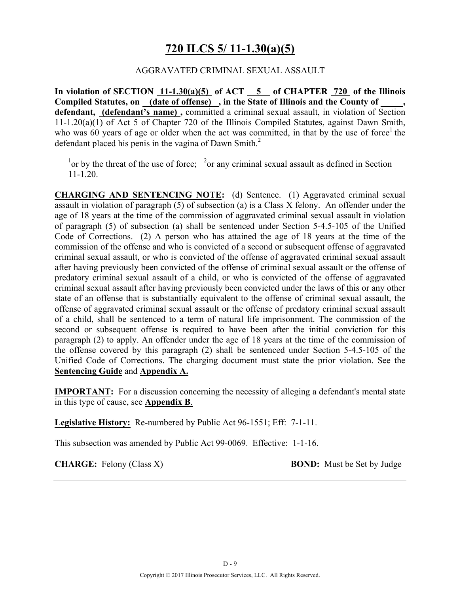## **720 ILCS 5/ 11-1.30(a)(5)**

### AGGRAVATED CRIMINAL SEXUAL ASSAULT

**In violation of SECTION 11-1.30(a)(5) of ACT 5 of CHAPTER 720 of the Illinois**  Compiled Statutes, on (date of offense), in the State of Illinois and the County of **defendant, (defendant's name) ,** committed a criminal sexual assault, in violation of Section 11-1.20(a)(1) of Act 5 of Chapter 720 of the Illinois Compiled Statutes, against Dawn Smith, who was 60 years of age or older when the act was committed, in that by the use of force the defendant placed his penis in the vagina of Dawn Smith. $2^2$ 

<sup>1</sup> or by the threat of the use of force; <sup>2</sup> or any criminal sexual assault as defined in Section 11-1.20.

**CHARGING AND SENTENCING NOTE:** (d) Sentence. (1) Aggravated criminal sexual assault in violation of paragraph (5) of subsection (a) is a Class X felony. An offender under the age of 18 years at the time of the commission of aggravated criminal sexual assault in violation of paragraph (5) of subsection (a) shall be sentenced under Section 5-4.5-105 of the Unified Code of Corrections. (2) A person who has attained the age of 18 years at the time of the commission of the offense and who is convicted of a second or subsequent offense of aggravated criminal sexual assault, or who is convicted of the offense of aggravated criminal sexual assault after having previously been convicted of the offense of criminal sexual assault or the offense of predatory criminal sexual assault of a child, or who is convicted of the offense of aggravated criminal sexual assault after having previously been convicted under the laws of this or any other state of an offense that is substantially equivalent to the offense of criminal sexual assault, the offense of aggravated criminal sexual assault or the offense of predatory criminal sexual assault of a child, shall be sentenced to a term of natural life imprisonment. The commission of the second or subsequent offense is required to have been after the initial conviction for this paragraph (2) to apply. An offender under the age of 18 years at the time of the commission of the offense covered by this paragraph (2) shall be sentenced under Section 5-4.5-105 of the Unified Code of Corrections. The charging document must state the prior violation. See the **Sentencing Guide** and **Appendix A.**

**IMPORTANT:** For a discussion concerning the necessity of alleging a defendant's mental state in this type of cause, see **Appendix B**.

**Legislative History:** Re-numbered by Public Act 96-1551; Eff: 7-1-11.

This subsection was amended by Public Act 99-0069. Effective: 1-1-16.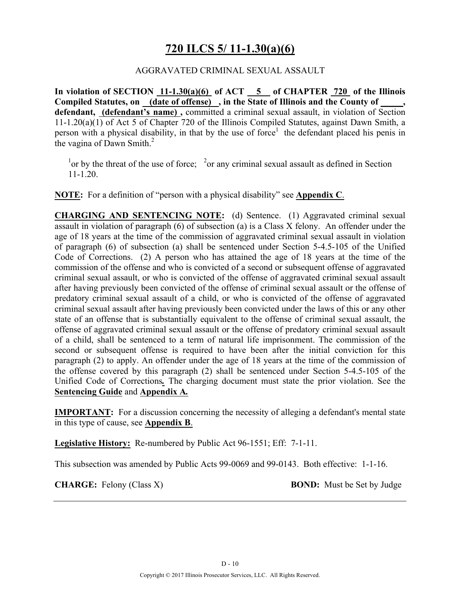## **720 ILCS 5/ 11-1.30(a)(6)**

### AGGRAVATED CRIMINAL SEXUAL ASSAULT

**In violation of SECTION 11-1.30(a)(6) of ACT 5 of CHAPTER 720 of the Illinois**  Compiled Statutes, on (date of offense), in the State of Illinois and the County of **defendant, (defendant's name) ,** committed a criminal sexual assault, in violation of Section 11-1.20(a)(1) of Act 5 of Chapter 720 of the Illinois Compiled Statutes, against Dawn Smith, a person with a physical disability, in that by the use of force<sup>1</sup> the defendant placed his penis in the vagina of Dawn Smith. $^{2}$ 

<sup>1</sup> or by the threat of the use of force; <sup>2</sup> or any criminal sexual assault as defined in Section 11-1.20.

**NOTE:** For a definition of "person with a physical disability" see **Appendix C**.

**CHARGING AND SENTENCING NOTE:** (d) Sentence. (1) Aggravated criminal sexual assault in violation of paragraph (6) of subsection (a) is a Class X felony. An offender under the age of 18 years at the time of the commission of aggravated criminal sexual assault in violation of paragraph (6) of subsection (a) shall be sentenced under Section 5-4.5-105 of the Unified Code of Corrections. (2) A person who has attained the age of 18 years at the time of the commission of the offense and who is convicted of a second or subsequent offense of aggravated criminal sexual assault, or who is convicted of the offense of aggravated criminal sexual assault after having previously been convicted of the offense of criminal sexual assault or the offense of predatory criminal sexual assault of a child, or who is convicted of the offense of aggravated criminal sexual assault after having previously been convicted under the laws of this or any other state of an offense that is substantially equivalent to the offense of criminal sexual assault, the offense of aggravated criminal sexual assault or the offense of predatory criminal sexual assault of a child, shall be sentenced to a term of natural life imprisonment. The commission of the second or subsequent offense is required to have been after the initial conviction for this paragraph (2) to apply. An offender under the age of 18 years at the time of the commission of the offense covered by this paragraph (2) shall be sentenced under Section 5-4.5-105 of the Unified Code of Corrections*.* The charging document must state the prior violation. See the **Sentencing Guide** and **Appendix A***.*

**IMPORTANT:** For a discussion concerning the necessity of alleging a defendant's mental state in this type of cause, see **Appendix B**.

**Legislative History:** Re-numbered by Public Act 96-1551; Eff: 7-1-11.

This subsection was amended by Public Acts 99-0069 and 99-0143. Both effective: 1-1-16.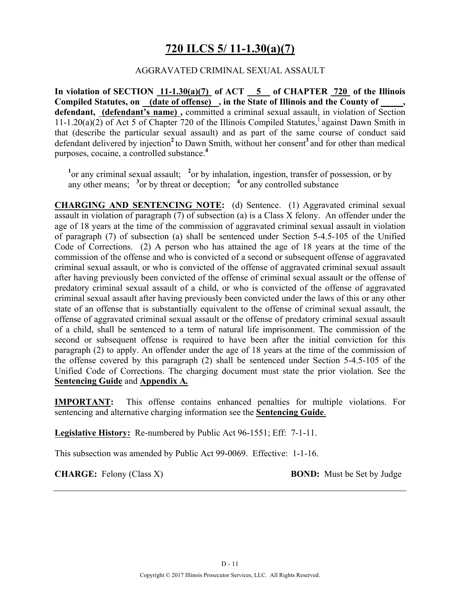## **720 ILCS 5/ 11-1.30(a)(7)**

### AGGRAVATED CRIMINAL SEXUAL ASSAULT

**In violation of SECTION 11-1.30(a)(7) of ACT 5 of CHAPTER 720 of the Illinois**  Compiled Statutes, on (date of offense), in the State of Illinois and the County of **defendant, (defendant's name) ,** committed a criminal sexual assault, in violation of Section 11-1.20(a)(2) of Act 5 of Chapter 720 of the Illinois Compiled Statutes,<sup>1</sup> against Dawn Smith in that (describe the particular sexual assault) and as part of the same course of conduct said defendant delivered by injection<sup>2</sup> to Dawn Smith, without her consent<sup>3</sup> and for other than medical purposes, cocaine, a controlled substance.**<sup>4</sup>**

<sup>1</sup> or any criminal sexual assault; <sup>2</sup> or by inhalation, ingestion, transfer of possession, or by any other means; **<sup>3</sup>** or by threat or deception; **<sup>4</sup>** or any controlled substance

**CHARGING AND SENTENCING NOTE:** (d) Sentence. (1) Aggravated criminal sexual assault in violation of paragraph (7) of subsection (a) is a Class X felony. An offender under the age of 18 years at the time of the commission of aggravated criminal sexual assault in violation of paragraph (7) of subsection (a) shall be sentenced under Section 5-4.5-105 of the Unified Code of Corrections. (2) A person who has attained the age of 18 years at the time of the commission of the offense and who is convicted of a second or subsequent offense of aggravated criminal sexual assault, or who is convicted of the offense of aggravated criminal sexual assault after having previously been convicted of the offense of criminal sexual assault or the offense of predatory criminal sexual assault of a child, or who is convicted of the offense of aggravated criminal sexual assault after having previously been convicted under the laws of this or any other state of an offense that is substantially equivalent to the offense of criminal sexual assault, the offense of aggravated criminal sexual assault or the offense of predatory criminal sexual assault of a child, shall be sentenced to a term of natural life imprisonment. The commission of the second or subsequent offense is required to have been after the initial conviction for this paragraph (2) to apply. An offender under the age of 18 years at the time of the commission of the offense covered by this paragraph (2) shall be sentenced under Section 5-4.5-105 of the Unified Code of Corrections. The charging document must state the prior violation. See the **Sentencing Guide** and **Appendix A***.*

**IMPORTANT:** This offense contains enhanced penalties for multiple violations. For sentencing and alternative charging information see the **Sentencing Guide**.

**Legislative History:** Re-numbered by Public Act 96-1551; Eff: 7-1-11.

This subsection was amended by Public Act 99-0069. Effective: 1-1-16.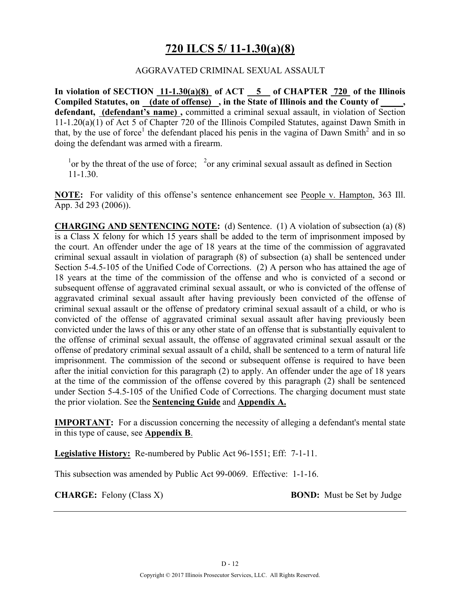## **720 ILCS 5/ 11-1.30(a)(8)**

### AGGRAVATED CRIMINAL SEXUAL ASSAULT

**In violation of SECTION 11-1.30(a)(8) of ACT 5 of CHAPTER 720 of the Illinois**  Compiled Statutes, on (date of offense), in the State of Illinois and the County of **defendant, (defendant's name) ,** committed a criminal sexual assault, in violation of Section 11-1.20(a)(1) of Act 5 of Chapter 720 of the Illinois Compiled Statutes, against Dawn Smith in that, by the use of force<sup>1</sup> the defendant placed his penis in the vagina of Dawn Smith<sup>2</sup> and in so doing the defendant was armed with a firearm.

<sup>1</sup> or by the threat of the use of force; <sup>2</sup> or any criminal sexual assault as defined in Section 11-1.30.

**NOTE:** For validity of this offense's sentence enhancement see People v. Hampton, 363 Ill. App. 3d 293 (2006)).

**CHARGING AND SENTENCING NOTE:** (d) Sentence. (1) A violation of subsection (a) (8) is a Class X felony for which 15 years shall be added to the term of imprisonment imposed by the court. An offender under the age of 18 years at the time of the commission of aggravated criminal sexual assault in violation of paragraph (8) of subsection (a) shall be sentenced under Section 5-4.5-105 of the Unified Code of Corrections. (2) A person who has attained the age of 18 years at the time of the commission of the offense and who is convicted of a second or subsequent offense of aggravated criminal sexual assault, or who is convicted of the offense of aggravated criminal sexual assault after having previously been convicted of the offense of criminal sexual assault or the offense of predatory criminal sexual assault of a child, or who is convicted of the offense of aggravated criminal sexual assault after having previously been convicted under the laws of this or any other state of an offense that is substantially equivalent to the offense of criminal sexual assault, the offense of aggravated criminal sexual assault or the offense of predatory criminal sexual assault of a child, shall be sentenced to a term of natural life imprisonment. The commission of the second or subsequent offense is required to have been after the initial conviction for this paragraph (2) to apply. An offender under the age of 18 years at the time of the commission of the offense covered by this paragraph (2) shall be sentenced under Section 5-4.5-105 of the Unified Code of Corrections. The charging document must state the prior violation. See the **Sentencing Guide** and **Appendix A.**

**IMPORTANT:** For a discussion concerning the necessity of alleging a defendant's mental state in this type of cause, see **Appendix B**.

**Legislative History:** Re-numbered by Public Act 96-1551; Eff: 7-1-11.

This subsection was amended by Public Act 99-0069. Effective: 1-1-16.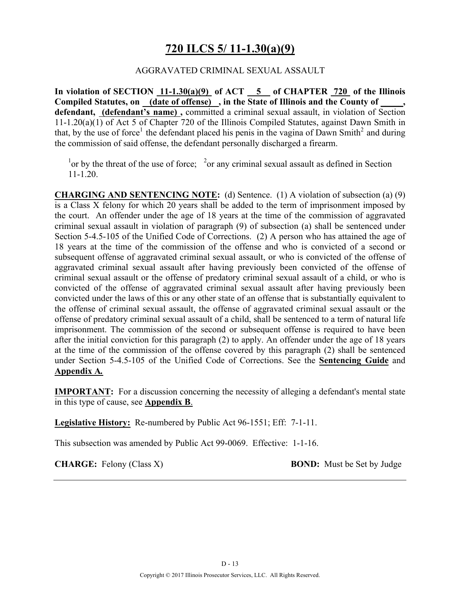## **720 ILCS 5/ 11-1.30(a)(9)**

### AGGRAVATED CRIMINAL SEXUAL ASSAULT

**In violation of SECTION 11-1.30(a)(9) of ACT 5 of CHAPTER 720 of the Illinois**  Compiled Statutes, on (date of offense), in the State of Illinois and the County of **defendant, (defendant's name) ,** committed a criminal sexual assault, in violation of Section 11-1.20(a)(1) of Act 5 of Chapter 720 of the Illinois Compiled Statutes, against Dawn Smith in that, by the use of force<sup>1</sup> the defendant placed his penis in the vagina of Dawn Smith<sup>2</sup> and during the commission of said offense, the defendant personally discharged a firearm.

<sup>1</sup> or by the threat of the use of force; <sup>2</sup> or any criminal sexual assault as defined in Section 11-1.20.

**CHARGING AND SENTENCING NOTE:** (d) Sentence. (1) A violation of subsection (a) (9) is a Class X felony for which 20 years shall be added to the term of imprisonment imposed by the court. An offender under the age of 18 years at the time of the commission of aggravated criminal sexual assault in violation of paragraph (9) of subsection (a) shall be sentenced under Section 5-4.5-105 of the Unified Code of Corrections. (2) A person who has attained the age of 18 years at the time of the commission of the offense and who is convicted of a second or subsequent offense of aggravated criminal sexual assault, or who is convicted of the offense of aggravated criminal sexual assault after having previously been convicted of the offense of criminal sexual assault or the offense of predatory criminal sexual assault of a child, or who is convicted of the offense of aggravated criminal sexual assault after having previously been convicted under the laws of this or any other state of an offense that is substantially equivalent to the offense of criminal sexual assault, the offense of aggravated criminal sexual assault or the offense of predatory criminal sexual assault of a child, shall be sentenced to a term of natural life imprisonment. The commission of the second or subsequent offense is required to have been after the initial conviction for this paragraph (2) to apply. An offender under the age of 18 years at the time of the commission of the offense covered by this paragraph (2) shall be sentenced under Section 5-4.5-105 of the Unified Code of Corrections. See the **Sentencing Guide** and **Appendix A***.*

**IMPORTANT:** For a discussion concerning the necessity of alleging a defendant's mental state in this type of cause, see **Appendix B**.

**Legislative History:** Re-numbered by Public Act 96-1551; Eff: 7-1-11.

This subsection was amended by Public Act 99-0069. Effective: 1-1-16.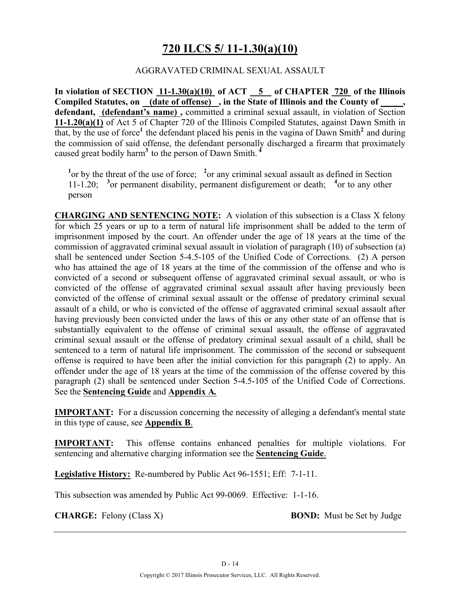# **720 ILCS 5/ 11-1.30(a)(10)**

### AGGRAVATED CRIMINAL SEXUAL ASSAULT

**In violation of SECTION 11-1.30(a)(10) of ACT 5 of CHAPTER 720 of the Illinois Compiled Statutes, on (date of offense) , in the State of Illinois and the County of \_\_\_\_\_, defendant, (defendant's name) ,** committed a criminal sexual assault, in violation of Section **11-1.20(a)(1)** of Act 5 of Chapter 720 of the Illinois Compiled Statutes, against Dawn Smith in that, by the use of force<sup>1</sup> the defendant placed his penis in the vagina of Dawn Smith<sup>2</sup> and during the commission of said offense, the defendant personally discharged a firearm that proximately caused great bodily harm**<sup>3</sup>**to the person of Dawn Smith. **<sup>4</sup>**

<sup>1</sup> or by the threat of the use of force; <sup>2</sup> or any criminal sexual assault as defined in Section 11-1.20; <sup>3</sup> or permanent disability, permanent disfigurement or death; <sup>4</sup> or to any other person

**CHARGING AND SENTENCING NOTE:** A violation of this subsection is a Class X felony for which 25 years or up to a term of natural life imprisonment shall be added to the term of imprisonment imposed by the court. An offender under the age of 18 years at the time of the commission of aggravated criminal sexual assault in violation of paragraph (10) of subsection (a) shall be sentenced under Section 5-4.5-105 of the Unified Code of Corrections. (2) A person who has attained the age of 18 years at the time of the commission of the offense and who is convicted of a second or subsequent offense of aggravated criminal sexual assault, or who is convicted of the offense of aggravated criminal sexual assault after having previously been convicted of the offense of criminal sexual assault or the offense of predatory criminal sexual assault of a child, or who is convicted of the offense of aggravated criminal sexual assault after having previously been convicted under the laws of this or any other state of an offense that is substantially equivalent to the offense of criminal sexual assault, the offense of aggravated criminal sexual assault or the offense of predatory criminal sexual assault of a child, shall be sentenced to a term of natural life imprisonment. The commission of the second or subsequent offense is required to have been after the initial conviction for this paragraph (2) to apply. An offender under the age of 18 years at the time of the commission of the offense covered by this paragraph (2) shall be sentenced under Section 5-4.5-105 of the Unified Code of Corrections. See the **Sentencing Guide** and **Appendix A***.*

**IMPORTANT:** For a discussion concerning the necessity of alleging a defendant's mental state in this type of cause, see **Appendix B**.

**IMPORTANT:** This offense contains enhanced penalties for multiple violations. For sentencing and alternative charging information see the **Sentencing Guide**.

**Legislative History:** Re-numbered by Public Act 96-1551; Eff: 7-1-11.

This subsection was amended by Public Act 99-0069. Effective: 1-1-16.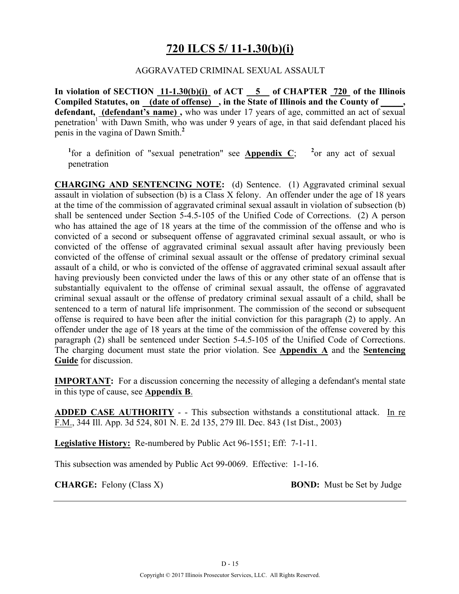## **720 ILCS 5/ 11-1.30(b)(i)**

### AGGRAVATED CRIMINAL SEXUAL ASSAULT

**In violation of SECTION 11-1.30(b)(i) of ACT 5 of CHAPTER 720 of the Illinois**  Compiled Statutes, on (date of offense), in the State of Illinois and the County of **defendant, (defendant's name) ,** who was under 17 years of age, committed an act of sexual penetration<sup>1</sup> with Dawn Smith, who was under 9 years of age, in that said defendant placed his penis in the vagina of Dawn Smith.**<sup>2</sup>**

<sup>1</sup>for a definition of "sexual penetration" see **Appendix C**; <sup>2</sup> <sup>2</sup> or any act of sexual penetration

**CHARGING AND SENTENCING NOTE:** (d) Sentence. (1) Aggravated criminal sexual assault in violation of subsection (b) is a Class X felony. An offender under the age of 18 years at the time of the commission of aggravated criminal sexual assault in violation of subsection (b) shall be sentenced under Section 5-4.5-105 of the Unified Code of Corrections. (2) A person who has attained the age of 18 years at the time of the commission of the offense and who is convicted of a second or subsequent offense of aggravated criminal sexual assault, or who is convicted of the offense of aggravated criminal sexual assault after having previously been convicted of the offense of criminal sexual assault or the offense of predatory criminal sexual assault of a child, or who is convicted of the offense of aggravated criminal sexual assault after having previously been convicted under the laws of this or any other state of an offense that is substantially equivalent to the offense of criminal sexual assault, the offense of aggravated criminal sexual assault or the offense of predatory criminal sexual assault of a child, shall be sentenced to a term of natural life imprisonment. The commission of the second or subsequent offense is required to have been after the initial conviction for this paragraph (2) to apply. An offender under the age of 18 years at the time of the commission of the offense covered by this paragraph (2) shall be sentenced under Section 5-4.5-105 of the Unified Code of Corrections. The charging document must state the prior violation. See **Appendix A** and the **Sentencing Guide** for discussion.

**IMPORTANT:** For a discussion concerning the necessity of alleging a defendant's mental state in this type of cause, see **Appendix B**.

**ADDED CASE AUTHORITY** - - This subsection withstands a constitutional attack. In re F.M., 344 Ill. App. 3d 524, 801 N. E. 2d 135, 279 Ill. Dec. 843 (1st Dist., 2003)

**Legislative History:** Re-numbered by Public Act 96-1551; Eff: 7-1-11.

This subsection was amended by Public Act 99-0069. Effective: 1-1-16.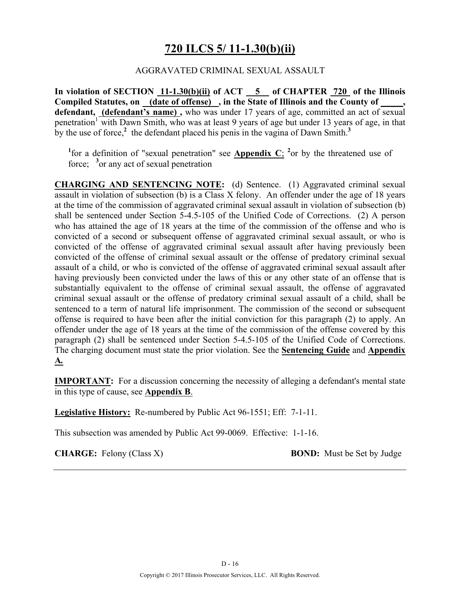## **720 ILCS 5/ 11-1.30(b)(ii)**

### AGGRAVATED CRIMINAL SEXUAL ASSAULT

**In violation of SECTION 11-1.30(b)(ii) of ACT 5 of CHAPTER 720 of the Illinois Compiled Statutes, on (date of offense) , in the State of Illinois and the County of \_\_\_\_\_, defendant, (defendant's name) ,** who was under 17 years of age, committed an act of sexual penetration<sup>1</sup> with Dawn Smith, who was at least 9 years of age but under 13 years of age, in that by the use of force,<sup> $2$ </sup> the defendant placed his penis in the vagina of Dawn Smith.<sup>3</sup>

<sup>1</sup>for a definition of "sexual penetration" see **Appendix C**; <sup>2</sup> or by the threatened use of force; <sup>3</sup> or any act of sexual penetration

**CHARGING AND SENTENCING NOTE:** (d) Sentence. (1) Aggravated criminal sexual assault in violation of subsection (b) is a Class X felony. An offender under the age of 18 years at the time of the commission of aggravated criminal sexual assault in violation of subsection (b) shall be sentenced under Section 5-4.5-105 of the Unified Code of Corrections. (2) A person who has attained the age of 18 years at the time of the commission of the offense and who is convicted of a second or subsequent offense of aggravated criminal sexual assault, or who is convicted of the offense of aggravated criminal sexual assault after having previously been convicted of the offense of criminal sexual assault or the offense of predatory criminal sexual assault of a child, or who is convicted of the offense of aggravated criminal sexual assault after having previously been convicted under the laws of this or any other state of an offense that is substantially equivalent to the offense of criminal sexual assault, the offense of aggravated criminal sexual assault or the offense of predatory criminal sexual assault of a child, shall be sentenced to a term of natural life imprisonment. The commission of the second or subsequent offense is required to have been after the initial conviction for this paragraph (2) to apply. An offender under the age of 18 years at the time of the commission of the offense covered by this paragraph (2) shall be sentenced under Section 5-4.5-105 of the Unified Code of Corrections. The charging document must state the prior violation. See the **Sentencing Guide** and **Appendix A***.*

**IMPORTANT:** For a discussion concerning the necessity of alleging a defendant's mental state in this type of cause, see **Appendix B**.

**Legislative History:** Re-numbered by Public Act 96-1551; Eff: 7-1-11.

This subsection was amended by Public Act 99-0069. Effective: 1-1-16.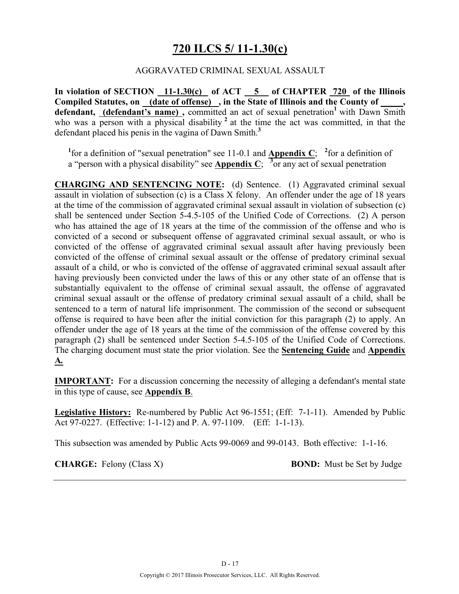## **720 ILCS 5/ 11-1.30(c)**

### AGGRAVATED CRIMINAL SEXUAL ASSAULT

**In violation of SECTION 11-1.30(c) of ACT 5 of CHAPTER 720 of the Illinois**  Compiled Statutes, on (date of offense), in the State of Illinois and the County of defendant, (defendant's name), committed an act of sexual penetration<sup>1</sup> with Dawn Smith who was a person with a physical disability<sup>2</sup> at the time the act was committed, in that the defendant placed his penis in the vagina of Dawn Smith.**<sup>3</sup>**

<sup>1</sup>for a definition of "sexual penetration" see 11-0.1 and **Appendix C**; <sup>2</sup> for a definition of a "person with a physical disability" see **Appendix C**;  $\frac{3}{2}$  or any act of sexual penetration

**CHARGING AND SENTENCING NOTE:** (d) Sentence. (1) Aggravated criminal sexual assault in violation of subsection (c) is a Class X felony. An offender under the age of 18 years at the time of the commission of aggravated criminal sexual assault in violation of subsection (c) shall be sentenced under Section 5-4.5-105 of the Unified Code of Corrections. (2) A person who has attained the age of 18 years at the time of the commission of the offense and who is convicted of a second or subsequent offense of aggravated criminal sexual assault, or who is convicted of the offense of aggravated criminal sexual assault after having previously been convicted of the offense of criminal sexual assault or the offense of predatory criminal sexual assault of a child, or who is convicted of the offense of aggravated criminal sexual assault after having previously been convicted under the laws of this or any other state of an offense that is substantially equivalent to the offense of criminal sexual assault, the offense of aggravated criminal sexual assault or the offense of predatory criminal sexual assault of a child, shall be sentenced to a term of natural life imprisonment. The commission of the second or subsequent offense is required to have been after the initial conviction for this paragraph (2) to apply. An offender under the age of 18 years at the time of the commission of the offense covered by this paragraph (2) shall be sentenced under Section 5-4.5-105 of the Unified Code of Corrections. The charging document must state the prior violation. See the **Sentencing Guide** and **Appendix A***.*

**IMPORTANT:** For a discussion concerning the necessity of alleging a defendant's mental state in this type of cause, see **Appendix B**.

**Legislative History:** Re-numbered by Public Act 96-1551; (Eff: 7-1-11). Amended by Public Act 97-0227. (Effective: 1-1-12) and P. A. 97-1109. (Eff: 1-1-13).

This subsection was amended by Public Acts 99-0069 and 99-0143. Both effective: 1-1-16.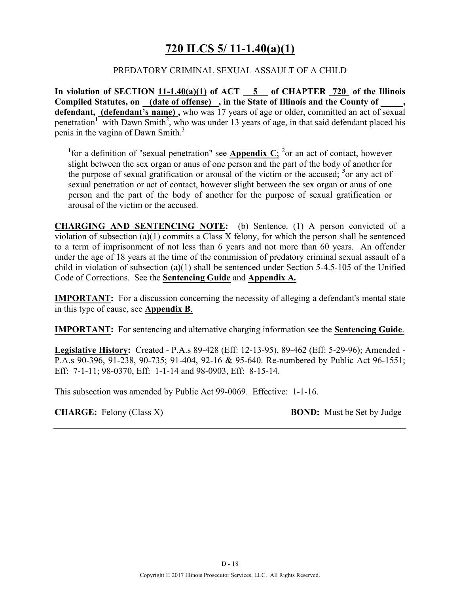# **720 ILCS 5/ 11-1.40(a)(1)**

### PREDATORY CRIMINAL SEXUAL ASSAULT OF A CHILD

**In violation of SECTION 11-1.40(a)(1) of ACT 5 of CHAPTER 720 of the Illinois Compiled Statutes, on (date of offense) , in the State of Illinois and the County of \_\_\_\_\_,**  defendant, (defendant's name), who was 17 years of age or older, committed an act of sexual penetration<sup>1</sup> with Dawn Smith<sup>2</sup>, who was under 13 years of age, in that said defendant placed his penis in the vagina of Dawn Smith.<sup>3</sup>

<sup>1</sup> for a definition of "sexual penetration" see **Appendix C**; <sup>2</sup> or an act of contact, however slight between the sex organ or anus of one person and the part of the body of another for the purpose of sexual gratification or arousal of the victim or the accused; **<sup>3</sup>** or any act of sexual penetration or act of contact, however slight between the sex organ or anus of one person and the part of the body of another for the purpose of sexual gratification or arousal of the victim or the accused.

**CHARGING AND SENTENCING NOTE:** (b) Sentence. (1) A person convicted of a violation of subsection (a)(1) commits a Class X felony, for which the person shall be sentenced to a term of imprisonment of not less than 6 years and not more than 60 years. An offender under the age of 18 years at the time of the commission of predatory criminal sexual assault of a child in violation of subsection (a)(1) shall be sentenced under Section 5-4.5-105 of the Unified Code of Corrections. See the **Sentencing Guide** and **Appendix A***.*

**IMPORTANT:** For a discussion concerning the necessity of alleging a defendant's mental state in this type of cause, see **Appendix B**.

**IMPORTANT:** For sentencing and alternative charging information see the **Sentencing Guide**.

**Legislative History:** Created - P.A.s 89-428 (Eff: 12-13-95), 89-462 (Eff: 5-29-96); Amended - P.A.s 90-396, 91-238, 90-735; 91-404, 92-16 & 95-640. Re-numbered by Public Act 96-1551; Eff: 7-1-11; 98-0370, Eff: 1-1-14 and 98-0903, Eff: 8-15-14.

This subsection was amended by Public Act 99-0069. Effective: 1-1-16.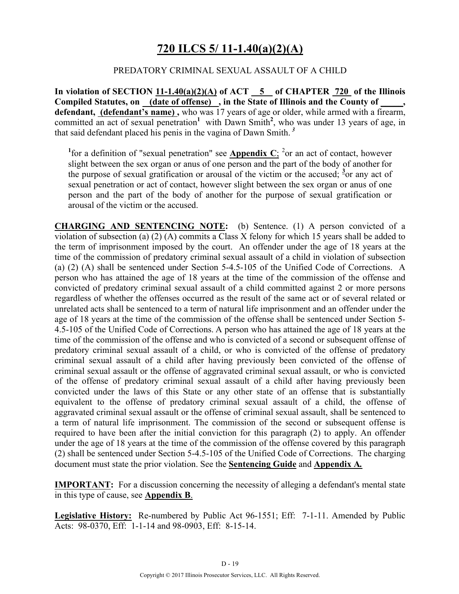# **720 ILCS 5/ 11-1.40(a)(2)(A)**

### PREDATORY CRIMINAL SEXUAL ASSAULT OF A CHILD

**In violation of SECTION 11-1.40(a)(2)(A) of ACT 5 of CHAPTER 720 of the Illinois Compiled Statutes, on (date of offense) , in the State of Illinois and the County of \_\_\_\_\_,**  defendant, (defendant's name), who was 17 years of age or older, while armed with a firearm, committed an act of sexual penetration<sup>1</sup> with Dawn Smith<sup>2</sup>, who was under 13 years of age, in that said defendant placed his penis in the vagina of Dawn Smith. *<sup>3</sup>*

<sup>1</sup> for a definition of "sexual penetration" see **Appendix C**; <sup>2</sup> or an act of contact, however slight between the sex organ or anus of one person and the part of the body of another for the purpose of sexual gratification or arousal of the victim or the accused;  $\frac{3}{2}$  or any act of sexual penetration or act of contact, however slight between the sex organ or anus of one person and the part of the body of another for the purpose of sexual gratification or arousal of the victim or the accused.

**CHARGING AND SENTENCING NOTE:** (b) Sentence. (1) A person convicted of a violation of subsection (a) (2) (A) commits a Class X felony for which 15 years shall be added to the term of imprisonment imposed by the court. An offender under the age of 18 years at the time of the commission of predatory criminal sexual assault of a child in violation of subsection (a) (2) (A) shall be sentenced under Section 5-4.5-105 of the Unified Code of Corrections. A person who has attained the age of 18 years at the time of the commission of the offense and convicted of predatory criminal sexual assault of a child committed against 2 or more persons regardless of whether the offenses occurred as the result of the same act or of several related or unrelated acts shall be sentenced to a term of natural life imprisonment and an offender under the age of 18 years at the time of the commission of the offense shall be sentenced under Section 5- 4.5-105 of the Unified Code of Corrections. A person who has attained the age of 18 years at the time of the commission of the offense and who is convicted of a second or subsequent offense of predatory criminal sexual assault of a child, or who is convicted of the offense of predatory criminal sexual assault of a child after having previously been convicted of the offense of criminal sexual assault or the offense of aggravated criminal sexual assault, or who is convicted of the offense of predatory criminal sexual assault of a child after having previously been convicted under the laws of this State or any other state of an offense that is substantially equivalent to the offense of predatory criminal sexual assault of a child, the offense of aggravated criminal sexual assault or the offense of criminal sexual assault, shall be sentenced to a term of natural life imprisonment. The commission of the second or subsequent offense is required to have been after the initial conviction for this paragraph (2) to apply. An offender under the age of 18 years at the time of the commission of the offense covered by this paragraph (2) shall be sentenced under Section 5-4.5-105 of the Unified Code of Corrections. The charging document must state the prior violation. See the **Sentencing Guide** and **Appendix A***.*

**IMPORTANT:** For a discussion concerning the necessity of alleging a defendant's mental state in this type of cause, see **Appendix B**.

**Legislative History:** Re-numbered by Public Act 96-1551; Eff: 7-1-11. Amended by Public Acts: 98-0370, Eff: 1-1-14 and 98-0903, Eff: 8-15-14.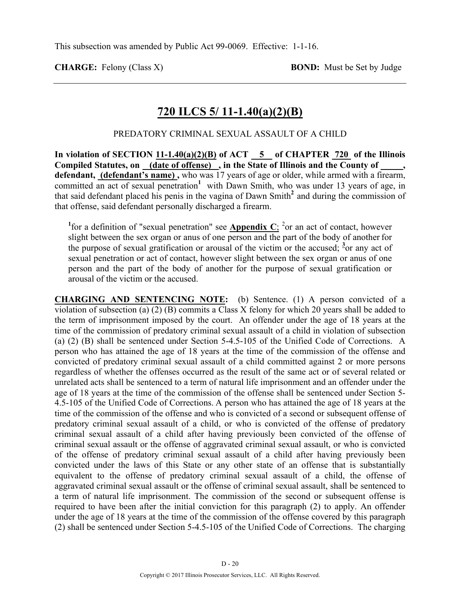**CHARGE:** Felony (Class X) **BOND:** Must be Set by Judge

## **720 ILCS 5/ 11-1.40(a)(2)(B)**

### PREDATORY CRIMINAL SEXUAL ASSAULT OF A CHILD

**In violation of SECTION 11-1.40(a)(2)(B) of ACT 5 of CHAPTER 720 of the Illinois Compiled Statutes, on (date of offense) , in the State of Illinois and the County of \_\_\_\_\_, defendant, (defendant's name) ,** who was 17 years of age or older, while armed with a firearm, committed an act of sexual penetration<sup>1</sup> with Dawn Smith, who was under 13 years of age, in that said defendant placed his penis in the vagina of Dawn Smith**<sup>2</sup>**and during the commission of that offense, said defendant personally discharged a firearm.

<sup>1</sup> for a definition of "sexual penetration" see **Appendix C**; <sup>2</sup> or an act of contact, however slight between the sex organ or anus of one person and the part of the body of another for the purpose of sexual gratification or arousal of the victim or the accused; **<sup>3</sup>** or any act of sexual penetration or act of contact, however slight between the sex organ or anus of one person and the part of the body of another for the purpose of sexual gratification or arousal of the victim or the accused.

**CHARGING AND SENTENCING NOTE:** (b) Sentence. (1) A person convicted of a violation of subsection (a) (2) (B) commits a Class X felony for which 20 years shall be added to the term of imprisonment imposed by the court. An offender under the age of 18 years at the time of the commission of predatory criminal sexual assault of a child in violation of subsection (a) (2) (B) shall be sentenced under Section 5-4.5-105 of the Unified Code of Corrections. A person who has attained the age of 18 years at the time of the commission of the offense and convicted of predatory criminal sexual assault of a child committed against 2 or more persons regardless of whether the offenses occurred as the result of the same act or of several related or unrelated acts shall be sentenced to a term of natural life imprisonment and an offender under the age of 18 years at the time of the commission of the offense shall be sentenced under Section 5- 4.5-105 of the Unified Code of Corrections. A person who has attained the age of 18 years at the time of the commission of the offense and who is convicted of a second or subsequent offense of predatory criminal sexual assault of a child, or who is convicted of the offense of predatory criminal sexual assault of a child after having previously been convicted of the offense of criminal sexual assault or the offense of aggravated criminal sexual assault, or who is convicted of the offense of predatory criminal sexual assault of a child after having previously been convicted under the laws of this State or any other state of an offense that is substantially equivalent to the offense of predatory criminal sexual assault of a child, the offense of aggravated criminal sexual assault or the offense of criminal sexual assault, shall be sentenced to a term of natural life imprisonment. The commission of the second or subsequent offense is required to have been after the initial conviction for this paragraph (2) to apply. An offender under the age of 18 years at the time of the commission of the offense covered by this paragraph (2) shall be sentenced under Section 5-4.5-105 of the Unified Code of Corrections. The charging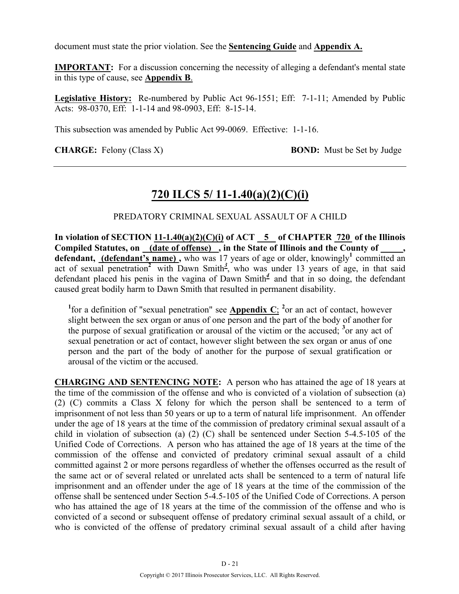document must state the prior violation. See the **Sentencing Guide** and **Appendix A.**

**IMPORTANT:** For a discussion concerning the necessity of alleging a defendant's mental state in this type of cause, see **Appendix B**.

**Legislative History:** Re-numbered by Public Act 96-1551; Eff: 7-1-11; Amended by Public Acts: 98-0370, Eff: 1-1-14 and 98-0903, Eff: 8-15-14.

This subsection was amended by Public Act 99-0069. Effective: 1-1-16.

**CHARGE:** Felony (Class X) **BOND:** Must be Set by Judge

## **720 ILCS 5/ 11-1.40(a)(2)(C)(i)**

### PREDATORY CRIMINAL SEXUAL ASSAULT OF A CHILD

In violation of SECTION  $11-1.40(a)(2)(C)(i)$  of ACT  $-5$  of CHAPTER 720 of the Illinois **Compiled Statutes, on (date of offense) , in the State of Illinois and the County of \_\_\_\_\_,**  defendant, (defendant's name), who was 17 years of age or older, knowingly<sup>1</sup> committed an act of sexual penetration<sup>2</sup> with Dawn Smith<sup>2</sup>, who was under 13 years of age, in that said defendant placed his penis in the vagina of Dawn Smith<sup> $4$ </sup> and that in so doing, the defendant caused great bodily harm to Dawn Smith that resulted in permanent disability.

<sup>1</sup>for a definition of "sexual penetration" see **Appendix C**; <sup>2</sup> or an act of contact, however slight between the sex organ or anus of one person and the part of the body of another for the purpose of sexual gratification or arousal of the victim or the accused; **<sup>3</sup>** or any act of sexual penetration or act of contact, however slight between the sex organ or anus of one person and the part of the body of another for the purpose of sexual gratification or arousal of the victim or the accused.

**CHARGING AND SENTENCING NOTE:** A person who has attained the age of 18 years at the time of the commission of the offense and who is convicted of a violation of subsection (a) (2) (C) commits a Class X felony for which the person shall be sentenced to a term of imprisonment of not less than 50 years or up to a term of natural life imprisonment. An offender under the age of 18 years at the time of the commission of predatory criminal sexual assault of a child in violation of subsection (a) (2) (C) shall be sentenced under Section 5-4.5-105 of the Unified Code of Corrections. A person who has attained the age of 18 years at the time of the commission of the offense and convicted of predatory criminal sexual assault of a child committed against 2 or more persons regardless of whether the offenses occurred as the result of the same act or of several related or unrelated acts shall be sentenced to a term of natural life imprisonment and an offender under the age of 18 years at the time of the commission of the offense shall be sentenced under Section 5-4.5-105 of the Unified Code of Corrections. A person who has attained the age of 18 years at the time of the commission of the offense and who is convicted of a second or subsequent offense of predatory criminal sexual assault of a child, or who is convicted of the offense of predatory criminal sexual assault of a child after having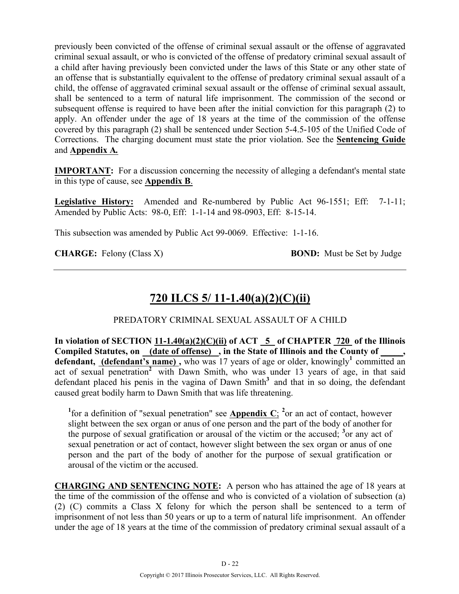previously been convicted of the offense of criminal sexual assault or the offense of aggravated criminal sexual assault, or who is convicted of the offense of predatory criminal sexual assault of a child after having previously been convicted under the laws of this State or any other state of an offense that is substantially equivalent to the offense of predatory criminal sexual assault of a child, the offense of aggravated criminal sexual assault or the offense of criminal sexual assault, shall be sentenced to a term of natural life imprisonment. The commission of the second or subsequent offense is required to have been after the initial conviction for this paragraph (2) to apply. An offender under the age of 18 years at the time of the commission of the offense covered by this paragraph (2) shall be sentenced under Section 5-4.5-105 of the Unified Code of Corrections. The charging document must state the prior violation. See the **Sentencing Guide** and **Appendix A***.*

**IMPORTANT:** For a discussion concerning the necessity of alleging a defendant's mental state in this type of cause, see **Appendix B**.

**Legislative History:** Amended and Re-numbered by Public Act 96-1551; Eff: 7-1-11; Amended by Public Acts: 98-0, Eff: 1-1-14 and 98-0903, Eff: 8-15-14.

This subsection was amended by Public Act 99-0069. Effective: 1-1-16.

**CHARGE:** Felony (Class X) **BOND:** Must be Set by Judge

# **720 ILCS 5/ 11-1.40(a)(2)(C)(ii)**

### PREDATORY CRIMINAL SEXUAL ASSAULT OF A CHILD

**In violation of SECTION 11-1.40(a)(2)(C)(ii) of ACT 5 of CHAPTER 720 of the Illinois**  Compiled Statutes, on \_(date of offense) \_, in the State of Illinois and the County of \_ defendant, (defendant's name), who was 17 years of age or older, knowingly<sup>1</sup> committed an act of sexual penetration<sup>2</sup> with Dawn Smith, who was under 13 years of age, in that said defendant placed his penis in the vagina of Dawn Smith<sup>3</sup> and that in so doing, the defendant caused great bodily harm to Dawn Smith that was life threatening.

<sup>1</sup>for a definition of "sexual penetration" see **Appendix C**; <sup>2</sup> or an act of contact, however slight between the sex organ or anus of one person and the part of the body of another for the purpose of sexual gratification or arousal of the victim or the accused; **<sup>3</sup>** or any act of sexual penetration or act of contact, however slight between the sex organ or anus of one person and the part of the body of another for the purpose of sexual gratification or arousal of the victim or the accused.

**CHARGING AND SENTENCING NOTE:** A person who has attained the age of 18 years at the time of the commission of the offense and who is convicted of a violation of subsection (a) (2) (C) commits a Class X felony for which the person shall be sentenced to a term of imprisonment of not less than 50 years or up to a term of natural life imprisonment. An offender under the age of 18 years at the time of the commission of predatory criminal sexual assault of a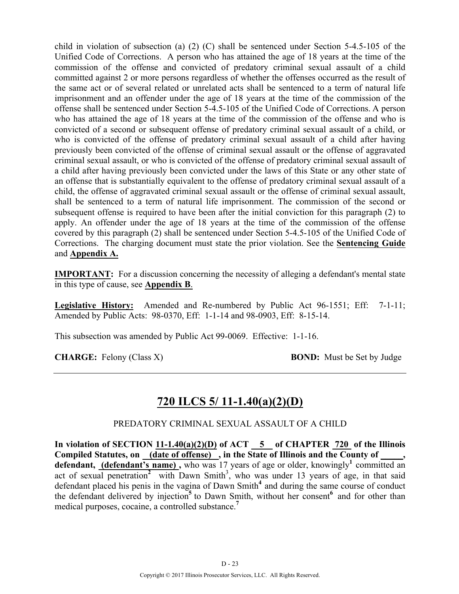child in violation of subsection (a) (2) (C) shall be sentenced under Section 5-4.5-105 of the Unified Code of Corrections. A person who has attained the age of 18 years at the time of the commission of the offense and convicted of predatory criminal sexual assault of a child committed against 2 or more persons regardless of whether the offenses occurred as the result of the same act or of several related or unrelated acts shall be sentenced to a term of natural life imprisonment and an offender under the age of 18 years at the time of the commission of the offense shall be sentenced under Section 5-4.5-105 of the Unified Code of Corrections. A person who has attained the age of 18 years at the time of the commission of the offense and who is convicted of a second or subsequent offense of predatory criminal sexual assault of a child, or who is convicted of the offense of predatory criminal sexual assault of a child after having previously been convicted of the offense of criminal sexual assault or the offense of aggravated criminal sexual assault, or who is convicted of the offense of predatory criminal sexual assault of a child after having previously been convicted under the laws of this State or any other state of an offense that is substantially equivalent to the offense of predatory criminal sexual assault of a child, the offense of aggravated criminal sexual assault or the offense of criminal sexual assault, shall be sentenced to a term of natural life imprisonment. The commission of the second or subsequent offense is required to have been after the initial conviction for this paragraph (2) to apply. An offender under the age of 18 years at the time of the commission of the offense covered by this paragraph (2) shall be sentenced under Section 5-4.5-105 of the Unified Code of Corrections. The charging document must state the prior violation. See the **Sentencing Guide** and **Appendix A.**

**IMPORTANT:** For a discussion concerning the necessity of alleging a defendant's mental state in this type of cause, see **Appendix B**.

**Legislative History:** Amended and Re-numbered by Public Act 96-1551; Eff: 7-1-11; Amended by Public Acts: 98-0370, Eff: 1-1-14 and 98-0903, Eff: 8-15-14.

This subsection was amended by Public Act 99-0069. Effective: 1-1-16.

**CHARGE:** Felony (Class X) **BOND:** Must be Set by Judge

## **720 ILCS 5/ 11-1.40(a)(2)(D)**

### PREDATORY CRIMINAL SEXUAL ASSAULT OF A CHILD

**In violation of SECTION 11-1.40(a)(2)(D) of ACT 5 of CHAPTER 720 of the Illinois**  Compiled Statutes, on (date of offense), in the State of Illinois and the County of defendant, (defendant's name), who was 17 years of age or older, knowingly<sup>1</sup> committed an act of sexual penetration<sup>2</sup> with Dawn Smith<sup>3</sup>, who was under 13 years of age, in that said defendant placed his penis in the vagina of Dawn Smith<sup>4</sup> and during the same course of conduct the defendant delivered by injection<sup>5</sup> to Dawn Smith, without her consent<sup>6</sup> and for other than medical purposes, cocaine, a controlled substance.**<sup>7</sup>**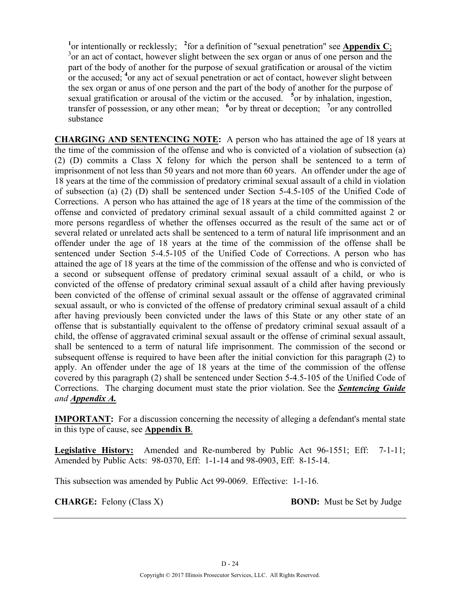<sup>1</sup> or intentionally or recklessly; <sup>2</sup> for a definition of "sexual penetration" see **Appendix C**; <sup>3</sup>  $\alpha$ ; an ext of express bowever slight between the sex exam or any of one person and the  $3$  or an act of contact, however slight between the sex organ or anus of one person and the part of the body of another for the purpose of sexual gratification or arousal of the victim or the accused; <sup>4</sup> or any act of sexual penetration or act of contact, however slight between the sex organ or anus of one person and the part of the body of another for the purpose of sexual gratification or arousal of the victim or the accused. <sup>5</sup> or by inhalation, ingestion, transfer of possession, or any other mean; <sup>6</sup> or by threat or deception; <sup>7</sup> or any controlled substance

**CHARGING AND SENTENCING NOTE:** A person who has attained the age of 18 years at the time of the commission of the offense and who is convicted of a violation of subsection (a) (2) (D) commits a Class X felony for which the person shall be sentenced to a term of imprisonment of not less than 50 years and not more than 60 years. An offender under the age of 18 years at the time of the commission of predatory criminal sexual assault of a child in violation of subsection (a) (2) (D) shall be sentenced under Section 5-4.5-105 of the Unified Code of Corrections. A person who has attained the age of 18 years at the time of the commission of the offense and convicted of predatory criminal sexual assault of a child committed against 2 or more persons regardless of whether the offenses occurred as the result of the same act or of several related or unrelated acts shall be sentenced to a term of natural life imprisonment and an offender under the age of 18 years at the time of the commission of the offense shall be sentenced under Section 5-4.5-105 of the Unified Code of Corrections. A person who has attained the age of 18 years at the time of the commission of the offense and who is convicted of a second or subsequent offense of predatory criminal sexual assault of a child, or who is convicted of the offense of predatory criminal sexual assault of a child after having previously been convicted of the offense of criminal sexual assault or the offense of aggravated criminal sexual assault, or who is convicted of the offense of predatory criminal sexual assault of a child after having previously been convicted under the laws of this State or any other state of an offense that is substantially equivalent to the offense of predatory criminal sexual assault of a child, the offense of aggravated criminal sexual assault or the offense of criminal sexual assault, shall be sentenced to a term of natural life imprisonment. The commission of the second or subsequent offense is required to have been after the initial conviction for this paragraph (2) to apply. An offender under the age of 18 years at the time of the commission of the offense covered by this paragraph (2) shall be sentenced under Section 5-4.5-105 of the Unified Code of Corrections. The charging document must state the prior violation. See the *Sentencing Guide and Appendix A.*

**IMPORTANT:** For a discussion concerning the necessity of alleging a defendant's mental state in this type of cause, see **Appendix B**.

**Legislative History:** Amended and Re-numbered by Public Act 96-1551; Eff: 7-1-11; Amended by Public Acts: 98-0370, Eff: 1-1-14 and 98-0903, Eff: 8-15-14.

This subsection was amended by Public Act 99-0069. Effective: 1-1-16.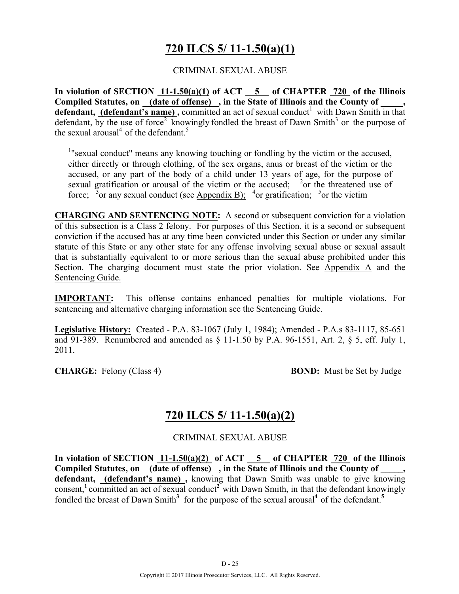# **720 ILCS 5/ 11-1.50(a)(1)**

### CRIMINAL SEXUAL ABUSE

**In violation of SECTION 11-1.50(a)(1) of ACT 5 of CHAPTER 720 of the Illinois Compiled Statutes, on (date of offense) , in the State of Illinois and the County of \_\_\_\_\_,**  defendant, *(defendant's name)*, committed an act of sexual conduct<sup>1</sup> with Dawn Smith in that defendant, by the use of force<sup>2</sup> knowingly fondled the breast of Dawn Smith<sup>3</sup> or the purpose of the sexual arousal<sup>4</sup> of the defendant.<sup>5</sup>

<sup>1</sup>"sexual conduct" means any knowing touching or fondling by the victim or the accused, either directly or through clothing, of the sex organs, anus or breast of the victim or the accused, or any part of the body of a child under 13 years of age, for the purpose of sexual gratification or arousal of the victim or the accused;  $2\sigma$  the threatened use of force; <sup>3</sup> or any sexual conduct (see Appendix B); <sup>4</sup> or gratification; <sup>5</sup> or the victim

**CHARGING AND SENTENCING NOTE:** A second or subsequent conviction for a violation of this subsection is a Class 2 felony. For purposes of this Section, it is a second or subsequent conviction if the accused has at any time been convicted under this Section or under any similar statute of this State or any other state for any offense involving sexual abuse or sexual assault that is substantially equivalent to or more serious than the sexual abuse prohibited under this Section. The charging document must state the prior violation. See Appendix A and the Sentencing Guide.

**IMPORTANT:** This offense contains enhanced penalties for multiple violations. For sentencing and alternative charging information see the Sentencing Guide.

**Legislative History:** Created - P.A. 83-1067 (July 1, 1984); Amended - P.A.s 83-1117, 85-651 and 91-389. Renumbered and amended as § 11-1.50 by P.A. 96-1551, Art. 2, § 5, eff. July 1, 2011.

**CHARGE:** Felony (Class 4) **BOND:** Must be Set by Judge

## **720 ILCS 5/ 11-1.50(a)(2)**

CRIMINAL SEXUAL ABUSE

In violation of SECTION  $11{\text -}1.50(a)(2)$  of ACT  $\overline{\hspace{1cm}}5$  of CHAPTER  $\overline{\hspace{1cm}}720$  of the Illinois **Compiled Statutes, on (date of offense) , in the State of Illinois and the County of \_\_\_\_\_, defendant, (defendant's name) ,** knowing that Dawn Smith was unable to give knowing consent,<sup>1</sup> committed an act of sexual conduct<sup>2</sup> with Dawn Smith, in that the defendant knowingly fondled the breast of Dawn Smith<sup>3</sup> for the purpose of the sexual arousal<sup>4</sup> of the defendant.<sup>5</sup>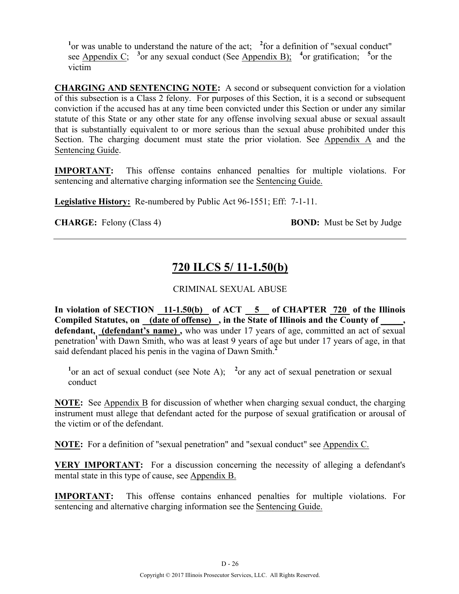<sup>1</sup> or was unable to understand the nature of the act;  $\frac{2}{10}$  for a definition of "sexual conduct" see Appendix C; <sup>3</sup> or any sexual conduct (See Appendix B); <sup>4</sup> or gratification; <sup>5</sup> or the victim

**CHARGING AND SENTENCING NOTE:** A second or subsequent conviction for a violation of this subsection is a Class 2 felony. For purposes of this Section, it is a second or subsequent conviction if the accused has at any time been convicted under this Section or under any similar statute of this State or any other state for any offense involving sexual abuse or sexual assault that is substantially equivalent to or more serious than the sexual abuse prohibited under this Section. The charging document must state the prior violation. See Appendix A and the Sentencing Guide.

**IMPORTANT:** This offense contains enhanced penalties for multiple violations. For sentencing and alternative charging information see the Sentencing Guide.

**Legislative History:** Re-numbered by Public Act 96-1551; Eff: 7-1-11.

**CHARGE:** Felony (Class 4) **BOND:** Must be Set by Judge

# **720 ILCS 5/ 11-1.50(b)**

### CRIMINAL SEXUAL ABUSE

**In violation of SECTION 11-1.50(b) of ACT 5 of CHAPTER 720 of the Illinois**  Compiled Statutes, on (date of offense), in the State of Illinois and the County of **defendant, (defendant's name) ,** who was under 17 years of age, committed an act of sexual penetration<sup>1</sup> with Dawn Smith, who was at least 9 years of age but under 17 years of age, in that said defendant placed his penis in the vagina of Dawn Smith.**<sup>2</sup>**

<sup>1</sup> or an act of sexual conduct (see Note A); <sup>2</sup> or any act of sexual penetration or sexual conduct

**NOTE:** See Appendix B for discussion of whether when charging sexual conduct, the charging instrument must allege that defendant acted for the purpose of sexual gratification or arousal of the victim or of the defendant.

**NOTE:** For a definition of "sexual penetration" and "sexual conduct" see Appendix C.

**VERY IMPORTANT:** For a discussion concerning the necessity of alleging a defendant's mental state in this type of cause, see Appendix B.

**IMPORTANT:** This offense contains enhanced penalties for multiple violations. For sentencing and alternative charging information see the Sentencing Guide.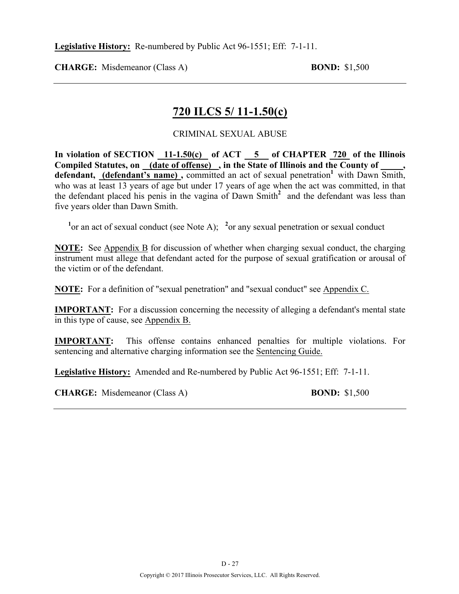**CHARGE:** Misdemeanor (Class A) **BOND:** \$1,500

## **720 ILCS 5/ 11-1.50(c)**

### CRIMINAL SEXUAL ABUSE

**In violation of SECTION 11-1.50(c) of ACT 5 of CHAPTER 720 of the Illinois Compiled Statutes, on (date of offense) , in the State of Illinois and the County of \_\_\_\_\_,**  defendant, (defendant's name), committed an act of sexual penetration<sup>1</sup> with Dawn Smith, who was at least 13 years of age but under 17 years of age when the act was committed, in that the defendant placed his penis in the vagina of Dawn Smith**<sup>2</sup>**and the defendant was less than five years older than Dawn Smith.

<sup>1</sup> or an act of sexual conduct (see Note A); <sup>2</sup> or any sexual penetration or sexual conduct

**NOTE:** See Appendix B for discussion of whether when charging sexual conduct, the charging instrument must allege that defendant acted for the purpose of sexual gratification or arousal of the victim or of the defendant.

**NOTE:** For a definition of "sexual penetration" and "sexual conduct" see Appendix C.

**IMPORTANT:** For a discussion concerning the necessity of alleging a defendant's mental state in this type of cause, see Appendix B.

**IMPORTANT:** This offense contains enhanced penalties for multiple violations. For sentencing and alternative charging information see the Sentencing Guide.

**Legislative History:** Amended and Re-numbered by Public Act 96-1551; Eff: 7-1-11.

**CHARGE:** Misdemeanor (Class A) **BOND:** \$1,500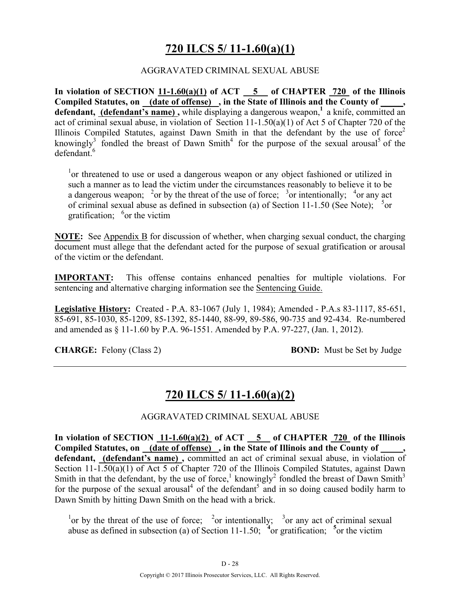# **720 ILCS 5/ 11-1.60(a)(1)**

### AGGRAVATED CRIMINAL SEXUAL ABUSE

**In violation of SECTION 11-1.60(a)(1) of ACT 5 of CHAPTER 720 of the Illinois**  Compiled Statutes, on (date of offense), in the State of Illinois and the County of, **defendant, (defendant's name) ,** while displaying a dangerous weapon,**<sup>1</sup>**a knife, committed an act of criminal sexual abuse, in violation of Section 11-1.50(a)(1) of Act 5 of Chapter 720 of the Illinois Compiled Statutes, against Dawn Smith in that the defendant by the use of force<sup>2</sup> knowingly<sup>3</sup> fondled the breast of Dawn Smith<sup>4</sup> for the purpose of the sexual arousal<sup>5</sup> of the  $d$ efendant $6$ 

<sup>1</sup> or threatened to use or used a dangerous weapon or any object fashioned or utilized in such a manner as to lead the victim under the circumstances reasonably to believe it to be a dangerous weapon; <sup>2</sup> or by the threat of the use of force; <sup>3</sup> or intentionally; <sup>4</sup> or any act of criminal sexual abuse as defined in subsection (a) of Section 11-1.50 (See Note);  $5$ or gratification;  $6$  or the victim

**NOTE:** See Appendix B for discussion of whether, when charging sexual conduct, the charging document must allege that the defendant acted for the purpose of sexual gratification or arousal of the victim or the defendant.

**IMPORTANT:** This offense contains enhanced penalties for multiple violations. For sentencing and alternative charging information see the Sentencing Guide.

**Legislative History:** Created - P.A. 83-1067 (July 1, 1984); Amended - P.A.s 83-1117, 85-651, 85-691, 85-1030, 85-1209, 85-1392, 85-1440, 88-99, 89-586, 90-735 and 92-434. Re-numbered and amended as § 11-1.60 by P.A. 96-1551. Amended by P.A. 97-227, (Jan. 1, 2012).

**CHARGE:** Felony (Class 2) **BOND:** Must be Set by Judge

## **720 ILCS 5/ 11-1.60(a)(2)**

AGGRAVATED CRIMINAL SEXUAL ABUSE

In violation of SECTION 11-1.60(a)(2) of ACT 5 of CHAPTER 720 of the Illinois Compiled Statutes, on (date of offense), in the State of Illinois and the County of **defendant, (defendant's name) ,** committed an act of criminal sexual abuse, in violation of Section 11-1.50(a)(1) of Act 5 of Chapter 720 of the Illinois Compiled Statutes, against Dawn Smith in that the defendant, by the use of force,<sup>1</sup> knowingly<sup>2</sup> fondled the breast of Dawn Smith<sup>3</sup> for the purpose of the sexual arousal<sup>4</sup> of the defendant<sup>5</sup> and in so doing caused bodily harm to Dawn Smith by hitting Dawn Smith on the head with a brick.

<sup>1</sup> or by the threat of the use of force; <sup>2</sup> or intentionally; <sup>3</sup> or any act of criminal sexual abuse as defined in subsection (a) of Section 11-1.50;  $\frac{4}{3}$  or gratification;  $\frac{5}{3}$  or the victim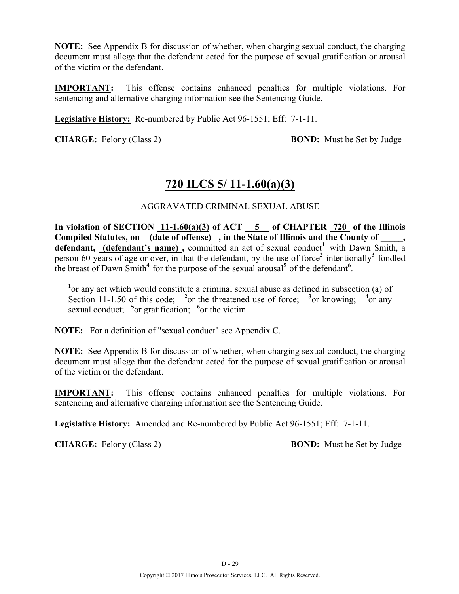**NOTE:** See Appendix B for discussion of whether, when charging sexual conduct, the charging document must allege that the defendant acted for the purpose of sexual gratification or arousal of the victim or the defendant.

**IMPORTANT:** This offense contains enhanced penalties for multiple violations. For sentencing and alternative charging information see the Sentencing Guide.

**Legislative History:** Re-numbered by Public Act 96-1551; Eff: 7-1-11.

**CHARGE:** Felony (Class 2) **BOND:** Must be Set by Judge

# **720 ILCS 5/ 11-1.60(a)(3)**

### AGGRAVATED CRIMINAL SEXUAL ABUSE

**In violation of SECTION 11-1.60(a)(3) of ACT 5 of CHAPTER 720 of the Illinois**  Compiled Statutes, on (date of offense), in the State of Illinois and the County of \_\_\_\_, defendant, (defendant's name), committed an act of sexual conduct<sup>1</sup> with Dawn Smith, a person 60 years of age or over, in that the defendant, by the use of force<sup>2</sup> intentionally<sup>3</sup> fondled the breast of Dawn Smith<sup>4</sup> for the purpose of the sexual arousal<sup>5</sup> of the defendant<sup>6</sup>.

<sup>1</sup> or any act which would constitute a criminal sexual abuse as defined in subsection (a) of Section 11-1.50 of this code; <sup>2</sup> or the threatened use of force; <sup>3</sup> or knowing; <sup>4</sup> or any sexual conduct; <sup>5</sup> or gratification; <sup>6</sup> or the victim

**NOTE:** For a definition of "sexual conduct" see Appendix C.

**NOTE:** See Appendix B for discussion of whether, when charging sexual conduct, the charging document must allege that the defendant acted for the purpose of sexual gratification or arousal of the victim or the defendant.

**IMPORTANT:** This offense contains enhanced penalties for multiple violations. For sentencing and alternative charging information see the Sentencing Guide.

**Legislative History:** Amended and Re-numbered by Public Act 96-1551; Eff: 7-1-11.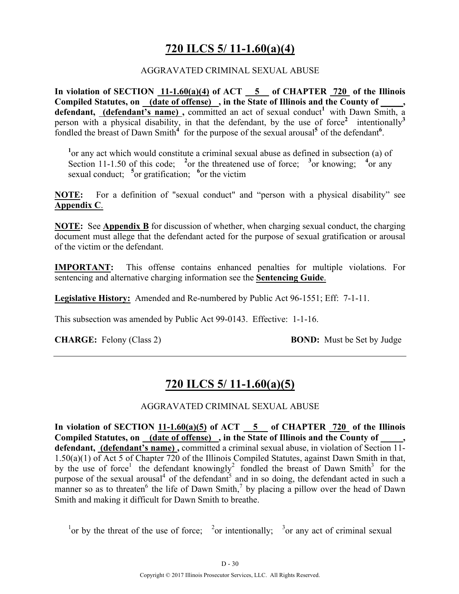## **720 ILCS 5/ 11-1.60(a)(4)**

### AGGRAVATED CRIMINAL SEXUAL ABUSE

**In violation of SECTION 11-1.60(a)(4) of ACT 5 of CHAPTER 720 of the Illinois Compiled Statutes, on (date of offense) , in the State of Illinois and the County of \_\_\_\_\_,**  defendant, (defendant's name), committed an act of sexual conduct<sup>1</sup> with Dawn Smith, a person with a physical disability, in that the defendant, by the use of force<sup>2</sup> intentionally<sup>3</sup> fondled the breast of Dawn Smith<sup>4</sup> for the purpose of the sexual arousal<sup>5</sup> of the defendant<sup>6</sup>.

<sup>1</sup> or any act which would constitute a criminal sexual abuse as defined in subsection (a) of Section 11-1.50 of this code; <sup>2</sup> or the threatened use of force; <sup>3</sup> or knowing; <sup>4</sup> or any sexual conduct; <sup>5</sup> or gratification; <sup>6</sup> or the victim

**NOTE:** For a definition of "sexual conduct" and "person with a physical disability" see **Appendix C**.

**NOTE:** See **Appendix B** for discussion of whether, when charging sexual conduct, the charging document must allege that the defendant acted for the purpose of sexual gratification or arousal of the victim or the defendant.

**IMPORTANT:** This offense contains enhanced penalties for multiple violations. For sentencing and alternative charging information see the **Sentencing Guide**.

**Legislative History:** Amended and Re-numbered by Public Act 96-1551; Eff: 7-1-11.

This subsection was amended by Public Act 99-0143. Effective: 1-1-16.

**CHARGE:** Felony (Class 2) **BOND:** Must be Set by Judge

## **720 ILCS 5/ 11-1.60(a)(5)**

#### AGGRAVATED CRIMINAL SEXUAL ABUSE

**In violation of SECTION 11-1.60(a)(5) of ACT 5 of CHAPTER 720 of the Illinois Compiled Statutes, on (date of offense) , in the State of Illinois and the County of \_\_\_\_\_, defendant, (defendant's name) ,** committed a criminal sexual abuse, in violation of Section 11- 1.50(a)(1) of Act 5 of Chapter 720 of the Illinois Compiled Statutes, against Dawn Smith in that, by the use of force<sup>1</sup> the defendant knowingly<sup>2</sup> fondled the breast of Dawn Smith<sup>3</sup> for the purpose of the sexual arousal<sup>4</sup> of the defendant<sup>5</sup> and in so doing, the defendant acted in such a manner so as to threaten<sup>6</sup> the life of Dawn Smith,<sup>7</sup> by placing a pillow over the head of Dawn Smith and making it difficult for Dawn Smith to breathe.

<sup>1</sup> or by the threat of the use of force; <sup>2</sup> or intentionally; <sup>3</sup> or any act of criminal sexual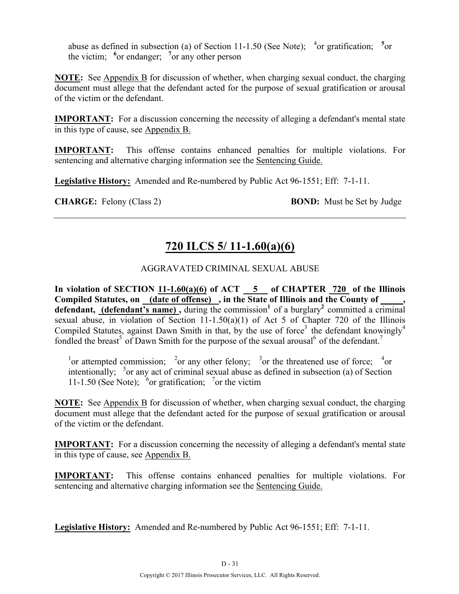abuse as defined in subsection (a) of Section 11-1.50 (See Note);  $4 \text{ or}$  gratification;  $5 \text{ or}$ the victim; **<sup>6</sup>** or endanger; **<sup>7</sup>** or any other person

**NOTE:** See Appendix B for discussion of whether, when charging sexual conduct, the charging document must allege that the defendant acted for the purpose of sexual gratification or arousal of the victim or the defendant.

**IMPORTANT:** For a discussion concerning the necessity of alleging a defendant's mental state in this type of cause, see Appendix B.

**IMPORTANT:** This offense contains enhanced penalties for multiple violations. For sentencing and alternative charging information see the Sentencing Guide.

**Legislative History:** Amended and Re-numbered by Public Act 96-1551; Eff: 7-1-11.

**CHARGE:** Felony (Class 2) **BOND:** Must be Set by Judge

# **720 ILCS 5/ 11-1.60(a)(6)**

### AGGRAVATED CRIMINAL SEXUAL ABUSE

In violation of SECTION  $11-1.60(a)(6)$  of ACT  $-5$  of CHAPTER 720 of the Illinois **Compiled Statutes, on (date of offense) , in the State of Illinois and the County of \_\_\_\_\_, defendant, (defendant's name),** during the commission<sup>1</sup> of a burglary<sup>2</sup> committed a criminal sexual abuse, in violation of Section 11-1.50(a)(1) of Act 5 of Chapter 720 of the Illinois Compiled Statutes, against Dawn Smith in that, by the use of force<sup>3</sup> the defendant knowingly<sup>4</sup> fondled the breast<sup>5</sup> of Dawn Smith for the purpose of the sexual arousal<sup>6</sup> of the defendant.<sup>7</sup>

<sup>1</sup> or attempted commission; <sup>2</sup> or any other felony; <sup>3</sup> or the threatened use of force; <sup>4</sup> or intentionally;  $5$  or any act of criminal sexual abuse as defined in subsection (a) of Section 11-1.50 (See Note);  $\delta$  or gratification;  $\delta$  or the victim

**NOTE:** See Appendix B for discussion of whether, when charging sexual conduct, the charging document must allege that the defendant acted for the purpose of sexual gratification or arousal of the victim or the defendant.

**IMPORTANT:** For a discussion concerning the necessity of alleging a defendant's mental state in this type of cause, see Appendix B.

**IMPORTANT:** This offense contains enhanced penalties for multiple violations. For sentencing and alternative charging information see the Sentencing Guide.

**Legislative History:** Amended and Re-numbered by Public Act 96-1551; Eff: 7-1-11.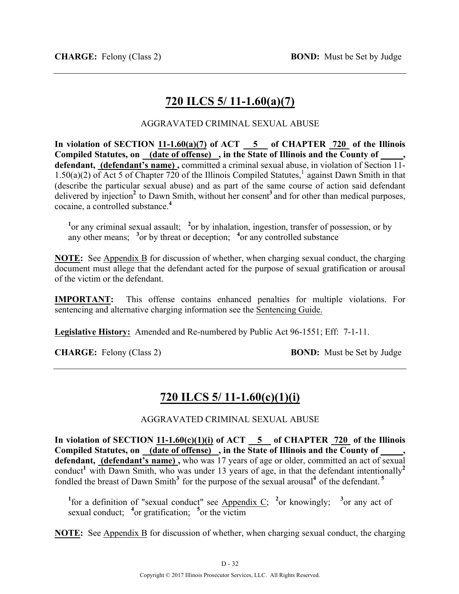# **720 ILCS 5/ 11-1.60(a)(7)**

### AGGRAVATED CRIMINAL SEXUAL ABUSE

**In violation of SECTION 11-1.60(a)(7) of ACT 5 of CHAPTER 720 of the Illinois**  Compiled Statutes, on \_(date of offense) \_, in the State of Illinois and the County of \_ defendant, (defendant's name), committed a criminal sexual abuse, in violation of Section 11-1.50(a)(2) of Act 5 of Chapter 720 of the Illinois Compiled Statutes,<sup>1</sup> against Dawn Smith in that (describe the particular sexual abuse) and as part of the same course of action said defendant delivered by injection<sup>2</sup> to Dawn Smith, without her consent<sup>3</sup> and for other than medical purposes, cocaine, a controlled substance.**<sup>4</sup>**

<sup>1</sup> or any criminal sexual assault; <sup>2</sup> or by inhalation, ingestion, transfer of possession, or by any other means; **<sup>3</sup>** or by threat or deception; **<sup>4</sup>** or any controlled substance

**NOTE:** See Appendix B for discussion of whether, when charging sexual conduct, the charging document must allege that the defendant acted for the purpose of sexual gratification or arousal of the victim or the defendant.

**IMPORTANT:** This offense contains enhanced penalties for multiple violations. For sentencing and alternative charging information see the Sentencing Guide.

**Legislative History:** Amended and Re-numbered by Public Act 96-1551; Eff: 7-1-11.

**CHARGE:** Felony (Class 2) **BOND:** Must be Set by Judge

# **720 ILCS 5/ 11-1.60(c)(1)(i)**

AGGRAVATED CRIMINAL SEXUAL ABUSE

In violation of SECTION  $11-1.60(c)(1)(i)$  of ACT  $\overline{5}$  of CHAPTER  $\overline{720}$  of the Illinois **Compiled Statutes, on (date of offense) , in the State of Illinois and the County of \_\_\_\_\_,**  defendant, (defendant's name), who was 17 years of age or older, committed an act of sexual conduct<sup>1</sup> with Dawn Smith, who was under 13 years of age, in that the defendant intentionally<sup>2</sup> fondled the breast of Dawn Smith<sup>3</sup> for the purpose of the sexual arousal<sup>4</sup> of the defendant.<sup>5</sup>

<sup>1</sup>for a definition of "sexual conduct" see Appendix C; <sup>2</sup>or knowingly; <sup>3</sup>or any act of sexual conduct; <sup>4</sup> or gratification; <sup>5</sup> or the victim

**NOTE:** See Appendix B for discussion of whether, when charging sexual conduct, the charging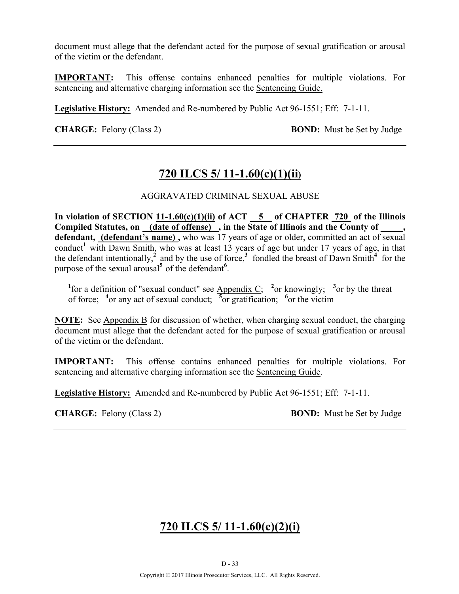document must allege that the defendant acted for the purpose of sexual gratification or arousal of the victim or the defendant.

**IMPORTANT:** This offense contains enhanced penalties for multiple violations. For sentencing and alternative charging information see the Sentencing Guide.

**Legislative History:** Amended and Re-numbered by Public Act 96-1551; Eff: 7-1-11.

**CHARGE:** Felony (Class 2) **BOND:** Must be Set by Judge

## **720 ILCS 5/ 11-1.60(c)(1)(ii)**

### AGGRAVATED CRIMINAL SEXUAL ABUSE

**In violation of SECTION 11-1.60(c)(1)(ii) of ACT 5 of CHAPTER 720 of the Illinois Compiled Statutes, on (date of offense) , in the State of Illinois and the County of \_\_\_\_\_,**  defendant, (defendant's name), who was 17 years of age or older, committed an act of sexual conduct<sup>1</sup> with Dawn Smith, who was at least 13 years of age but under 17 years of age, in that the defendant intentionally,<sup>2</sup> and by the use of force,<sup>3</sup> fondled the breast of Dawn Smith<sup>4</sup> for the purpose of the sexual arousal**<sup>5</sup>**of the defendant**<sup>6</sup>** .

<sup>1</sup> for a definition of "sexual conduct" see Appendix C; <sup>2</sup> or knowingly; <sup>3</sup> or by the threat of force; **<sup>4</sup>** or any act of sexual conduct; **<sup>5</sup>** or gratification; **<sup>6</sup>** or the victim

**NOTE:** See Appendix B for discussion of whether, when charging sexual conduct, the charging document must allege that the defendant acted for the purpose of sexual gratification or arousal of the victim or the defendant.

**IMPORTANT:** This offense contains enhanced penalties for multiple violations. For sentencing and alternative charging information see the Sentencing Guide.

**Legislative History:** Amended and Re-numbered by Public Act 96-1551; Eff: 7-1-11.

**CHARGE:** Felony (Class 2) **BOND:** Must be Set by Judge

# **720 ILCS 5/ 11-1.60(c)(2)(i)**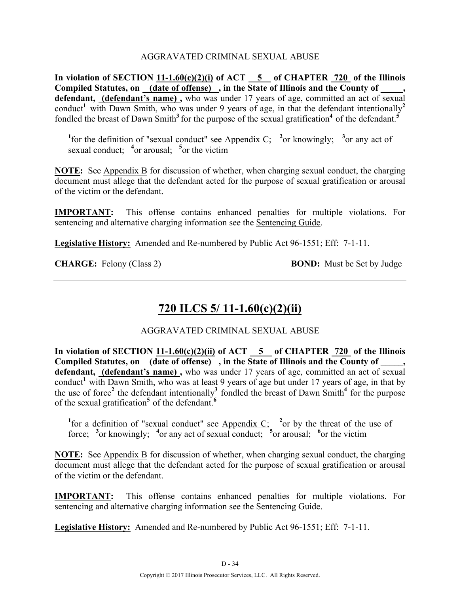### AGGRAVATED CRIMINAL SEXUAL ABUSE

In violation of SECTION  $11-1.60(c)(2)(i)$  of ACT  $-5$  of CHAPTER  $720$  of the Illinois **Compiled Statutes, on (date of offense) , in the State of Illinois and the County of \_\_\_\_\_, defendant, (defendant's name) ,** who was under 17 years of age, committed an act of sexual conduct<sup>1</sup> with Dawn Smith, who was under 9 years of age, in that the defendant intentionally<sup>2</sup> fondled the breast of Dawn Smith<sup>3</sup> for the purpose of the sexual gratification<sup>4</sup> of the defendant.<sup>5</sup>

<sup>1</sup>for the definition of "sexual conduct" see Appendix C; <sup>2</sup>or knowingly; <sup>3</sup>or any act of sexual conduct; <sup>4</sup> or arousal; <sup>5</sup> or the victim

**NOTE:** See Appendix B for discussion of whether, when charging sexual conduct, the charging document must allege that the defendant acted for the purpose of sexual gratification or arousal of the victim or the defendant.

**IMPORTANT:** This offense contains enhanced penalties for multiple violations. For sentencing and alternative charging information see the Sentencing Guide.

**Legislative History:** Amended and Re-numbered by Public Act 96-1551; Eff: 7-1-11.

**CHARGE:** Felony (Class 2) **BOND:** Must be Set by Judge

# **720 ILCS 5/ 11-1.60(c)(2)(ii)**

### AGGRAVATED CRIMINAL SEXUAL ABUSE

**In violation of SECTION 11-1.60(c)(2)(ii) of ACT 5 of CHAPTER 720 of the Illinois Compiled Statutes, on (date of offense) , in the State of Illinois and the County of \_\_\_\_\_, defendant, (defendant's name) ,** who was under 17 years of age, committed an act of sexual conduct<sup>1</sup> with Dawn Smith, who was at least 9 years of age but under 17 years of age, in that by the use of force<sup>2</sup> the defendant intentionally<sup>3</sup> fondled the breast of Dawn Smith<sup>4</sup> for the purpose of the sexual gratification**<sup>5</sup>**of the defendant.**<sup>6</sup>**

<sup>1</sup>for a definition of "sexual conduct" see Appendix C; <sup>2</sup> or by the threat of the use of force; <sup>3</sup> or knowingly; <sup>4</sup> or any act of sexual conduct; <sup>5</sup> or arousal; <sup>6</sup> or the victim

**NOTE:** See Appendix B for discussion of whether, when charging sexual conduct, the charging document must allege that the defendant acted for the purpose of sexual gratification or arousal of the victim or the defendant.

**IMPORTANT:** This offense contains enhanced penalties for multiple violations. For sentencing and alternative charging information see the Sentencing Guide.

**Legislative History:** Amended and Re-numbered by Public Act 96-1551; Eff: 7-1-11.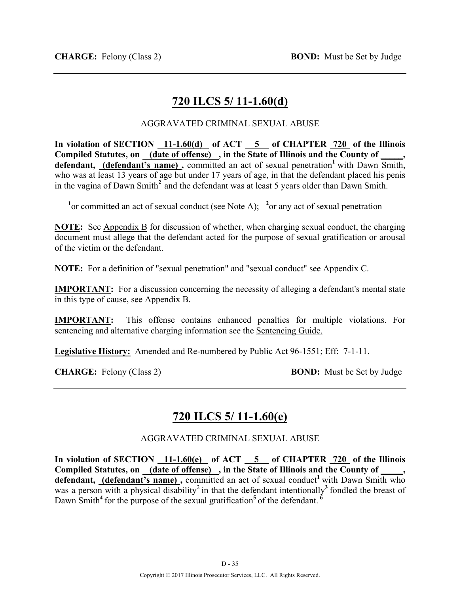# **720 ILCS 5/ 11-1.60(d)**

### AGGRAVATED CRIMINAL SEXUAL ABUSE

**In violation of SECTION 11-1.60(d) of ACT 5 of CHAPTER 720 of the Illinois**  Compiled Statutes, on <u>(date of offense)</u>, in the State of Illinois and the County of defendant, (defendant's name), committed an act of sexual penetration<sup>1</sup> with Dawn Smith, who was at least 13 years of age but under 17 years of age, in that the defendant placed his penis in the vagina of Dawn Smith**<sup>2</sup>**and the defendant was at least 5 years older than Dawn Smith.

<sup>1</sup> or committed an act of sexual conduct (see Note A); <sup>2</sup> or any act of sexual penetration

**NOTE:** See Appendix B for discussion of whether, when charging sexual conduct, the charging document must allege that the defendant acted for the purpose of sexual gratification or arousal of the victim or the defendant.

**NOTE:** For a definition of "sexual penetration" and "sexual conduct" see Appendix C.

**IMPORTANT:** For a discussion concerning the necessity of alleging a defendant's mental state in this type of cause, see Appendix B.

**IMPORTANT:** This offense contains enhanced penalties for multiple violations. For sentencing and alternative charging information see the Sentencing Guide.

**Legislative History:** Amended and Re-numbered by Public Act 96-1551; Eff: 7-1-11.

**CHARGE:** Felony (Class 2) **BOND:** Must be Set by Judge

## **720 ILCS 5/ 11-1.60(e)**

AGGRAVATED CRIMINAL SEXUAL ABUSE

In violation of SECTION 11-1.60(e) of ACT 5 of CHAPTER 720 of the Illinois Compiled Statutes, on (date of offense), in the State of Illinois and the County of defendant, (defendant's name), committed an act of sexual conduct<sup>1</sup> with Dawn Smith who was a person with a physical disability<sup>2</sup> in that the defendant intentionally<sup>3</sup> fondled the breast of Dawn Smith<sup>4</sup> for the purpose of the sexual gratification<sup>5</sup> of the defendant.  $\frac{6}{100}$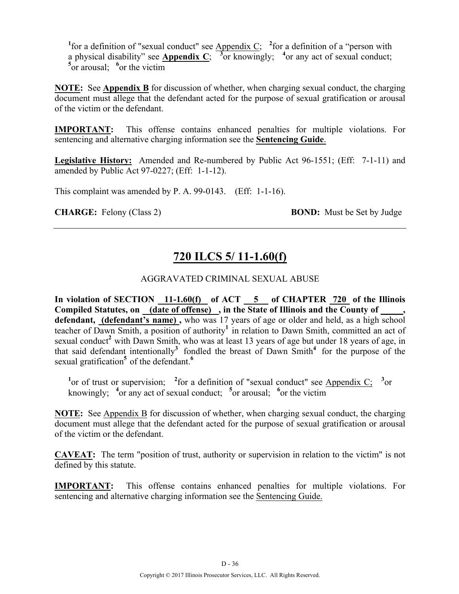<sup>1</sup> for a definition of "sexual conduct" see  $\Delta$ ppendix  $C$ ; <sup>2</sup> for a definition of a "person with a physical disability" see **Appendix C**;  $\overline{3}$  or knowingly; <sup>4</sup> or any act of sexual conduct; <sup>5</sup><sup>or</sup> arousal; <sup>6</sup><sup>or</sup> the victim

**NOTE:** See **Appendix B** for discussion of whether, when charging sexual conduct, the charging document must allege that the defendant acted for the purpose of sexual gratification or arousal of the victim or the defendant.

**IMPORTANT:** This offense contains enhanced penalties for multiple violations. For sentencing and alternative charging information see the **Sentencing Guide**.

**Legislative History:** Amended and Re-numbered by Public Act 96-1551; (Eff: 7-1-11) and amended by Public Act 97-0227; (Eff: 1-1-12).

This complaint was amended by P. A. 99-0143. (Eff: 1-1-16).

**CHARGE:** Felony (Class 2) **BOND:** Must be Set by Judge

# **720 ILCS 5/ 11-1.60(f)**

### AGGRAVATED CRIMINAL SEXUAL ABUSE

In violation of SECTION 11-1.60(f) of ACT 5 of CHAPTER 720 of the Illinois **Compiled Statutes, on (date of offense) , in the State of Illinois and the County of \_\_\_\_\_, defendant, (defendant's name) ,** who was 17 years of age or older and held, as a high school teacher of Dawn Smith, a position of authority<sup>1</sup> in relation to Dawn Smith, committed an act of sexual conduct<sup>2</sup> with Dawn Smith, who was at least 13 years of age but under 18 years of age, in that said defendant intentionally<sup>3</sup> fondled the breast of Dawn Smith<sup>4</sup> for the purpose of the sexual gratification<sup>5</sup> of the defendant.<sup>6</sup>

<sup>1</sup> or of trust or supervision; <sup>2</sup> for a definition of "sexual conduct" see Appendix  $C_i$ <sup>3</sup> or knowingly; <sup>4</sup> or any act of sexual conduct; <sup>5</sup> or arousal; <sup>6</sup> or the victim

**NOTE:** See Appendix B for discussion of whether, when charging sexual conduct, the charging document must allege that the defendant acted for the purpose of sexual gratification or arousal of the victim or the defendant.

**CAVEAT:** The term "position of trust, authority or supervision in relation to the victim" is not defined by this statute.

**IMPORTANT:** This offense contains enhanced penalties for multiple violations. For sentencing and alternative charging information see the Sentencing Guide.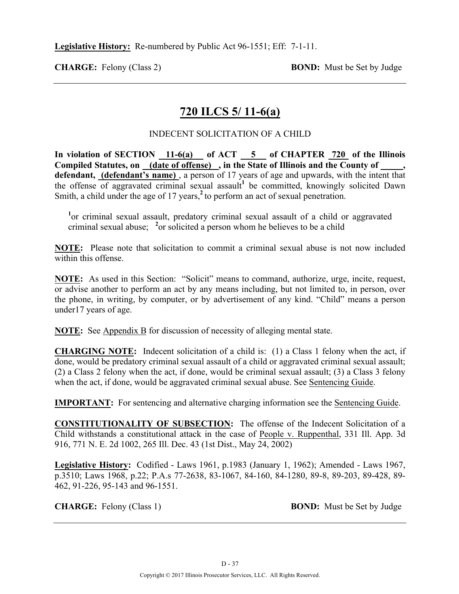**CHARGE:** Felony (Class 2) **BOND:** Must be Set by Judge

# **720 ILCS 5/ 11-6(a)**

## INDECENT SOLICITATION OF A CHILD

In violation of SECTION 11-6(a) of ACT 5 of CHAPTER 720 of the Illinois **Compiled Statutes, on (date of offense) , in the State of Illinois and the County of \_\_\_\_\_, defendant, (defendant's name)** , a person of 17 years of age and upwards, with the intent that the offense of aggravated criminal sexual assault<sup>1</sup> be committed, knowingly solicited Dawn Smith, a child under the age of 17 years,<sup>2</sup> to perform an act of sexual penetration.

<sup>1</sup> or criminal sexual assault, predatory criminal sexual assault of a child or aggravated criminal sexual abuse; **<sup>2</sup>** or solicited a person whom he believes to be a child

**NOTE:** Please note that solicitation to commit a criminal sexual abuse is not now included within this offense.

**NOTE:** As used in this Section: "Solicit" means to command, authorize, urge, incite, request, or advise another to perform an act by any means including, but not limited to, in person, over the phone, in writing, by computer, or by advertisement of any kind. "Child" means a person under17 years of age.

**NOTE:** See Appendix B for discussion of necessity of alleging mental state.

**CHARGING NOTE:** Indecent solicitation of a child is: (1) a Class 1 felony when the act, if done, would be predatory criminal sexual assault of a child or aggravated criminal sexual assault; (2) a Class 2 felony when the act, if done, would be criminal sexual assault; (3) a Class 3 felony when the act, if done, would be aggravated criminal sexual abuse. See Sentencing Guide.

**IMPORTANT:** For sentencing and alternative charging information see the Sentencing Guide.

**CONSTITUTIONALITY OF SUBSECTION:** The offense of the Indecent Solicitation of a Child withstands a constitutional attack in the case of People v. Ruppenthal, 331 Ill. App. 3d 916, 771 N. E. 2d 1002, 265 Ill. Dec. 43 (1st Dist., May 24, 2002)

**Legislative History:** Codified - Laws 1961, p.1983 (January 1, 1962); Amended - Laws 1967, p.3510; Laws 1968, p.22; P.A.s 77-2638, 83-1067, 84-160, 84-1280, 89-8, 89-203, 89-428, 89- 462, 91-226, 95-143 and 96-1551.

**CHARGE:** Felony (Class 1) **BOND:** Must be Set by Judge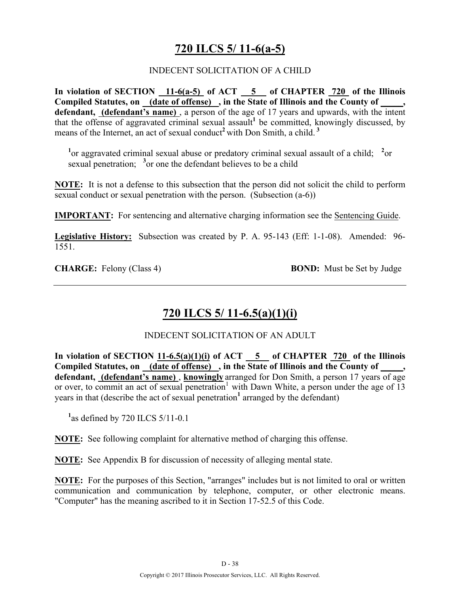# **720 ILCS 5/ 11-6(a-5)**

## INDECENT SOLICITATION OF A CHILD

**In violation of SECTION 11-6(a-5) of ACT 5 of CHAPTER 720 of the Illinois Compiled Statutes, on (date of offense) , in the State of Illinois and the County of \_\_\_\_\_, defendant, (defendant's name)** , a person of the age of 17 years and upwards, with the intent that the offense of aggravated criminal sexual assault<sup>1</sup> be committed, knowingly discussed, by means of the Internet, an act of sexual conduct<sup>2</sup> with Don Smith, a child.<sup>3</sup>

<sup>1</sup> or aggravated criminal sexual abuse or predatory criminal sexual assault of a child; <sup>2</sup> or sexual penetration; <sup>3</sup> or one the defendant believes to be a child

**NOTE:** It is not a defense to this subsection that the person did not solicit the child to perform sexual conduct or sexual penetration with the person. (Subsection (a-6))

**IMPORTANT:** For sentencing and alternative charging information see the Sentencing Guide.

**Legislative History:** Subsection was created by P. A. 95-143 (Eff: 1-1-08). Amended: 96- 1551.

**CHARGE:** Felony (Class 4) **BOND:** Must be Set by Judge

# **720 ILCS 5/ 11-6.5(a)(1)(i)**

### INDECENT SOLICITATION OF AN ADULT

In violation of SECTION  $11-6.5(a)(1)(i)$  of ACT  $-5$  of CHAPTER  $720$  of the Illinois Compiled Statutes, on \_(date of offense) \_, in the State of Illinois and the County of \_ **defendant, (defendant's name)** , **knowingly** arranged for Don Smith, a person 17 years of age or over, to commit an act of sexual penetration<sup>1</sup> with Dawn White, a person under the age of 13 years in that (describe the act of sexual penetration**<sup>1</sup>** arranged by the defendant)

**1** as defined by 720 ILCS 5/11-0.1

**NOTE:** See following complaint for alternative method of charging this offense.

**NOTE:** See Appendix B for discussion of necessity of alleging mental state.

**NOTE:** For the purposes of this Section, "arranges" includes but is not limited to oral or written communication and communication by telephone, computer, or other electronic means. "Computer" has the meaning ascribed to it in Section 17-52.5 of this Code.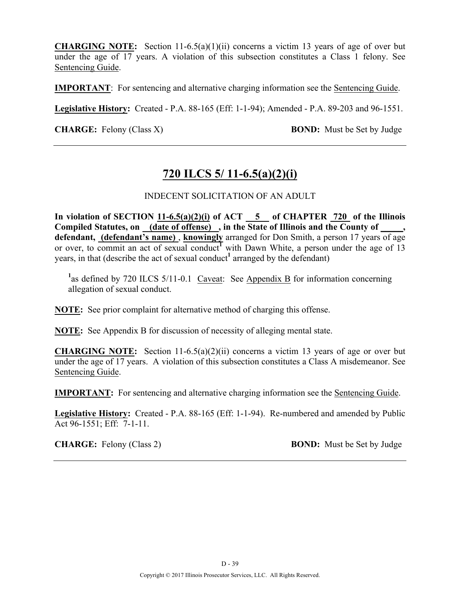**CHARGING NOTE:** Section 11-6.5(a)(1)(ii) concerns a victim 13 years of age of over but under the age of 17 years. A violation of this subsection constitutes a Class 1 felony. See Sentencing Guide.

**IMPORTANT**: For sentencing and alternative charging information see the Sentencing Guide.

**Legislative History:** Created - P.A. 88-165 (Eff: 1-1-94); Amended - P.A. 89-203 and 96-1551.

**CHARGE:** Felony (Class X) **BOND:** Must be Set by Judge

# **720 ILCS 5/ 11-6.5(a)(2)(i)**

## INDECENT SOLICITATION OF AN ADULT

In violation of SECTION  $11-6.5(a)(2)(i)$  of ACT  $-5$  of CHAPTER  $720$  of the Illinois **Compiled Statutes, on (date of offense) , in the State of Illinois and the County of \_\_\_\_\_,**  defendant, **(defendant's name)**, **knowingly** arranged for Don Smith, a person 17 years of age or over, to commit an act of sexual conduct<sup>1</sup> with Dawn White, a person under the age of 13 years, in that (describe the act of sexual conduct<sup>1</sup> arranged by the defendant)

<sup>1</sup> as defined by 720 ILCS 5/11-0.1 Caveat: See Appendix B for information concerning allegation of sexual conduct.

**NOTE:** See prior complaint for alternative method of charging this offense.

**NOTE:** See Appendix B for discussion of necessity of alleging mental state.

**CHARGING NOTE:** Section 11-6.5(a)(2)(ii) concerns a victim 13 years of age or over but under the age of 17 years. A violation of this subsection constitutes a Class A misdemeanor. See Sentencing Guide.

**IMPORTANT:** For sentencing and alternative charging information see the Sentencing Guide.

**Legislative History:** Created - P.A. 88-165 (Eff: 1-1-94). Re-numbered and amended by Public Act 96-1551; Eff: 7-1-11.

**CHARGE:** Felony (Class 2) **BOND:** Must be Set by Judge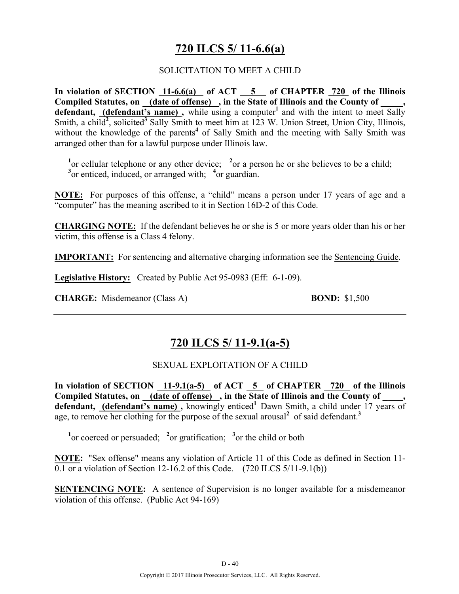# **720 ILCS 5/ 11-6.6(a)**

### SOLICITATION TO MEET A CHILD

**In violation of SECTION 11-6.6(a) of ACT 5 of CHAPTER 720 of the Illinois Compiled Statutes, on (date of offense) , in the State of Illinois and the County of \_\_\_\_\_, defendant, (defendant's name),** while using a computer<sup>1</sup> and with the intent to meet Sally Smith, a child<sup>2</sup>, solicited<sup>3</sup> Sally Smith to meet him at 123 W. Union Street, Union City, Illinois, without the knowledge of the parents<sup>4</sup> of Sally Smith and the meeting with Sally Smith was arranged other than for a lawful purpose under Illinois law.

<sup>1</sup> or cellular telephone or any other device; <sup>2</sup> or a person he or she believes to be a child; <sup>3</sup> or enticed, induced, or arranged with; <sup>4</sup> or guardian.

**NOTE:** For purposes of this offense, a "child" means a person under 17 years of age and a "computer" has the meaning ascribed to it in Section 16D-2 of this Code.

**CHARGING NOTE:** If the defendant believes he or she is 5 or more years older than his or her victim, this offense is a Class 4 felony.

**IMPORTANT:** For sentencing and alternative charging information see the Sentencing Guide.

**Legislative History:** Created by Public Act 95-0983 (Eff: 6-1-09).

**CHARGE:** Misdemeanor (Class A) **BOND:** \$1,500

## **720 ILCS 5/ 11-9.1(a-5)**

### SEXUAL EXPLOITATION OF A CHILD

In violation of SECTION  $11-9.1(a-5)$  of ACT  $5$  of CHAPTER  $720$  of the Illinois Compiled Statutes, on (date of offense), in the State of Illinois and the County of defendant, (defendant's name), knowingly enticed<sup>1</sup> Dawn Smith, a child under 17 years of age, to remove her clothing for the purpose of the sexual arousal<sup>2</sup> of said defendant.<sup>3</sup>

<sup>1</sup><sup>or</sup> coerced or persuaded; <sup>2</sup><sup>or</sup> gratification; <sup>3</sup><sup>or</sup> the child or both

**NOTE:** "Sex offense" means any violation of Article 11 of this Code as defined in Section 11- 0.1 or a violation of Section 12-16.2 of this Code. (720 ILCS 5/11-9.1(b))

**SENTENCING NOTE:** A sentence of Supervision is no longer available for a misdemeanor violation of this offense. (Public Act 94-169)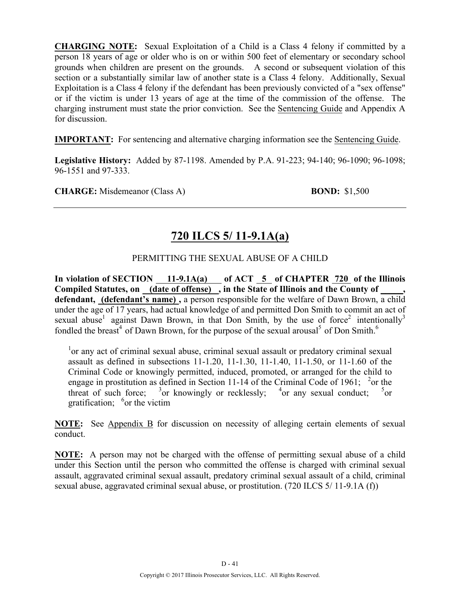**CHARGING NOTE:** Sexual Exploitation of a Child is a Class 4 felony if committed by a person 18 years of age or older who is on or within 500 feet of elementary or secondary school grounds when children are present on the grounds. A second or subsequent violation of this section or a substantially similar law of another state is a Class 4 felony. Additionally, Sexual Exploitation is a Class 4 felony if the defendant has been previously convicted of a "sex offense" or if the victim is under 13 years of age at the time of the commission of the offense. The charging instrument must state the prior conviction. See the Sentencing Guide and Appendix A for discussion.

**IMPORTANT:** For sentencing and alternative charging information see the Sentencing Guide.

**Legislative History:** Added by 87-1198. Amended by P.A. 91-223; 94-140; 96-1090; 96-1098; 96-1551 and 97-333.

**CHARGE:** Misdemeanor (Class A) **BOND:** \$1,500

# **720 ILCS 5/ 11-9.1A(a)**

## PERMITTING THE SEXUAL ABUSE OF A CHILD

In violation of SECTION  $\underline{\hspace{1cm}} 11-9.1A(a)$  of ACT  $\underline{\hspace{1cm}} 5$  of CHAPTER 720 of the Illinois Compiled Statutes, on (date of offense), in the State of Illinois and the County of **defendant, (defendant's name) ,** a person responsible for the welfare of Dawn Brown, a child under the age of 17 years, had actual knowledge of and permitted Don Smith to commit an act of sexual abuse<sup>1</sup> against Dawn Brown, in that Don Smith, by the use of force<sup>2</sup> intentionally<sup>3</sup> fondled the breast<sup>4</sup> of Dawn Brown, for the purpose of the sexual arousal<sup>5</sup> of Don Smith.<sup>6</sup>

<sup>1</sup>or any act of criminal sexual abuse, criminal sexual assault or predatory criminal sexual assault as defined in subsections 11-1.20, 11-1.30, 11-1.40, 11-1.50, or 11-1.60 of the Criminal Code or knowingly permitted, induced, promoted, or arranged for the child to engage in prostitution as defined in Section 11-14 of the Criminal Code of 1961; <sup>2</sup>or the threat of such force;  $3$  or knowingly or recklessly;  $4$  or any sexual conduct;  $5$  $5_{\text{or}}$ gratification; <sup>6</sup> or the victim

**NOTE:** See Appendix B for discussion on necessity of alleging certain elements of sexual conduct.

**NOTE:** A person may not be charged with the offense of permitting sexual abuse of a child under this Section until the person who committed the offense is charged with criminal sexual assault, aggravated criminal sexual assault, predatory criminal sexual assault of a child, criminal sexual abuse, aggravated criminal sexual abuse, or prostitution. (720 ILCS 5/ 11-9.1A (f))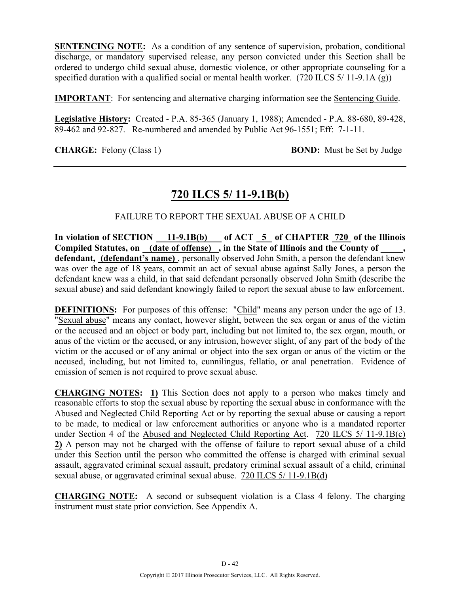**SENTENCING NOTE:** As a condition of any sentence of supervision, probation, conditional discharge, or mandatory supervised release, any person convicted under this Section shall be ordered to undergo child sexual abuse, domestic violence, or other appropriate counseling for a specified duration with a qualified social or mental health worker. (720 ILCS 5/ 11-9.1A (g))

**IMPORTANT**: For sentencing and alternative charging information see the Sentencing Guide.

**Legislative History:** Created - P.A. 85-365 (January 1, 1988); Amended - P.A. 88-680, 89-428, 89-462 and 92-827. Re-numbered and amended by Public Act 96-1551; Eff: 7-1-11.

**CHARGE:** Felony (Class 1) **BOND:** Must be Set by Judge

# **720 ILCS 5/ 11-9.1B(b)**

## FAILURE TO REPORT THE SEXUAL ABUSE OF A CHILD

In violation of SECTION 11-9.1B(b) of ACT 5 of CHAPTER 720 of the Illinois **Compiled Statutes, on (date of offense) , in the State of Illinois and the County of \_\_\_\_\_,**  defendant, (defendant's name), personally observed John Smith, a person the defendant knew was over the age of 18 years, commit an act of sexual abuse against Sally Jones, a person the defendant knew was a child, in that said defendant personally observed John Smith (describe the sexual abuse) and said defendant knowingly failed to report the sexual abuse to law enforcement.

**DEFINITIONS:** For purposes of this offense: "Child" means any person under the age of 13. "Sexual abuse" means any contact, however slight, between the sex organ or anus of the victim or the accused and an object or body part, including but not limited to, the sex organ, mouth, or anus of the victim or the accused, or any intrusion, however slight, of any part of the body of the victim or the accused or of any animal or object into the sex organ or anus of the victim or the accused, including, but not limited to, cunnilingus, fellatio, or anal penetration. Evidence of emission of semen is not required to prove sexual abuse.

**CHARGING NOTES: 1)** This Section does not apply to a person who makes timely and reasonable efforts to stop the sexual abuse by reporting the sexual abuse in conformance with the Abused and Neglected Child Reporting Act or by reporting the sexual abuse or causing a report to be made, to medical or law enforcement authorities or anyone who is a mandated reporter under Section 4 of the Abused and Neglected Child Reporting Act. 720 ILCS 5/ 11-9.1B(c) **2)** A person may not be charged with the offense of failure to report sexual abuse of a child under this Section until the person who committed the offense is charged with criminal sexual assault, aggravated criminal sexual assault, predatory criminal sexual assault of a child, criminal sexual abuse, or aggravated criminal sexual abuse. 720 ILCS 5/ 11-9.1B(d)

**CHARGING NOTE:** A second or subsequent violation is a Class 4 felony. The charging instrument must state prior conviction. See Appendix A.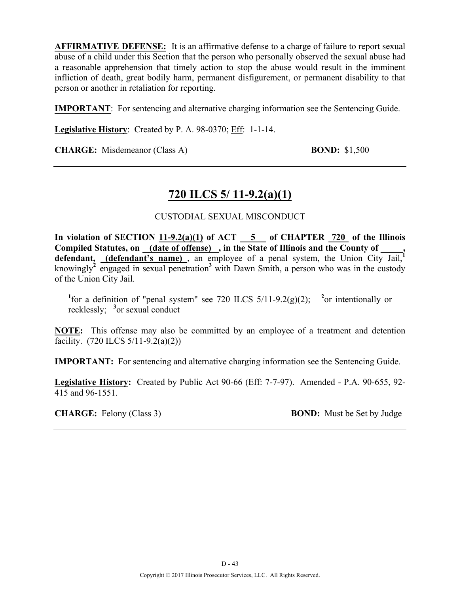**AFFIRMATIVE DEFENSE:** It is an affirmative defense to a charge of failure to report sexual abuse of a child under this Section that the person who personally observed the sexual abuse had a reasonable apprehension that timely action to stop the abuse would result in the imminent infliction of death, great bodily harm, permanent disfigurement, or permanent disability to that person or another in retaliation for reporting.

**IMPORTANT**: For sentencing and alternative charging information see the Sentencing Guide.

**Legislative History**: Created by P. A. 98-0370; Eff: 1-1-14.

**CHARGE:** Misdemeanor (Class A) **BOND:** \$1,500

# **720 ILCS 5/ 11-9.2(a)(1)**

## CUSTODIAL SEXUAL MISCONDUCT

In violation of SECTION  $11-9.2(a)(1)$  of ACT  $-5$  of CHAPTER  $720$  of the Illinois **Compiled Statutes, on (date of offense) , in the State of Illinois and the County of \_\_\_\_\_,**  defendant, <u>(defendant's name)</u>, an employee of a penal system, the Union City Jail,<sup>1</sup> knowingly<sup>2</sup> engaged in sexual penetration<sup>3</sup> with Dawn Smith, a person who was in the custody of the Union City Jail.

<sup>1</sup>for a definition of "penal system" see 720 ILCS  $5/11-9.2(g)(2)$ ; <sup>2</sup> or intentionally or recklessly; **<sup>3</sup>** or sexual conduct

**NOTE:** This offense may also be committed by an employee of a treatment and detention facility.  $(720$  ILCS  $5/11-9.2(a)(2))$ 

**IMPORTANT:** For sentencing and alternative charging information see the Sentencing Guide.

**Legislative History:** Created by Public Act 90-66 (Eff: 7-7-97). Amended - P.A. 90-655, 92- 415 and 96-1551.

**CHARGE:** Felony (Class 3) **BOND:** Must be Set by Judge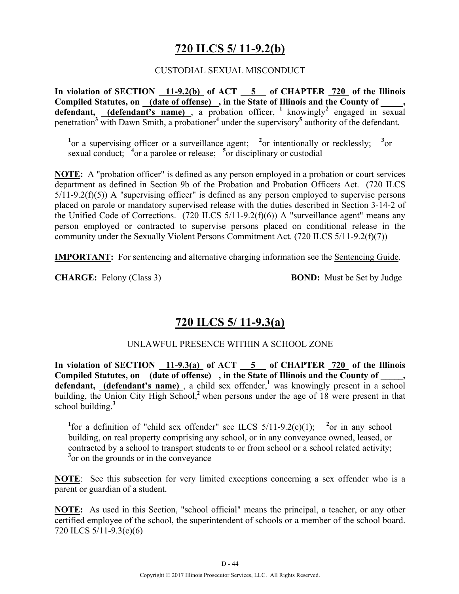# **720 ILCS 5/ 11-9.2(b)**

### CUSTODIAL SEXUAL MISCONDUCT

**In violation of SECTION 11-9.2(b) of ACT 5 of CHAPTER 720 of the Illinois**  Compiled Statutes, on (date of offense), in the State of Illinois and the County of, **defendant, (defendant's name)**, a probation officer, <sup>1</sup> knowingly<sup>2</sup> engaged in sexual penetration**<sup>3</sup>** with Dawn Smith, a probationer**<sup>4</sup>** under the supervisory**<sup>5</sup>** authority of the defendant.

<sup>1</sup><sup>or</sup> a supervising officer or a surveillance agent; <sup>2</sup><sup>or</sup> intentionally or recklessly; <sup>3</sup><sup>or</sup> sexual conduct; <sup>4</sup> or a parolee or release; <sup>5</sup> or disciplinary or custodial

**NOTE:** A "probation officer" is defined as any person employed in a probation or court services department as defined in Section 9b of the Probation and Probation Officers Act. (720 ILCS  $5/11-9.2(f)(5)$ ) A "supervising officer" is defined as any person employed to supervise persons placed on parole or mandatory supervised release with the duties described in Section 3-14-2 of the Unified Code of Corrections. (720 ILCS 5/11-9.2(f)(6)) A "surveillance agent" means any person employed or contracted to supervise persons placed on conditional release in the community under the Sexually Violent Persons Commitment Act. (720 ILCS 5/11-9.2(f)(7))

**IMPORTANT:** For sentencing and alternative charging information see the Sentencing Guide.

**CHARGE:** Felony (Class 3) **BOND:** Must be Set by Judge

# **720 ILCS 5/ 11-9.3(a)**

### UNLAWFUL PRESENCE WITHIN A SCHOOL ZONE

**In violation of SECTION 11-9.3(a) of ACT 5 of CHAPTER 720 of the Illinois**  Compiled Statutes, on \_(date of offense) , in the State of Illinois and the County of \_ defendant, (defendant's name), a child sex offender,<sup>1</sup> was knowingly present in a school building, the Union City High School,<sup>2</sup> when persons under the age of 18 were present in that school building.**<sup>3</sup>**

<sup>1</sup>for a definition of "child sex offender" see ILCS  $5/11-9.2(c)(1)$ ; <sup>2</sup>or in any school building, on real property comprising any school, or in any conveyance owned, leased, or contracted by a school to transport students to or from school or a school related activity; <sup>3</sup> or on the grounds or in the conveyance

**NOTE**: See this subsection for very limited exceptions concerning a sex offender who is a parent or guardian of a student.

**NOTE:** As used in this Section, "school official" means the principal, a teacher, or any other certified employee of the school, the superintendent of schools or a member of the school board. 720 ILCS 5/11-9.3(c)(6)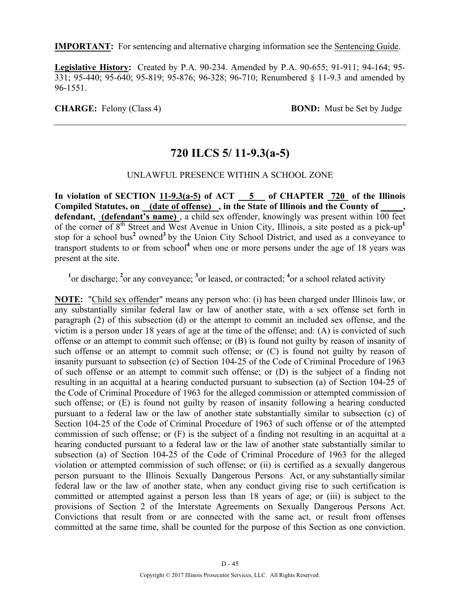**IMPORTANT:** For sentencing and alternative charging information see the Sentencing Guide.

**Legislative History:** Created by P.A. 90-234. Amended by P.A. 90-655; 91-911; 94-164; 95- 331; 95-440; 95-640; 95-819; 95-876; 96-328; 96-710; Renumbered § 11-9.3 and amended by 96-1551.

**CHARGE:** Felony (Class 4) **BOND:** Must be Set by Judge

# **720 ILCS 5/ 11-9.3(a-5)**

### UNLAWFUL PRESENCE WITHIN A SCHOOL ZONE

In violation of SECTION  $11-9.3(a-5)$  of ACT  $-5$  of CHAPTER  $720$  of the Illinois **Compiled Statutes, on (date of offense) , in the State of Illinois and the County of \_\_\_\_\_, defendant, (defendant's name)** , a child sex offender, knowingly was present within 100 feet of the corner of 8<sup>th</sup> Street and West Avenue in Union City, Illinois, a site posted as a pick-up<sup>1</sup> stop for a school bus**<sup>2</sup>** owned**<sup>3</sup>**by the Union City School District, and used as a conveyance to transport students to or from school**<sup>4</sup>** when one or more persons under the age of 18 years was present at the site.

<sup>1</sup><sup>or</sup> discharge; <sup>2</sup><sup>or</sup> any conveyance; <sup>3</sup><sup>or</sup> leased, or contracted; <sup>4</sup><sup>or</sup> a school related activity

**NOTE:** "Child sex offender" means any person who: (i) has been charged under Illinois law, or any substantially similar federal law or law of another state, with a sex offense set forth in paragraph (2) of this subsection (d) or the attempt to commit an included sex offense, and the victim is a person under 18 years of age at the time of the offense; and: (A) is convicted of such offense or an attempt to commit such offense; or (B) is found not guilty by reason of insanity of such offense or an attempt to commit such offense; or (C) is found not guilty by reason of insanity pursuant to subsection (c) of Section 104-25 of the Code of Criminal Procedure of 1963 of such offense or an attempt to commit such offense; or (D) is the subject of a finding not resulting in an acquittal at a hearing conducted pursuant to subsection (a) of Section 104-25 of the Code of Criminal Procedure of 1963 for the alleged commission or attempted commission of such offense; or (E) is found not guilty by reason of insanity following a hearing conducted pursuant to a federal law or the law of another state substantially similar to subsection (c) of Section 104-25 of the Code of Criminal Procedure of 1963 of such offense or of the attempted commission of such offense; or (F) is the subject of a finding not resulting in an acquittal at a hearing conducted pursuant to a federal law or the law of another state substantially similar to subsection (a) of Section 104-25 of the Code of Criminal Procedure of 1963 for the alleged violation or attempted commission of such offense; or (ii) is certified as a sexually dangerous person pursuant to the Illinois Sexually Dangerous Persons Act, or any substantially similar federal law or the law of another state, when any conduct giving rise to such certification is committed or attempted against a person less than 18 years of age; or (iii) is subject to the provisions of Section 2 of the Interstate Agreements on Sexually Dangerous Persons Act. Convictions that result from or are connected with the same act, or result from offenses committed at the same time, shall be counted for the purpose of this Section as one conviction.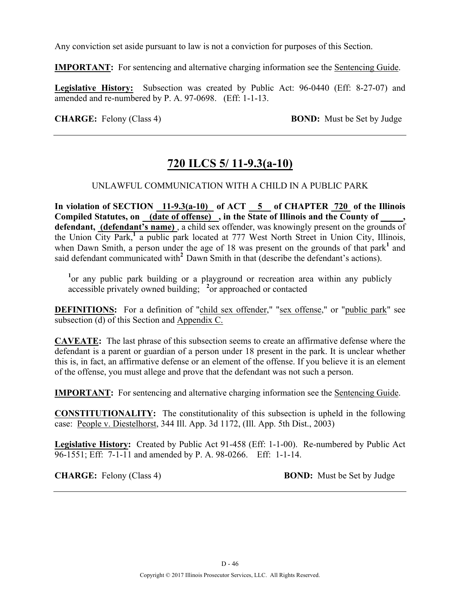Any conviction set aside pursuant to law is not a conviction for purposes of this Section.

**IMPORTANT:** For sentencing and alternative charging information see the Sentencing Guide.

**Legislative History:** Subsection was created by Public Act: 96-0440 (Eff: 8-27-07) and amended and re-numbered by P. A. 97-0698. (Eff: 1-1-13.

**CHARGE:** Felony (Class 4) **BOND:** Must be Set by Judge

# **720 ILCS 5/ 11-9.3(a-10)**

## UNLAWFUL COMMUNICATION WITH A CHILD IN A PUBLIC PARK

**In violation of SECTION 11-9.3(a-10) of ACT 5 of CHAPTER 720 of the Illinois Compiled Statutes, on (date of offense) , in the State of Illinois and the County of \_\_\_\_\_, defendant, (defendant's name)** , a child sex offender, was knowingly present on the grounds of the Union City Park,**<sup>1</sup>** a public park located at 777 West North Street in Union City, Illinois, when Dawn Smith, a person under the age of 18 was present on the grounds of that park<sup>1</sup> and said defendant communicated with<sup>2</sup> Dawn Smith in that (describe the defendant's actions).

<sup>1</sup> or any public park building or a playground or recreation area within any publicly accessible privately owned building; **<sup>2</sup>** or approached or contacted

**DEFINITIONS:** For a definition of "child sex offender," "sex offense," or "public park" see subsection (d) of this Section and Appendix C.

**CAVEATE:** The last phrase of this subsection seems to create an affirmative defense where the defendant is a parent or guardian of a person under 18 present in the park. It is unclear whether this is, in fact, an affirmative defense or an element of the offense. If you believe it is an element of the offense, you must allege and prove that the defendant was not such a person.

**IMPORTANT:** For sentencing and alternative charging information see the Sentencing Guide.

**CONSTITUTIONALITY:** The constitutionality of this subsection is upheld in the following case: People v. Diestelhorst, 344 Ill. App. 3d 1172, (Ill. App. 5th Dist., 2003)

**Legislative History:** Created by Public Act 91-458 (Eff: 1-1-00). Re-numbered by Public Act 96-1551; Eff: 7-1-11 and amended by P. A. 98-0266. Eff: 1-1-14.

**CHARGE:** Felony (Class 4) **BOND:** Must be Set by Judge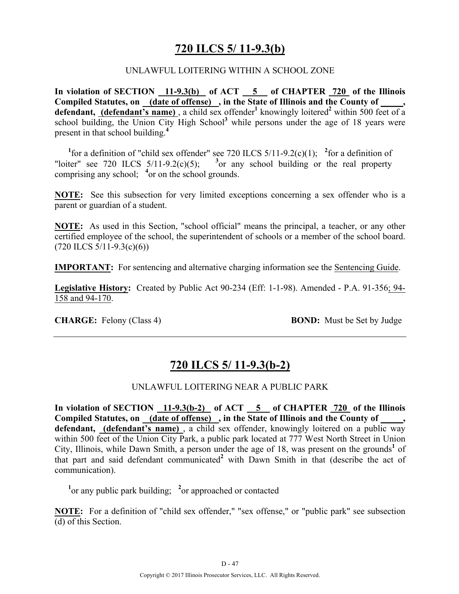## **720 ILCS 5/ 11-9.3(b)**

### UNLAWFUL LOITERING WITHIN A SCHOOL ZONE

**In violation of SECTION 11-9.3(b) of ACT 5 of CHAPTER 720 of the Illinois Compiled Statutes, on (date of offense) , in the State of Illinois and the County of \_\_\_\_\_,**  defendant, (defendant's name), a child sex offender<sup>1</sup> knowingly loitered<sup>2</sup> within 500 feet of a school building, the Union City High School**<sup>3</sup>** while persons under the age of 18 years were present in that school building.**<sup>4</sup>**

<sup>1</sup> for a definition of "child sex offender" see 720 ILCS  $5/11-9.2(c)(1)$ ; <sup>2</sup> for a definition of "loiter" see 720 ILCS  $5/11-9.2(c)(5)$ ; <sup>3</sup> or any school building or the real property comprising any school; **<sup>4</sup>** or on the school grounds.

**NOTE:** See this subsection for very limited exceptions concerning a sex offender who is a parent or guardian of a student.

**NOTE:** As used in this Section, "school official" means the principal, a teacher, or any other certified employee of the school, the superintendent of schools or a member of the school board.  $(720$  ILCS  $5/11-9.3(c)(6)$ 

**IMPORTANT:** For sentencing and alternative charging information see the Sentencing Guide.

**Legislative History:** Created by Public Act 90-234 (Eff: 1-1-98). Amended - P.A. 91-356; 94- 158 and 94-170.

**CHARGE:** Felony (Class 4) **BOND:** Must be Set by Judge

## **720 ILCS 5/ 11-9.3(b-2)**

### UNLAWFUL LOITERING NEAR A PUBLIC PARK

In violation of SECTION 11-9.3(b-2) of ACT 5 of CHAPTER 720 of the Illinois Compiled Statutes, on (date of offense), in the State of Illinois and the County of **defendant, (defendant's name)** , a child sex offender, knowingly loitered on a public way within 500 feet of the Union City Park, a public park located at 777 West North Street in Union City, Illinois, while Dawn Smith, a person under the age of 18, was present on the grounds<sup>1</sup> of that part and said defendant communicated**<sup>2</sup>** with Dawn Smith in that (describe the act of communication).

<sup>1</sup><sup>or</sup> any public park building; <sup>2</sup><sup>or</sup> approached or contacted

**NOTE:** For a definition of "child sex offender," "sex offense," or "public park" see subsection (d) of this Section.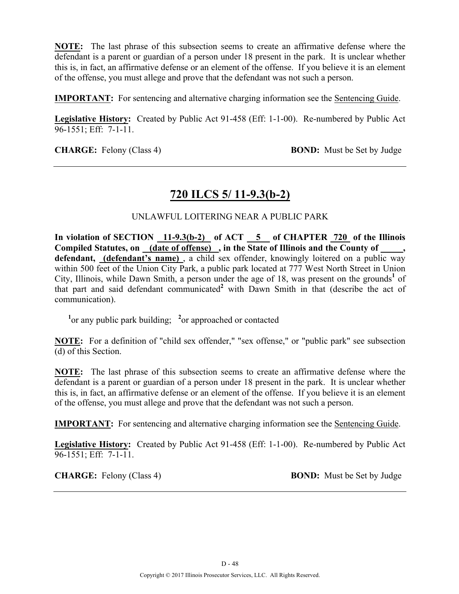**NOTE:** The last phrase of this subsection seems to create an affirmative defense where the defendant is a parent or guardian of a person under 18 present in the park. It is unclear whether this is, in fact, an affirmative defense or an element of the offense. If you believe it is an element of the offense, you must allege and prove that the defendant was not such a person.

**IMPORTANT:** For sentencing and alternative charging information see the Sentencing Guide.

**Legislative History:** Created by Public Act 91-458 (Eff: 1-1-00). Re-numbered by Public Act 96-1551; Eff: 7-1-11.

**CHARGE:** Felony (Class 4) **BOND:** Must be Set by Judge

## **720 ILCS 5/ 11-9.3(b-2)**

## UNLAWFUL LOITERING NEAR A PUBLIC PARK

In violation of SECTION 11-9.3(b-2) of ACT 5 of CHAPTER 720 of the Illinois Compiled Statutes, on (date of offense), in the State of Illinois and the County of **defendant, (defendant's name)** , a child sex offender, knowingly loitered on a public way within 500 feet of the Union City Park, a public park located at 777 West North Street in Union City, Illinois, while Dawn Smith, a person under the age of 18, was present on the grounds<sup>1</sup> of that part and said defendant communicated**<sup>2</sup>** with Dawn Smith in that (describe the act of communication).

<sup>1</sup><sup>or</sup> any public park building; <sup>2</sup><sup>or</sup> approached or contacted

**NOTE:** For a definition of "child sex offender," "sex offense," or "public park" see subsection (d) of this Section.

**NOTE:** The last phrase of this subsection seems to create an affirmative defense where the defendant is a parent or guardian of a person under 18 present in the park. It is unclear whether this is, in fact, an affirmative defense or an element of the offense. If you believe it is an element of the offense, you must allege and prove that the defendant was not such a person.

**IMPORTANT:** For sentencing and alternative charging information see the Sentencing Guide.

**Legislative History:** Created by Public Act 91-458 (Eff: 1-1-00). Re-numbered by Public Act 96-1551; Eff: 7-1-11.

**CHARGE:** Felony (Class 4) **BOND:** Must be Set by Judge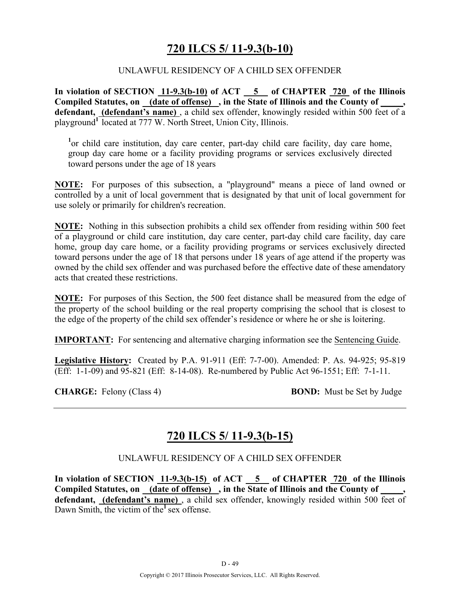# **720 ILCS 5/ 11-9.3(b-10)**

## UNLAWFUL RESIDENCY OF A CHILD SEX OFFENDER

**In violation of SECTION 11-9.3(b-10) of ACT 5 of CHAPTER 720 of the Illinois**  Compiled Statutes, on (date of offense), in the State of Illinois and the County of defendant, (defendant's name), a child sex offender, knowingly resided within 500 feet of a playground**<sup>1</sup>**located at 777 W. North Street, Union City, Illinois.

<sup>1</sup> or child care institution, day care center, part-day child care facility, day care home, group day care home or a facility providing programs or services exclusively directed toward persons under the age of 18 years

**NOTE:** For purposes of this subsection, a "playground" means a piece of land owned or controlled by a unit of local government that is designated by that unit of local government for use solely or primarily for children's recreation.

**NOTE:** Nothing in this subsection prohibits a child sex offender from residing within 500 feet of a playground or child care institution, day care center, part-day child care facility, day care home, group day care home, or a facility providing programs or services exclusively directed toward persons under the age of 18 that persons under 18 years of age attend if the property was owned by the child sex offender and was purchased before the effective date of these amendatory acts that created these restrictions.

**NOTE:** For purposes of this Section, the 500 feet distance shall be measured from the edge of the property of the school building or the real property comprising the school that is closest to the edge of the property of the child sex offender's residence or where he or she is loitering.

**IMPORTANT:** For sentencing and alternative charging information see the Sentencing Guide.

**Legislative History:** Created by P.A. 91-911 (Eff: 7-7-00). Amended: P. As. 94-925; 95-819 (Eff: 1-1-09) and 95-821 (Eff: 8-14-08). Re-numbered by Public Act 96-1551; Eff: 7-1-11.

**CHARGE:** Felony (Class 4) **BOND:** Must be Set by Judge

# **720 ILCS 5/ 11-9.3(b-15)**

### UNLAWFUL RESIDENCY OF A CHILD SEX OFFENDER

In violation of SECTION  $11-9.3(b-15)$  of ACT  $5$  of CHAPTER  $720$  of the Illinois Compiled Statutes, on (date of offense), in the State of Illinois and the County of defendant, (defendant's name), a child sex offender, knowingly resided within 500 feet of Dawn Smith, the victim of the<sup>1</sup> sex offense.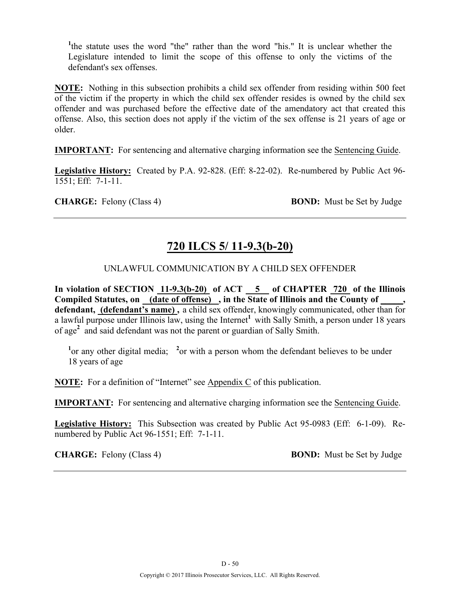<sup>1</sup>the statute uses the word "the" rather than the word "his." It is unclear whether the Legislature intended to limit the scope of this offense to only the victims of the defendant's sex offenses.

**NOTE:** Nothing in this subsection prohibits a child sex offender from residing within 500 feet of the victim if the property in which the child sex offender resides is owned by the child sex offender and was purchased before the effective date of the amendatory act that created this offense. Also, this section does not apply if the victim of the sex offense is 21 years of age or older.

**IMPORTANT:** For sentencing and alternative charging information see the Sentencing Guide.

**Legislative History:** Created by P.A. 92-828. (Eff: 8-22-02). Re-numbered by Public Act 96- 1551; Eff: 7-1-11.

**CHARGE:** Felony (Class 4) **BOND:** Must be Set by Judge

# **720 ILCS 5/ 11-9.3(b-20)**

## UNLAWFUL COMMUNICATION BY A CHILD SEX OFFENDER

**In violation of SECTION 11-9.3(b-20) of ACT 5 of CHAPTER 720 of the Illinois**  Compiled Statutes, on <u>(date of offense)</u>, in the State of Illinois and the County of **defendant, (defendant's name) ,** a child sex offender, knowingly communicated, other than for a lawful purpose under Illinois law, using the Internet<sup>1</sup> with Sally Smith, a person under 18 years of age**<sup>2</sup>** and said defendant was not the parent or guardian of Sally Smith.

<sup>1</sup> or any other digital media; <sup>2</sup> or with a person whom the defendant believes to be under 18 years of age

**NOTE:** For a definition of "Internet" see Appendix C of this publication.

**IMPORTANT:** For sentencing and alternative charging information see the Sentencing Guide.

**Legislative History:** This Subsection was created by Public Act 95-0983 (Eff: 6-1-09). Renumbered by Public Act 96-1551; Eff: 7-1-11.

**CHARGE:** Felony (Class 4) **BOND:** Must be Set by Judge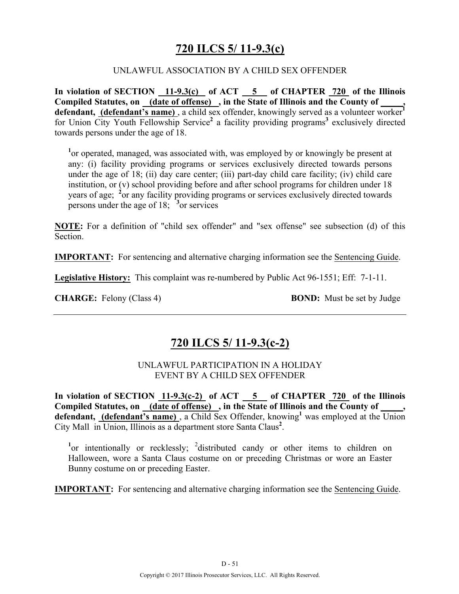# **720 ILCS 5/ 11-9.3(c)**

### UNLAWFUL ASSOCIATION BY A CHILD SEX OFFENDER

**In violation of SECTION 11-9.3(c) of ACT 5 of CHAPTER 720 of the Illinois Compiled Statutes, on (date of offense) , in the State of Illinois and the County of \_\_\_\_\_, defendant, (defendant's name)** , a child sex offender, knowingly served as a volunteer worker**<sup>1</sup>** for Union City Youth Fellowship Service**<sup>2</sup>** a facility providing programs**<sup>3</sup>** exclusively directed towards persons under the age of 18.

<sup>1</sup> or operated, managed, was associated with, was employed by or knowingly be present at any: (i) facility providing programs or services exclusively directed towards persons under the age of 18; (ii) day care center; (iii) part-day child care facility; (iv) child care institution, or (v) school providing before and after school programs for children under 18 years of age; <sup>2</sup> or any facility providing programs or services exclusively directed towards persons under the age of 18; **<sup>3</sup>** or services

**NOTE:** For a definition of "child sex offender" and "sex offense" see subsection (d) of this **Section** 

**IMPORTANT:** For sentencing and alternative charging information see the Sentencing Guide.

**Legislative History:** This complaint was re-numbered by Public Act 96-1551; Eff: 7-1-11.

**CHARGE:** Felony (Class 4) **BOND:** Must be set by Judge

# **720 ILCS 5/ 11-9.3(c-2)**

## UNLAWFUL PARTICIPATION IN A HOLIDAY EVENT BY A CHILD SEX OFFENDER

**In violation of SECTION 11-9.3(c-2) of ACT 5 of CHAPTER 720 of the Illinois**  Compiled Statutes, on (date of offense), in the State of Illinois and the County of **defendant, (defendant's name)** , a Child Sex Offender, knowing**<sup>1</sup>** was employed at the Union City Mall in Union, Illinois as a department store Santa Claus**<sup>2</sup>** .

<sup>1</sup>or intentionally or recklessly; <sup>2</sup> distributed candy or other items to children on Halloween, wore a Santa Claus costume on or preceding Christmas or wore an Easter Bunny costume on or preceding Easter.

**IMPORTANT:** For sentencing and alternative charging information see the Sentencing Guide.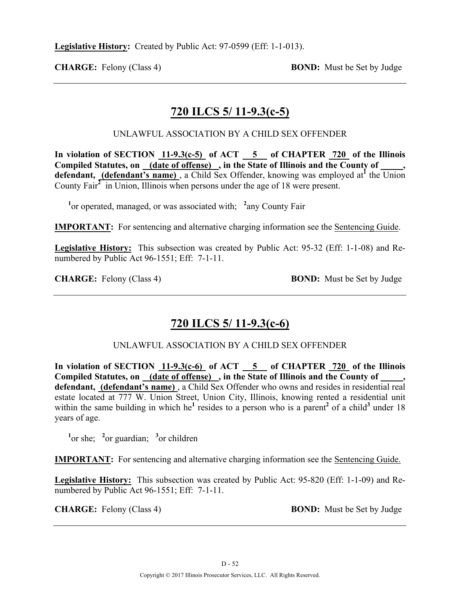**CHARGE:** Felony (Class 4) **BOND:** Must be Set by Judge

# **720 ILCS 5/ 11-9.3(c-5)**

UNLAWFUL ASSOCIATION BY A CHILD SEX OFFENDER

In violation of SECTION  $11-9.3(c-5)$  of ACT  $-5$  of CHAPTER  $720$  of the Illinois **Compiled Statutes, on (date of offense) , in the State of Illinois and the County of \_\_\_\_\_,**  defendant, (defendant's name), a Child Sex Offender, knowing was employed at<sup>1</sup> the Union County Fair<sup>2</sup> in Union, Illinois when persons under the age of 18 were present.

<sup>1</sup> or operated, managed, or was associated with; <sup>2</sup> any County Fair

**IMPORTANT:** For sentencing and alternative charging information see the Sentencing Guide.

**Legislative History:** This subsection was created by Public Act: 95-32 (Eff: 1-1-08) and Renumbered by Public Act 96-1551; Eff: 7-1-11.

**CHARGE:** Felony (Class 4) **BOND:** Must be Set by Judge

# **720 ILCS 5/ 11-9.3(c-6)**

## UNLAWFUL ASSOCIATION BY A CHILD SEX OFFENDER

In violation of SECTION 11-9.3(c-6) of ACT 5 of CHAPTER 720 of the Illinois Compiled Statutes, on (date of offense), in the State of Illinois and the County of **defendant, (defendant's name)** , a Child Sex Offender who owns and resides in residential real estate located at 777 W. Union Street, Union City, Illinois, knowing rented a residential unit within the same building in which he<sup>1</sup> resides to a person who is a parent<sup>2</sup> of a child<sup>3</sup> under 18 years of age.

<sup>1</sup><sup>or</sup> she; <sup>2</sup><sup>or</sup> guardian; <sup>3</sup><sup>or</sup> children

**IMPORTANT:** For sentencing and alternative charging information see the Sentencing Guide.

**Legislative History:** This subsection was created by Public Act: 95-820 (Eff: 1-1-09) and Renumbered by Public Act 96-1551; Eff: 7-1-11.

**CHARGE:** Felony (Class 4) **BOND:** Must be Set by Judge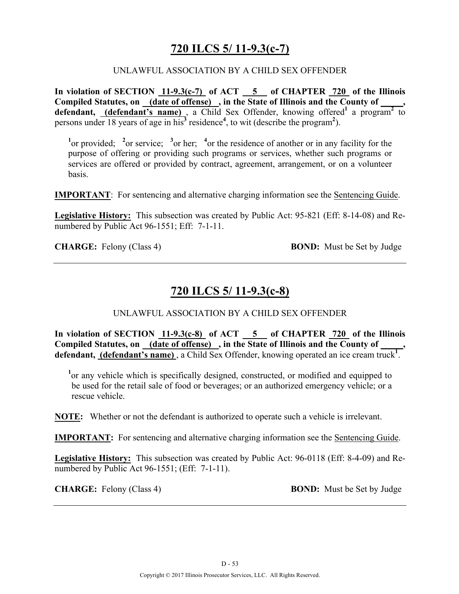# **720 ILCS 5/ 11-9.3(c-7)**

### UNLAWFUL ASSOCIATION BY A CHILD SEX OFFENDER

**In violation of SECTION 11-9.3(c-7) of ACT 5 of CHAPTER 720 of the Illinois**  Compiled Statutes, on (date of offense), in the State of Illinois and the County of defendant, *(defendant's name)*, a Child Sex Offender, knowing offered<sup>1</sup> a program<sup>2</sup> to persons under 18 years of age in his**<sup>3</sup>** residence**<sup>4</sup>** , to wit (describe the program**<sup>2</sup>** ).

<sup>1</sup><sup>or</sup> provided; <sup>2</sup><sup>or service; <sup>3</sup><sup>or her; <sup>4</sup><sup>or</sup> the residence of another or in any facility for the</sup></sup> purpose of offering or providing such programs or services, whether such programs or services are offered or provided by contract, agreement, arrangement, or on a volunteer basis.

**IMPORTANT**: For sentencing and alternative charging information see the Sentencing Guide.

**Legislative History:** This subsection was created by Public Act: 95-821 (Eff: 8-14-08) and Renumbered by Public Act 96-1551; Eff: 7-1-11.

**CHARGE:** Felony (Class 4) **BOND:** Must be Set by Judge

## **720 ILCS 5/ 11-9.3(c-8)**

UNLAWFUL ASSOCIATION BY A CHILD SEX OFFENDER

**In violation of SECTION 11-9.3(c-8) of ACT 5 of CHAPTER 720 of the Illinois**  Compiled Statutes, on <u>(date of offense)</u>, in the State of Illinois and the County of defendant, (defendant's name), a Child Sex Offender, knowing operated an ice cream truck<sup>1</sup>.

<sup>1</sup> or any vehicle which is specifically designed, constructed, or modified and equipped to be used for the retail sale of food or beverages; or an authorized emergency vehicle; or a rescue vehicle.

**NOTE:** Whether or not the defendant is authorized to operate such a vehicle is irrelevant.

**IMPORTANT:** For sentencing and alternative charging information see the Sentencing Guide.

**Legislative History:** This subsection was created by Public Act: 96-0118 (Eff: 8-4-09) and Renumbered by Public Act 96-1551; (Eff: 7-1-11).

**CHARGE:** Felony (Class 4) **BOND:** Must be Set by Judge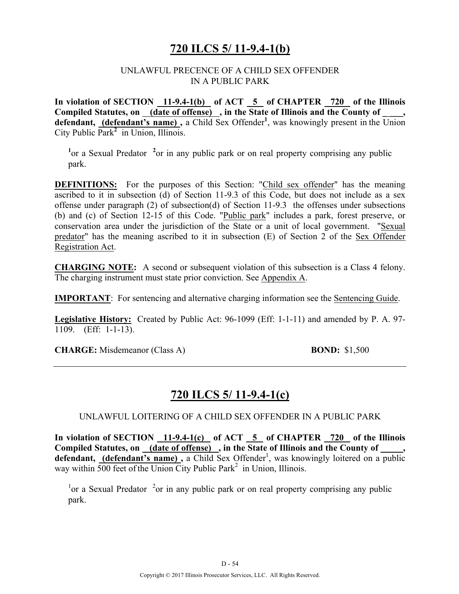## **720 ILCS 5/ 11-9.4-1(b)**

### UNLAWFUL PRECENCE OF A CHILD SEX OFFENDER IN A PUBLIC PARK

In violation of SECTION 11-9.4-1(b) of ACT 5 of CHAPTER 720 of the Illinois Compiled Statutes, on (date of offense), in the State of Illinois and the County of defendant, (defendant's name), a Child Sex Offender<sup>1</sup>, was knowingly present in the Union City Public Park**<sup>2</sup>** in Union, Illinois.

<sup>1</sup> or a Sexual Predator<sup>2</sup> or in any public park or on real property comprising any public park.

**DEFINITIONS:** For the purposes of this Section: "Child sex offender" has the meaning ascribed to it in subsection (d) of Section 11-9.3 of this Code, but does not include as a sex offense under paragraph (2) of subsection(d) of Section 11-9.3 the offenses under subsections (b) and (c) of Section 12-15 of this Code. "Public park" includes a park, forest preserve, or conservation area under the jurisdiction of the State or a unit of local government. "Sexual predator" has the meaning ascribed to it in subsection (E) of Section 2 of the Sex Offender Registration Act.

**CHARGING NOTE:** A second or subsequent violation of this subsection is a Class 4 felony. The charging instrument must state prior conviction. See Appendix A.

**IMPORTANT**: For sentencing and alternative charging information see the Sentencing Guide.

**Legislative History:** Created by Public Act: 96-1099 (Eff: 1-1-11) and amended by P. A. 97- 1109. (Eff: 1-1-13).

**CHARGE:** Misdemeanor (Class A) **BOND:** \$1,500

# **720 ILCS 5/ 11-9.4-1(c)**

### UNLAWFUL LOITERING OF A CHILD SEX OFFENDER IN A PUBLIC PARK

**In violation of SECTION 11-9.4-1(c) of ACT 5 of CHAPTER 720 of the Illinois**  Compiled Statutes, on (date of offense), in the State of Illinois and the County of defendant, (defendant's name), a Child Sex Offender<sup>1</sup>, was knowingly loitered on a public way within  $\overline{500}$  feet of the Union City Public Park<sup>2</sup> in Union, Illinois.

 $\rm{^{1}}$ or a Sexual Predator  $\rm{^{2}}$ or in any public park or on real property comprising any public park.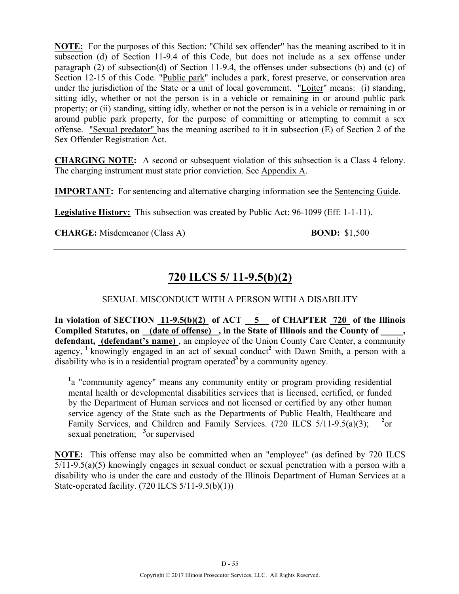**NOTE:** For the purposes of this Section: "Child sex offender" has the meaning ascribed to it in subsection (d) of Section 11-9.4 of this Code, but does not include as a sex offense under paragraph (2) of subsection(d) of Section 11-9.4, the offenses under subsections (b) and (c) of Section 12-15 of this Code. "Public park" includes a park, forest preserve, or conservation area under the jurisdiction of the State or a unit of local government. "Loiter" means: (i) standing, sitting idly, whether or not the person is in a vehicle or remaining in or around public park property; or (ii) standing, sitting idly, whether or not the person is in a vehicle or remaining in or around public park property, for the purpose of committing or attempting to commit a sex offense. "Sexual predator" has the meaning ascribed to it in subsection (E) of Section 2 of the Sex Offender Registration Act.

**CHARGING NOTE:** A second or subsequent violation of this subsection is a Class 4 felony. The charging instrument must state prior conviction. See Appendix A.

**IMPORTANT:** For sentencing and alternative charging information see the Sentencing Guide.

**Legislative History:** This subsection was created by Public Act: 96-1099 (Eff: 1-1-11).

**CHARGE:** Misdemeanor (Class A) **BOND:** \$1,500

# **720 ILCS 5/ 11-9.5(b)(2)**

## SEXUAL MISCONDUCT WITH A PERSON WITH A DISABILITY

In violation of SECTION  $11-9.5(b)(2)$  of ACT  $-5$  of CHAPTER  $720$  of the Illinois **Compiled Statutes, on (date of offense) , in the State of Illinois and the County of \_\_\_\_\_,**  defendant, (defendant's name), an employee of the Union County Care Center, a community agency, <sup>1</sup> knowingly engaged in an act of sexual conduct<sup>2</sup> with Dawn Smith, a person with a disability who is in a residential program operated<sup>3</sup> by a community agency.

<sup>1</sup>a "community agency" means any community entity or program providing residential mental health or developmental disabilities services that is licensed, certified, or funded by the Department of Human services and not licensed or certified by any other human service agency of the State such as the Departments of Public Health, Healthcare and Family Services, and Children and Family Services. (720 ILCS 5/11-9.5(a)(3); **<sup>2</sup>**  $^{2}$ or sexual penetration; <sup>3</sup> or supervised

**NOTE:** This offense may also be committed when an "employee" (as defined by 720 ILCS  $5/11-9.5(a)(5)$  knowingly engages in sexual conduct or sexual penetration with a person with a disability who is under the care and custody of the Illinois Department of Human Services at a State-operated facility.  $(720$  ILCS  $5/11-9.5(b)(1))$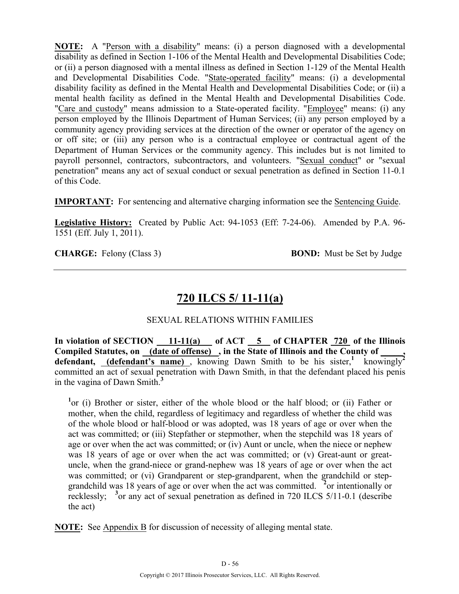**NOTE:** A "Person with a disability" means: (i) a person diagnosed with a developmental disability as defined in Section 1-106 of the Mental Health and Developmental Disabilities Code; or (ii) a person diagnosed with a mental illness as defined in Section 1-129 of the Mental Health and Developmental Disabilities Code. "State-operated facility" means: (i) a developmental disability facility as defined in the Mental Health and Developmental Disabilities Code; or (ii) a mental health facility as defined in the Mental Health and Developmental Disabilities Code. "Care and custody" means admission to a State-operated facility. "Employee" means: (i) any person employed by the Illinois Department of Human Services; (ii) any person employed by a community agency providing services at the direction of the owner or operator of the agency on or off site; or (iii) any person who is a contractual employee or contractual agent of the Department of Human Services or the community agency. This includes but is not limited to payroll personnel, contractors, subcontractors, and volunteers. "Sexual conduct" or "sexual penetration" means any act of sexual conduct or sexual penetration as defined in Section 11-0.1 of this Code.

**IMPORTANT:** For sentencing and alternative charging information see the Sentencing Guide.

**Legislative History:** Created by Public Act: 94-1053 (Eff: 7-24-06). Amended by P.A. 96- 1551 (Eff. July 1, 2011).

**CHARGE:** Felony (Class 3) **BOND:** Must be Set by Judge

# **720 ILCS 5/ 11-11(a)**

## SEXUAL RELATIONS WITHIN FAMILIES

In violation of SECTION 11-11(a) of ACT 5 of CHAPTER 720 of the Illinois Compiled Statutes, on <u>(date of offense)</u>, in the State of Illinois and the County of \_\_\_\_, defendant, **(defendant's name)**, knowing Dawn Smith to be his sister,<sup>1</sup> knowingly<sup>2</sup> committed an act of sexual penetration with Dawn Smith, in that the defendant placed his penis in the vagina of Dawn Smith.**<sup>3</sup>**

<sup>1</sup>or (i) Brother or sister, either of the whole blood or the half blood; or (ii) Father or mother, when the child, regardless of legitimacy and regardless of whether the child was of the whole blood or half-blood or was adopted, was 18 years of age or over when the act was committed; or (iii) Stepfather or stepmother, when the stepchild was 18 years of age or over when the act was committed; or (iv) Aunt or uncle, when the niece or nephew was 18 years of age or over when the act was committed; or (v) Great-aunt or greatuncle, when the grand-niece or grand-nephew was 18 years of age or over when the act was committed; or (vi) Grandparent or step-grandparent, when the grandchild or stepgrandchild was 18 years of age or over when the act was committed. **<sup>2</sup>** or intentionally or recklessly; <sup>3</sup> or any act of sexual penetration as defined in 720 ILCS 5/11-0.1 (describe the act)

**NOTE:** See Appendix B for discussion of necessity of alleging mental state.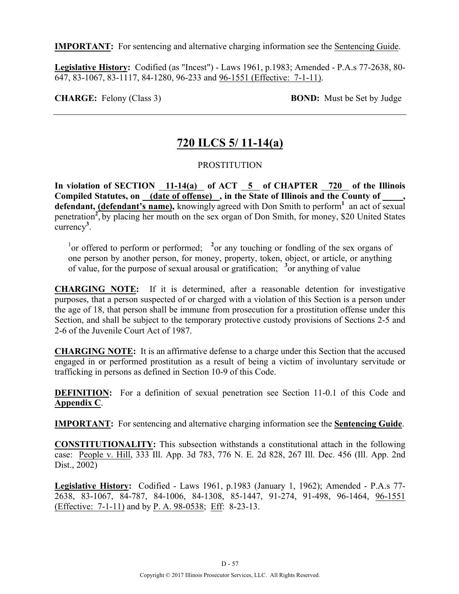**IMPORTANT:** For sentencing and alternative charging information see the Sentencing Guide.

**Legislative History:** Codified (as "Incest") - Laws 1961, p.1983; Amended - P.A.s 77-2638, 80- 647, 83-1067, 83-1117, 84-1280, 96-233 and 96-1551 (Effective: 7-1-11).

**CHARGE:** Felony (Class 3) **BOND:** Must be Set by Judge

# **720 ILCS 5/ 11-14(a)**

## PROSTITUTION

In violation of SECTION 11-14(a) of ACT 5 of CHAPTER 720 of the Illinois Compiled Statutes, on (date of offense), in the State of Illinois and the County of defendant, (defendant's name), knowingly agreed with Don Smith to perform<sup>1</sup> an act of sexual penetration<sup>2</sup>, by placing her mouth on the sex organ of Don Smith, for money, \$20 United States currency**<sup>3</sup>** .

<sup>1</sup> or offered to perform or performed; <sup>2</sup> or any touching or fondling of the sex organs of one person by another person, for money, property, token, object, or article, or anything of value, for the purpose of sexual arousal or gratification; **<sup>3</sup>** or anything of value

**CHARGING NOTE:** If it is determined, after a reasonable detention for investigative purposes, that a person suspected of or charged with a violation of this Section is a person under the age of 18, that person shall be immune from prosecution for a prostitution offense under this Section, and shall be subject to the temporary protective custody provisions of Sections 2-5 and 2-6 of the Juvenile Court Act of 1987.

**CHARGING NOTE:** It is an affirmative defense to a charge under this Section that the accused engaged in or performed prostitution as a result of being a victim of involuntary servitude or trafficking in persons as defined in Section 10-9 of this Code.

**DEFINITION:** For a definition of sexual penetration see Section 11-0.1 of this Code and **Appendix C**.

**IMPORTANT:** For sentencing and alternative charging information see the **Sentencing Guide**.

**CONSTITUTIONALITY:** This subsection withstands a constitutional attach in the following case: People v. Hill, 333 Ill. App. 3d 783, 776 N. E. 2d 828, 267 Ill. Dec. 456 (Ill. App. 2nd Dist., 2002)

**Legislative History:** Codified - Laws 1961, p.1983 (January 1, 1962); Amended - P.A.s 77- 2638, 83-1067, 84-787, 84-1006, 84-1308, 85-1447, 91-274, 91-498, 96-1464, 96-1551 (Effective: 7-1-11) and by P. A. 98-0538; Eff: 8-23-13.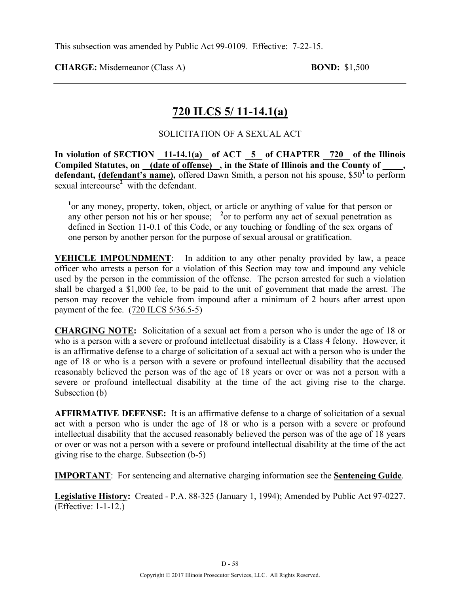**CHARGE:** Misdemeanor (Class A) **BOND:** \$1,500

# **720 ILCS 5/ 11-14.1(a)**

## SOLICITATION OF A SEXUAL ACT

**In violation of SECTION 11-14.1(a) of ACT 5 of CHAPTER 720 of the Illinois**  Compiled Statutes, on (date of offense), in the State of Illinois and the County of **defendant, (defendant's name),** offered Dawn Smith, a person not his spouse, \$50**<sup>1</sup>**to perform sexual intercourse<sup>2</sup> with the defendant.

<sup>1</sup> or any money, property, token, object, or article or anything of value for that person or any other person not his or her spouse; <sup>2</sup> or to perform any act of sexual penetration as defined in Section 11-0.1 of this Code, or any touching or fondling of the sex organs of one person by another person for the purpose of sexual arousal or gratification.

**VEHICLE IMPOUNDMENT**: In addition to any other penalty provided by law, a peace officer who arrests a person for a violation of this Section may tow and impound any vehicle used by the person in the commission of the offense. The person arrested for such a violation shall be charged a \$1,000 fee, to be paid to the unit of government that made the arrest. The person may recover the vehicle from impound after a minimum of 2 hours after arrest upon payment of the fee. (720 ILCS 5/36.5-5)

**CHARGING NOTE:** Solicitation of a sexual act from a person who is under the age of 18 or who is a person with a severe or profound intellectual disability is a Class 4 felony. However, it is an affirmative defense to a charge of solicitation of a sexual act with a person who is under the age of 18 or who is a person with a severe or profound intellectual disability that the accused reasonably believed the person was of the age of 18 years or over or was not a person with a severe or profound intellectual disability at the time of the act giving rise to the charge. Subsection (b)

**AFFIRMATIVE DEFENSE:** It is an affirmative defense to a charge of solicitation of a sexual act with a person who is under the age of 18 or who is a person with a severe or profound intellectual disability that the accused reasonably believed the person was of the age of 18 years or over or was not a person with a severe or profound intellectual disability at the time of the act giving rise to the charge. Subsection (b-5)

**IMPORTANT**: For sentencing and alternative charging information see the **Sentencing Guide**.

**Legislative History:** Created - P.A. 88-325 (January 1, 1994); Amended by Public Act 97-0227. (Effective: 1-1-12.)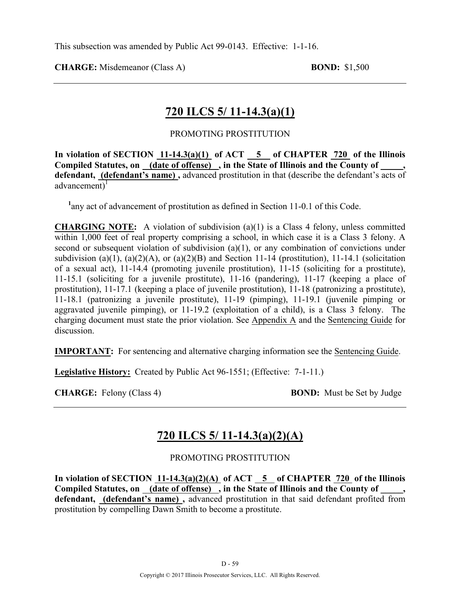**CHARGE:** Misdemeanor (Class A) **BOND:** \$1,500

# **720 ILCS 5/ 11-14.3(a)(1)**

## PROMOTING PROSTITUTION

In violation of SECTION  $11-14.3(a)(1)$  of ACT  $\overline{5}$  of CHAPTER  $\overline{720}$  of the Illinois **Compiled Statutes, on (date of offense) , in the State of Illinois and the County of \_\_\_\_\_, defendant, (defendant's name) ,** advanced prostitution in that (describe the defendant's acts of advancement)<sup>1</sup>

<sup>1</sup>any act of advancement of prostitution as defined in Section 11-0.1 of this Code.

**CHARGING NOTE:** A violation of subdivision (a)(1) is a Class 4 felony, unless committed within 1,000 feet of real property comprising a school, in which case it is a Class 3 felony. A second or subsequent violation of subdivision (a)(1), or any combination of convictions under subdivision (a)(1), (a)(2)(A), or (a)(2)(B) and Section 11-14 (prostitution), 11-14.1 (solicitation of a sexual act), 11-14.4 (promoting juvenile prostitution), 11-15 (soliciting for a prostitute), 11-15.1 (soliciting for a juvenile prostitute), 11-16 (pandering), 11-17 (keeping a place of prostitution), 11-17.1 (keeping a place of juvenile prostitution), 11-18 (patronizing a prostitute), 11-18.1 (patronizing a juvenile prostitute), 11-19 (pimping), 11-19.1 (juvenile pimping or aggravated juvenile pimping), or 11-19.2 (exploitation of a child), is a Class 3 felony. The charging document must state the prior violation. See Appendix A and the Sentencing Guide for discussion.

**IMPORTANT:** For sentencing and alternative charging information see the Sentencing Guide.

**Legislative History:** Created by Public Act 96-1551; (Effective: 7-1-11.)

**CHARGE:** Felony (Class 4) **BOND:** Must be Set by Judge

# **720 ILCS 5/ 11-14.3(a)(2)(A)**

## PROMOTING PROSTITUTION

In violation of SECTION  $11-14.3(a)(2)(A)$  of ACT  $\overline{5}$  of CHAPTER 720 of the Illinois Compiled Statutes, on \_(date of offense) , in the State of Illinois and the County of **defendant, (defendant's name) ,** advanced prostitution in that said defendant profited from prostitution by compelling Dawn Smith to become a prostitute.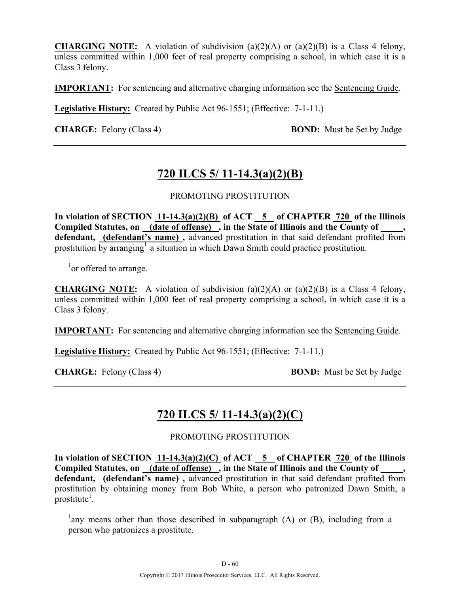**CHARGING NOTE:** A violation of subdivision (a)(2)(A) or (a)(2)(B) is a Class 4 felony, unless committed within 1,000 feet of real property comprising a school, in which case it is a Class 3 felony.

**IMPORTANT:** For sentencing and alternative charging information see the Sentencing Guide.

**Legislative History:** Created by Public Act 96-1551; (Effective: 7-1-11.)

**CHARGE:** Felony (Class 4) **BOND:** Must be Set by Judge

## **720 ILCS 5/ 11-14.3(a)(2)(B)**

PROMOTING PROSTITUTION

**In violation of SECTION 11-14.3(a)(2)(B) of ACT 5 of CHAPTER 720 of the Illinois Compiled Statutes, on (date of offense) , in the State of Illinois and the County of \_\_\_\_\_, defendant, (defendant's name) ,** advanced prostitution in that said defendant profited from prostitution by arranging<sup>1</sup> a situation in which Dawn Smith could practice prostitution.

<sup>1</sup> or offered to arrange.

**CHARGING NOTE:** A violation of subdivision (a)(2)(A) or (a)(2)(B) is a Class 4 felony, unless committed within 1,000 feet of real property comprising a school, in which case it is a Class 3 felony.

**IMPORTANT:** For sentencing and alternative charging information see the Sentencing Guide.

**Legislative History:** Created by Public Act 96-1551; (Effective: 7-1-11.)

**CHARGE:** Felony (Class 4) **BOND:** Must be Set by Judge

## **720 ILCS 5/ 11-14.3(a)(2)(C)**

PROMOTING PROSTITUTION

In violation of SECTION 11-14.3(a)(2)(C) of ACT 5 of CHAPTER 720 of the Illinois Compiled Statutes, on (date of offense), in the State of Illinois and the County of **defendant, (defendant's name) ,** advanced prostitution in that said defendant profited from prostitution by obtaining money from Bob White, a person who patronized Dawn Smith, a prostitute<sup>1</sup>.

<sup>1</sup>any means other than those described in subparagraph (A) or (B), including from a person who patronizes a prostitute.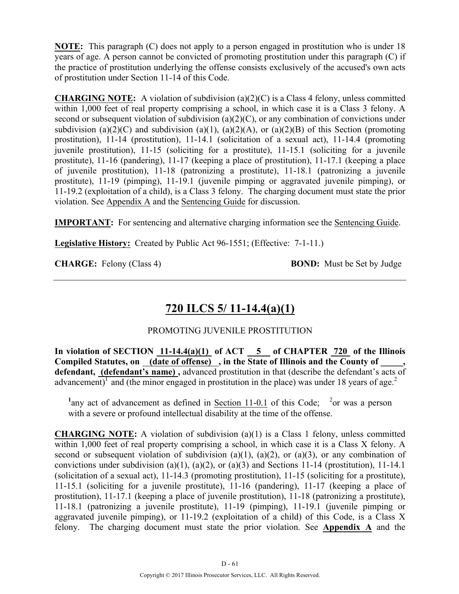**NOTE:** This paragraph (C) does not apply to a person engaged in prostitution who is under 18 years of age. A person cannot be convicted of promoting prostitution under this paragraph (C) if the practice of prostitution underlying the offense consists exclusively of the accused's own acts of prostitution under Section 11-14 of this Code.

**CHARGING NOTE:** A violation of subdivision (a)(2)(C) is a Class 4 felony, unless committed within 1,000 feet of real property comprising a school, in which case it is a Class 3 felony. A second or subsequent violation of subdivision (a)(2)(C), or any combination of convictions under subdivision (a)(2)(C) and subdivision (a)(1), (a)(2)(A), or (a)(2)(B) of this Section (promoting prostitution), 11-14 (prostitution), 11-14.1 (solicitation of a sexual act), 11-14.4 (promoting juvenile prostitution), 11-15 (soliciting for a prostitute), 11-15.1 (soliciting for a juvenile prostitute), 11-16 (pandering), 11-17 (keeping a place of prostitution), 11-17.1 (keeping a place of juvenile prostitution), 11-18 (patronizing a prostitute), 11-18.1 (patronizing a juvenile prostitute), 11-19 (pimping), 11-19.1 (juvenile pimping or aggravated juvenile pimping), or 11-19.2 (exploitation of a child), is a Class 3 felony. The charging document must state the prior violation. See Appendix A and the Sentencing Guide for discussion.

**IMPORTANT:** For sentencing and alternative charging information see the **Sentencing Guide**.

**Legislative History:** Created by Public Act 96-1551; (Effective: 7-1-11.)

**CHARGE:** Felony (Class 4) **BOND:** Must be Set by Judge

# **720 ILCS 5/ 11-14.4(a)(1)**

## PROMOTING JUVENILE PROSTITUTION

**In violation of SECTION 11-14.4(a)(1) of ACT 5 of CHAPTER 720 of the Illinois**  Compiled Statutes, on <u>(date of offense)</u>, in the State of Illinois and the County of defendant, (defendant's name), advanced prostitution in that (describe the defendant's acts of advancement)<sup>1</sup> and (the minor engaged in prostitution in the place) was under 18 years of age.<sup>2</sup>

<sup>1</sup>any act of advancement as defined in <u>Section 11-0.1</u> of this Code; <sup>2</sup>or was a person with a severe or profound intellectual disability at the time of the offense.

**CHARGING NOTE:** A violation of subdivision (a)(1) is a Class 1 felony, unless committed within 1,000 feet of real property comprising a school, in which case it is a Class X felony. A second or subsequent violation of subdivision (a)(1), (a)(2), or (a)(3), or any combination of convictions under subdivision (a)(1), (a)(2), or (a)(3) and Sections 11-14 (prostitution), 11-14.1 (solicitation of a sexual act), 11-14.3 (promoting prostitution), 11-15 (soliciting for a prostitute), 11-15.1 (soliciting for a juvenile prostitute), 11-16 (pandering), 11-17 (keeping a place of prostitution), 11-17.1 (keeping a place of juvenile prostitution), 11-18 (patronizing a prostitute), 11-18.1 (patronizing a juvenile prostitute), 11-19 (pimping), 11-19.1 (juvenile pimping or aggravated juvenile pimping), or 11-19.2 (exploitation of a child) of this Code, is a Class X felony. The charging document must state the prior violation. See **Appendix A** and the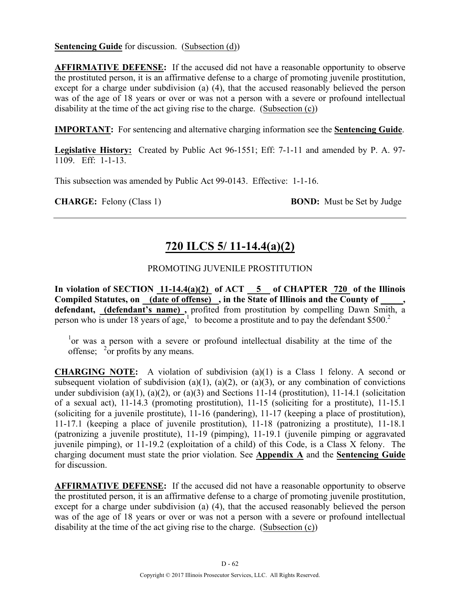**Sentencing Guide** for discussion. (Subsection (d))

**AFFIRMATIVE DEFENSE:** If the accused did not have a reasonable opportunity to observe the prostituted person, it is an affirmative defense to a charge of promoting juvenile prostitution, except for a charge under subdivision (a) (4), that the accused reasonably believed the person was of the age of 18 years or over or was not a person with a severe or profound intellectual disability at the time of the act giving rise to the charge. (Subsection (c))

**IMPORTANT:** For sentencing and alternative charging information see the **Sentencing Guide**.

**Legislative History:** Created by Public Act 96-1551; Eff: 7-1-11 and amended by P. A. 97- 1109. Eff: 1-1-13.

This subsection was amended by Public Act 99-0143. Effective: 1-1-16.

**CHARGE:** Felony (Class 1) **BOND:** Must be Set by Judge

# **720 ILCS 5/ 11-14.4(a)(2)**

## PROMOTING JUVENILE PROSTITUTION

In violation of SECTION  $11-14.4(a)(2)$  of ACT  $\overline{5}$  of CHAPTER 720 of the Illinois Compiled Statutes, on (date of offense), in the State of Illinois and the County of **defendant, (defendant's name) ,** profited from prostitution by compelling Dawn Smith, a person who is under 18 years of age,<sup>1</sup> to become a prostitute and to pay the defendant \$500.<sup>2</sup>

<sup>1</sup>or was a person with a severe or profound intellectual disability at the time of the offense;  $\frac{2}{\pi}$  profits by any means.

**CHARGING NOTE:** A violation of subdivision (a)(1) is a Class 1 felony. A second or subsequent violation of subdivision (a)(1), (a)(2), or (a)(3), or any combination of convictions under subdivision (a)(1), (a)(2), or (a)(3) and Sections 11-14 (prostitution), 11-14.1 (solicitation of a sexual act), 11-14.3 (promoting prostitution), 11-15 (soliciting for a prostitute), 11-15.1 (soliciting for a juvenile prostitute), 11-16 (pandering), 11-17 (keeping a place of prostitution), 11-17.1 (keeping a place of juvenile prostitution), 11-18 (patronizing a prostitute), 11-18.1 (patronizing a juvenile prostitute), 11-19 (pimping), 11-19.1 (juvenile pimping or aggravated juvenile pimping), or 11-19.2 (exploitation of a child) of this Code, is a Class X felony. The charging document must state the prior violation. See **Appendix A** and the **Sentencing Guide** for discussion.

**AFFIRMATIVE DEFENSE:** If the accused did not have a reasonable opportunity to observe the prostituted person, it is an affirmative defense to a charge of promoting juvenile prostitution, except for a charge under subdivision (a) (4), that the accused reasonably believed the person was of the age of 18 years or over or was not a person with a severe or profound intellectual disability at the time of the act giving rise to the charge. (Subsection (c))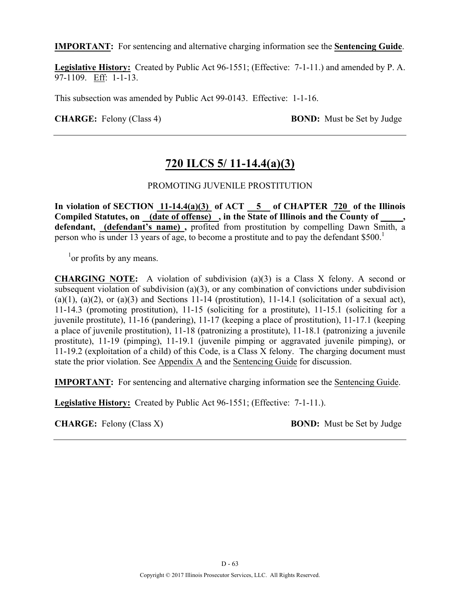**IMPORTANT:** For sentencing and alternative charging information see the **Sentencing Guide**.

**Legislative History:** Created by Public Act 96-1551; (Effective: 7-1-11.) and amended by P. A. 97-1109. Eff: 1-1-13.

This subsection was amended by Public Act 99-0143. Effective: 1-1-16.

**CHARGE:** Felony (Class 4) **BOND:** Must be Set by Judge

# **720 ILCS 5/ 11-14.4(a)(3)**

## PROMOTING JUVENILE PROSTITUTION

**In violation of SECTION 11-14.4(a)(3) of ACT 5 of CHAPTER 720 of the Illinois Compiled Statutes, on (date of offense) , in the State of Illinois and the County of \_\_\_\_\_, defendant, (defendant's name) ,** profited from prostitution by compelling Dawn Smith, a person who is under 13 years of age, to become a prostitute and to pay the defendant \$500.<sup>1</sup>

<sup>1</sup> or profits by any means.

**CHARGING NOTE:** A violation of subdivision (a)(3) is a Class X felony. A second or subsequent violation of subdivision (a)(3), or any combination of convictions under subdivision  $(a)(1)$ ,  $(a)(2)$ , or  $(a)(3)$  and Sections 11-14 (prostitution), 11-14.1 (solicitation of a sexual act), 11-14.3 (promoting prostitution), 11-15 (soliciting for a prostitute), 11-15.1 (soliciting for a juvenile prostitute), 11-16 (pandering), 11-17 (keeping a place of prostitution), 11-17.1 (keeping a place of juvenile prostitution), 11-18 (patronizing a prostitute), 11-18.1 (patronizing a juvenile prostitute), 11-19 (pimping), 11-19.1 (juvenile pimping or aggravated juvenile pimping), or 11-19.2 (exploitation of a child) of this Code, is a Class X felony. The charging document must state the prior violation. See Appendix A and the Sentencing Guide for discussion.

**IMPORTANT:** For sentencing and alternative charging information see the Sentencing Guide.

**Legislative History:** Created by Public Act 96-1551; (Effective: 7-1-11.).

**CHARGE:** Felony (Class X) **BOND:** Must be Set by Judge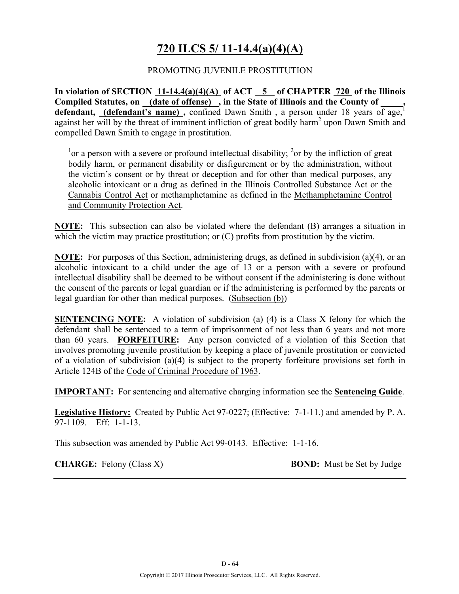# **720 ILCS 5/ 11-14.4(a)(4)(A)**

## PROMOTING JUVENILE PROSTITUTION

**In violation of SECTION 11-14.4(a)(4)(A) of ACT 5 of CHAPTER 720 of the Illinois**  Compiled Statutes, on (date of offense), in the State of Illinois and the County of defendant, (defendant's name), confined Dawn Smith, a person under 18 years of age,<sup>1</sup> against her will by the threat of imminent infliction of great bodily harm<sup>2</sup> upon Dawn Smith and compelled Dawn Smith to engage in prostitution.

<sup>1</sup> or a person with a severe or profound intellectual disability; <sup>2</sup> or by the infliction of great bodily harm, or permanent disability or disfigurement or by the administration, without the victim's consent or by threat or deception and for other than medical purposes, any alcoholic intoxicant or a drug as defined in the Illinois Controlled Substance Act or the Cannabis Control Act or methamphetamine as defined in the Methamphetamine Control and Community Protection Act.

**NOTE:** This subsection can also be violated where the defendant (B) arranges a situation in which the victim may practice prostitution; or (C) profits from prostitution by the victim.

**NOTE:** For purposes of this Section, administering drugs, as defined in subdivision (a)(4), or an alcoholic intoxicant to a child under the age of 13 or a person with a severe or profound intellectual disability shall be deemed to be without consent if the administering is done without the consent of the parents or legal guardian or if the administering is performed by the parents or legal guardian for other than medical purposes. (Subsection (b))

**SENTENCING NOTE:** A violation of subdivision (a) (4) is a Class X felony for which the defendant shall be sentenced to a term of imprisonment of not less than 6 years and not more than 60 years. **FORFEITURE:** Any person convicted of a violation of this Section that involves promoting juvenile prostitution by keeping a place of juvenile prostitution or convicted of a violation of subdivision (a)(4) is subject to the property forfeiture provisions set forth in Article 124B of the Code of Criminal Procedure of 1963.

**IMPORTANT:** For sentencing and alternative charging information see the **Sentencing Guide**.

**Legislative History:** Created by Public Act 97-0227; (Effective: 7-1-11.) and amended by P. A. 97-1109. Eff: 1-1-13.

This subsection was amended by Public Act 99-0143. Effective: 1-1-16.

**CHARGE:** Felony (Class X) **BOND:** Must be Set by Judge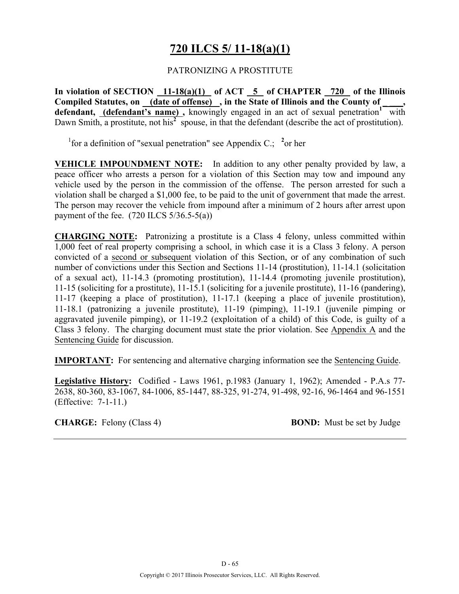# **720 ILCS 5/ 11-18(a)(1)**

## PATRONIZING A PROSTITUTE

**In violation of SECTION 11-18(a)(1) of ACT 5 of CHAPTER 720 of the Illinois**  Compiled Statutes, on (date of offense), in the State of Illinois and the County of defendant, *(defendant's name)*, knowingly engaged in an act of sexual penetration<sup>1</sup> with Dawn Smith, a prostitute, not his<sup>2</sup> spouse, in that the defendant (describe the act of prostitution).

<sup>1</sup> for a definition of "sexual penetration" see Appendix C.; <sup>2</sup> or her

**VEHICLE IMPOUNDMENT NOTE:** In addition to any other penalty provided by law, a peace officer who arrests a person for a violation of this Section may tow and impound any vehicle used by the person in the commission of the offense. The person arrested for such a violation shall be charged a \$1,000 fee, to be paid to the unit of government that made the arrest. The person may recover the vehicle from impound after a minimum of 2 hours after arrest upon payment of the fee.  $(720$  ILCS  $5/36.5-5(a)$ )

**CHARGING NOTE:** Patronizing a prostitute is a Class 4 felony, unless committed within 1,000 feet of real property comprising a school, in which case it is a Class 3 felony. A person convicted of a second or subsequent violation of this Section, or of any combination of such number of convictions under this Section and Sections 11-14 (prostitution), 11-14.1 (solicitation of a sexual act), 11-14.3 (promoting prostitution), 11-14.4 (promoting juvenile prostitution), 11-15 (soliciting for a prostitute), 11-15.1 (soliciting for a juvenile prostitute), 11-16 (pandering), 11-17 (keeping a place of prostitution), 11-17.1 (keeping a place of juvenile prostitution), 11-18.1 (patronizing a juvenile prostitute), 11-19 (pimping), 11-19.1 (juvenile pimping or aggravated juvenile pimping), or 11-19.2 (exploitation of a child) of this Code, is guilty of a Class 3 felony. The charging document must state the prior violation. See Appendix A and the Sentencing Guide for discussion.

**IMPORTANT:** For sentencing and alternative charging information see the Sentencing Guide.

**Legislative History:** Codified - Laws 1961, p.1983 (January 1, 1962); Amended - P.A.s 77- 2638, 80-360, 83-1067, 84-1006, 85-1447, 88-325, 91-274, 91-498, 92-16, 96-1464 and 96-1551 (Effective: 7-1-11.)

**CHARGE:** Felony (Class 4) **BOND:** Must be set by Judge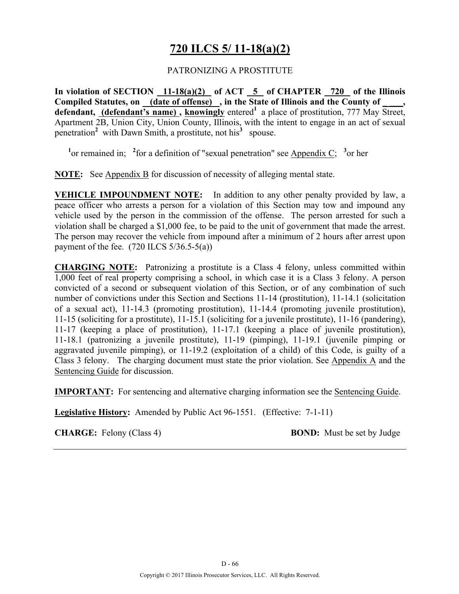# **720 ILCS 5/ 11-18(a)(2)**

## PATRONIZING A PROSTITUTE

**In violation of SECTION 11-18(a)(2) of ACT 5 of CHAPTER 720 of the Illinois**  Compiled Statutes, on (date of offense), in the State of Illinois and the County of defendant, (defendant's name), knowingly entered<sup>1</sup> a place of prostitution, 777 May Street, Apartment 2B, Union City, Union County, Illinois, with the intent to engage in an act of sexual penetration<sup>2</sup> with Dawn Smith, a prostitute, not his<sup>3</sup> spouse.

<sup>1</sup> or remained in; <sup>2</sup> for a definition of "sexual penetration" see Appendix C; <sup>3</sup> or her

**NOTE:** See Appendix B for discussion of necessity of alleging mental state.

**VEHICLE IMPOUNDMENT NOTE:** In addition to any other penalty provided by law, a peace officer who arrests a person for a violation of this Section may tow and impound any vehicle used by the person in the commission of the offense. The person arrested for such a violation shall be charged a \$1,000 fee, to be paid to the unit of government that made the arrest. The person may recover the vehicle from impound after a minimum of 2 hours after arrest upon payment of the fee.  $(720$  ILCS  $5/36.5-5(a)$ )

**CHARGING NOTE:** Patronizing a prostitute is a Class 4 felony, unless committed within 1,000 feet of real property comprising a school, in which case it is a Class 3 felony. A person convicted of a second or subsequent violation of this Section, or of any combination of such number of convictions under this Section and Sections 11-14 (prostitution), 11-14.1 (solicitation of a sexual act), 11-14.3 (promoting prostitution), 11-14.4 (promoting juvenile prostitution), 11-15 (soliciting for a prostitute), 11-15.1 (soliciting for a juvenile prostitute), 11-16 (pandering), 11-17 (keeping a place of prostitution), 11-17.1 (keeping a place of juvenile prostitution), 11-18.1 (patronizing a juvenile prostitute), 11-19 (pimping), 11-19.1 (juvenile pimping or aggravated juvenile pimping), or 11-19.2 (exploitation of a child) of this Code, is guilty of a Class 3 felony. The charging document must state the prior violation. See Appendix A and the Sentencing Guide for discussion.

**IMPORTANT:** For sentencing and alternative charging information see the Sentencing Guide.

**Legislative History:** Amended by Public Act 96-1551. (Effective: 7-1-11)

**CHARGE:** Felony (Class 4) **BOND:** Must be set by Judge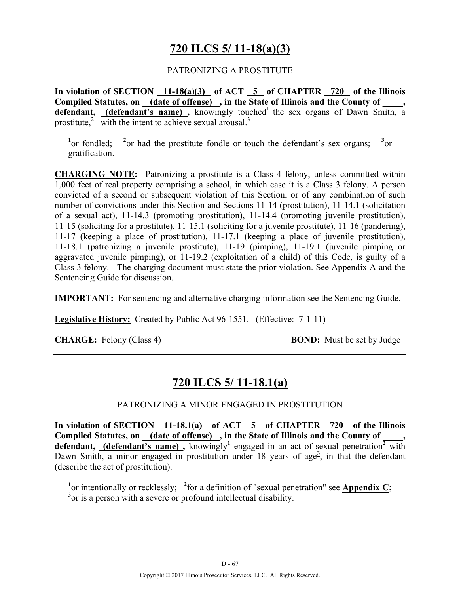# **720 ILCS 5/ 11-18(a)(3)**

### PATRONIZING A PROSTITUTE

**In violation of SECTION 11-18(a)(3) of ACT 5 of CHAPTER 720 of the Illinois**  Compiled Statutes, on (date of offense), in the State of Illinois and the County of defendant, (defendant's name), knowingly touched<sup>1</sup> the sex organs of Dawn Smith, a prostitute, $\frac{2}{3}$  with the intent to achieve sexual arousal.<sup>3</sup>

 $\frac{1}{2}$  or fondled;  $\frac{2}{2}$ <sup>2</sup> or had the prostitute fondle or touch the defendant's sex organs;  $3_{\text{or}}$ gratification.

**CHARGING NOTE:** Patronizing a prostitute is a Class 4 felony, unless committed within 1,000 feet of real property comprising a school, in which case it is a Class 3 felony. A person convicted of a second or subsequent violation of this Section, or of any combination of such number of convictions under this Section and Sections 11-14 (prostitution), 11-14.1 (solicitation of a sexual act), 11-14.3 (promoting prostitution), 11-14.4 (promoting juvenile prostitution), 11-15 (soliciting for a prostitute), 11-15.1 (soliciting for a juvenile prostitute), 11-16 (pandering), 11-17 (keeping a place of prostitution), 11-17.1 (keeping a place of juvenile prostitution), 11-18.1 (patronizing a juvenile prostitute), 11-19 (pimping), 11-19.1 (juvenile pimping or aggravated juvenile pimping), or 11-19.2 (exploitation of a child) of this Code, is guilty of a Class 3 felony. The charging document must state the prior violation. See Appendix A and the Sentencing Guide for discussion.

**IMPORTANT:** For sentencing and alternative charging information see the Sentencing Guide.

**Legislative History:** Created by Public Act 96-1551. (Effective: 7-1-11)

**CHARGE:** Felony (Class 4) **BOND:** Must be set by Judge

# **720 ILCS 5/ 11-18.1(a)**

### PATRONIZING A MINOR ENGAGED IN PROSTITUTION

**In violation of SECTION 11-18.1(a) of ACT 5 of CHAPTER 720 of the Illinois**  Compiled Statutes, on <u>(date of offense)</u>, in the State of Illinois and the County of defendant, **(defendant's name)**, knowingly<sup>1</sup> engaged in an act of sexual penetration<sup>2</sup> with Dawn Smith, a minor engaged in prostitution under 18 years of age<sup>3</sup>, in that the defendant (describe the act of prostitution).

<sup>1</sup> or intentionally or recklessly; <sup>2</sup> for a definition of "sexual penetration" see **Appendix C**; <sup>3</sup> or is a person with a severe or profound intellectual disability.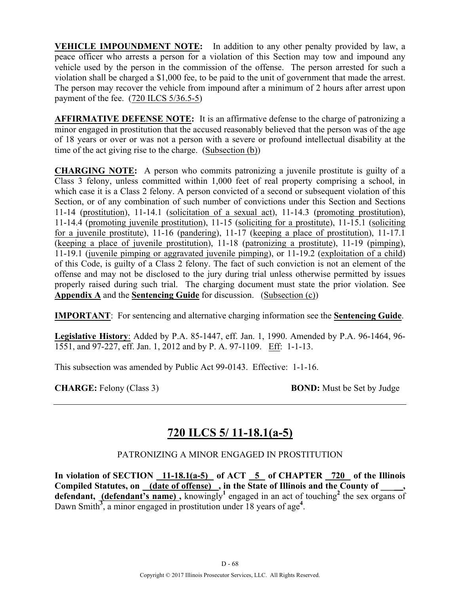**VEHICLE IMPOUNDMENT NOTE:** In addition to any other penalty provided by law, a peace officer who arrests a person for a violation of this Section may tow and impound any vehicle used by the person in the commission of the offense. The person arrested for such a violation shall be charged a \$1,000 fee, to be paid to the unit of government that made the arrest. The person may recover the vehicle from impound after a minimum of 2 hours after arrest upon payment of the fee. (720 ILCS 5/36.5-5)

**AFFIRMATIVE DEFENSE NOTE:** It is an affirmative defense to the charge of patronizing a minor engaged in prostitution that the accused reasonably believed that the person was of the age of 18 years or over or was not a person with a severe or profound intellectual disability at the time of the act giving rise to the charge. (Subsection (b))

**CHARGING NOTE:** A person who commits patronizing a juvenile prostitute is guilty of a Class 3 felony, unless committed within 1,000 feet of real property comprising a school, in which case it is a Class 2 felony. A person convicted of a second or subsequent violation of this Section, or of any combination of such number of convictions under this Section and Sections 11-14 (prostitution), 11-14.1 (solicitation of a sexual act), 11-14.3 (promoting prostitution), 11-14.4 (promoting juvenile prostitution), 11-15 (soliciting for a prostitute), 11-15.1 (soliciting for a juvenile prostitute), 11-16 (pandering), 11-17 (keeping a place of prostitution), 11-17.1 (keeping a place of juvenile prostitution), 11-18 (patronizing a prostitute), 11-19 (pimping), 11-19.1 (juvenile pimping or aggravated juvenile pimping), or 11-19.2 (exploitation of a child) of this Code, is guilty of a Class 2 felony. The fact of such conviction is not an element of the offense and may not be disclosed to the jury during trial unless otherwise permitted by issues properly raised during such trial. The charging document must state the prior violation. See **Appendix A** and the **Sentencing Guide** for discussion. (Subsection (c))

**IMPORTANT**: For sentencing and alternative charging information see the **Sentencing Guide**.

**Legislative History**: Added by P.A. 85-1447, eff. Jan. 1, 1990. Amended by P.A. 96-1464, 96- 1551, and 97-227, eff. Jan. 1, 2012 and by P. A. 97-1109. Eff: 1-1-13.

This subsection was amended by Public Act 99-0143. Effective: 1-1-16.

**CHARGE:** Felony (Class 3) **BOND:** Must be Set by Judge

# **720 ILCS 5/ 11-18.1(a-5)**

## PATRONIZING A MINOR ENGAGED IN PROSTITUTION

In violation of SECTION  $\overline{11-18.1(a-5)}$  of ACT  $\overline{5}$  of CHAPTER  $\overline{720}$  of the Illinois **Compiled Statutes, on (date of offense) , in the State of Illinois and the County of \_\_\_\_\_, defendant, (defendant's name),** knowingly<sup>1</sup> engaged in an act of touching<sup>2</sup> the sex organs of Dawn Smith<sup>3</sup>, a minor engaged in prostitution under 18 years of age<sup>4</sup>.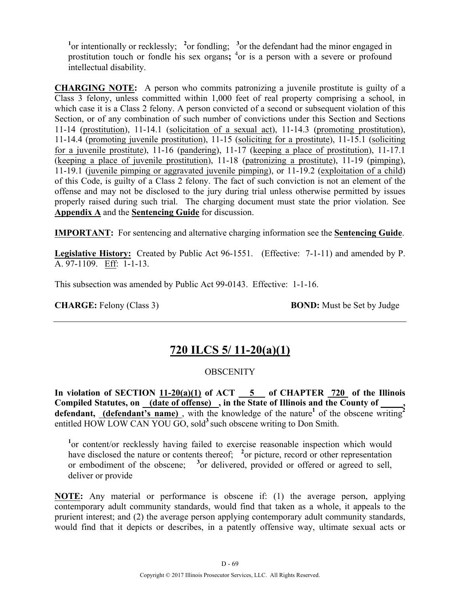<sup>1</sup> or intentionally or recklessly; <sup>2</sup> or fondling; <sup>3</sup> or the defendant had the minor engaged in prostitution touch or fondle his sex organs; <sup>4</sup>or is a person with a severe or profound intellectual disability.

**CHARGING NOTE:** A person who commits patronizing a juvenile prostitute is guilty of a Class 3 felony, unless committed within 1,000 feet of real property comprising a school, in which case it is a Class 2 felony. A person convicted of a second or subsequent violation of this Section, or of any combination of such number of convictions under this Section and Sections 11-14 (prostitution), 11-14.1 (solicitation of a sexual act), 11-14.3 (promoting prostitution), 11-14.4 (promoting juvenile prostitution), 11-15 (soliciting for a prostitute), 11-15.1 (soliciting for a juvenile prostitute), 11-16 (pandering), 11-17 (keeping a place of prostitution), 11-17.1 (keeping a place of juvenile prostitution), 11-18 (patronizing a prostitute), 11-19 (pimping), 11-19.1 (juvenile pimping or aggravated juvenile pimping), or 11-19.2 (exploitation of a child) of this Code, is guilty of a Class 2 felony. The fact of such conviction is not an element of the offense and may not be disclosed to the jury during trial unless otherwise permitted by issues properly raised during such trial. The charging document must state the prior violation. See **Appendix A** and the **Sentencing Guide** for discussion.

**IMPORTANT:** For sentencing and alternative charging information see the **Sentencing Guide**.

**Legislative History:** Created by Public Act 96-1551. (Effective: 7-1-11) and amended by P. A. 97-1109. Eff: 1-1-13.

This subsection was amended by Public Act 99-0143. Effective: 1-1-16.

**CHARGE:** Felony (Class 3) **BOND:** Must be Set by Judge

# **720 ILCS 5/ 11-20(a)(1)**

### **OBSCENITY**

**In violation of SECTION 11-20(a)(1) of ACT 5 of CHAPTER 720 of the Illinois**  Compiled Statutes, on (date of offense), in the State of Illinois and the County of **defendant, (defendant's name)**, with the knowledge of the nature<sup>1</sup> of the obscene writing<sup>2</sup> entitled HOW LOW CAN YOU GO, sold**<sup>3</sup>**such obscene writing to Don Smith.

<sup>1</sup>or content/or recklessly having failed to exercise reasonable inspection which would have disclosed the nature or contents thereof; <sup>2</sup> or picture, record or other representation or embodiment of the obscene; <sup>3</sup> or delivered, provided or offered or agreed to sell, deliver or provide

**NOTE:** Any material or performance is obscene if: (1) the average person, applying contemporary adult community standards, would find that taken as a whole, it appeals to the prurient interest; and (2) the average person applying contemporary adult community standards, would find that it depicts or describes, in a patently offensive way, ultimate sexual acts or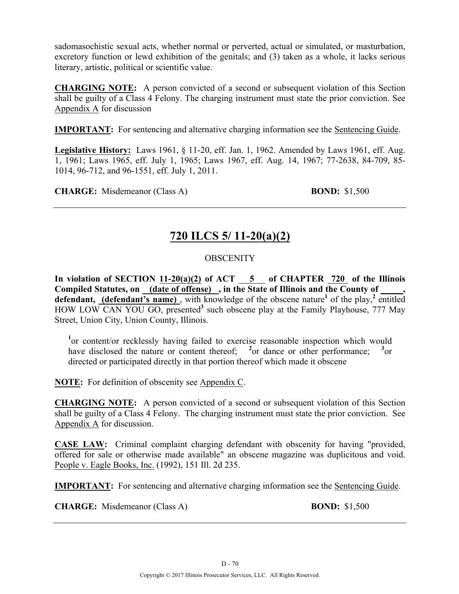sadomasochistic sexual acts, whether normal or perverted, actual or simulated, or masturbation, excretory function or lewd exhibition of the genitals; and (3) taken as a whole, it lacks serious literary, artistic, political or scientific value.

**CHARGING NOTE:** A person convicted of a second or subsequent violation of this Section shall be guilty of a Class 4 Felony. The charging instrument must state the prior conviction. See Appendix A for discussion

**IMPORTANT:** For sentencing and alternative charging information see the Sentencing Guide.

**Legislative History:** Laws 1961, § 11-20, eff. Jan. 1, 1962. Amended by Laws 1961, eff. Aug. 1, 1961; Laws 1965, eff. July 1, 1965; Laws 1967, eff. Aug. 14, 1967; 77-2638, 84-709, 85- 1014, 96-712, and 96-1551, eff. July 1, 2011.

**CHARGE:** Misdemeanor (Class A) **BOND:** \$1,500

# **720 ILCS 5/ 11-20(a)(2)**

## **OBSCENITY**

In violation of SECTION  $11-20(a)(2)$  of ACT  $-5$  of CHAPTER  $720$  of the Illinois Compiled Statutes, on **(date of offense)**, in the State of Illinois and the County of **defendant, (defendant's name)** , with knowledge of the obscene nature**<sup>1</sup>** of the play,**<sup>2</sup>** entitled HOW LOW CAN YOU GO, presented**<sup>3</sup>** such obscene play at the Family Playhouse, 777 May Street, Union City, Union County, Illinois.

<sup>1</sup>or content/or recklessly having failed to exercise reasonable inspection which would have disclosed the nature or content thereof; <sup>2</sup> or dance or other performance; <sup>3</sup>  $3_{\text{or}}$ directed or participated directly in that portion thereof which made it obscene

**NOTE:** For definition of obscenity see Appendix C.

**CHARGING NOTE:** A person convicted of a second or subsequent violation of this Section shall be guilty of a Class 4 Felony. The charging instrument must state the prior conviction. See Appendix A for discussion.

**CASE LAW:** Criminal complaint charging defendant with obscenity for having "provided, offered for sale or otherwise made available" an obscene magazine was duplicitous and void. People v. Eagle Books, Inc. (1992), 151 Ill. 2d 235.

**IMPORTANT:** For sentencing and alternative charging information see the Sentencing Guide.

**CHARGE:** Misdemeanor (Class A) **BOND:** \$1,500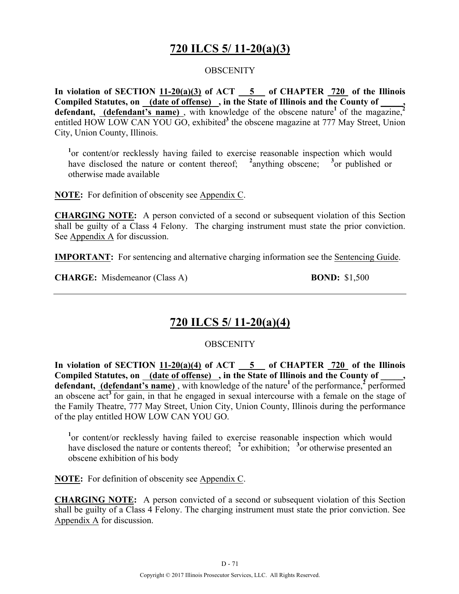# **720 ILCS 5/ 11-20(a)(3)**

## **OBSCENITY**

**In violation of SECTION 11-20(a)(3) of ACT 5 of CHAPTER 720 of the Illinois**  Compiled Statutes, on **(date of offense)**, in the State of Illinois and the County of defendant, **(defendant's name)**, with knowledge of the obscene nature<sup>1</sup> of the magazine,<sup>2</sup> entitled HOW LOW CAN YOU GO, exhibited<sup>3</sup> the obscene magazine at 777 May Street, Union City, Union County, Illinois.

<sup>1</sup> or content/or recklessly having failed to exercise reasonable inspection which would have disclosed the nature or content thereof; <sup>2</sup>anything obscene; <sup>3</sup> or published or otherwise made available

**NOTE:** For definition of obscenity see Appendix C.

**CHARGING NOTE:** A person convicted of a second or subsequent violation of this Section shall be guilty of a Class 4 Felony. The charging instrument must state the prior conviction. See Appendix A for discussion.

**IMPORTANT:** For sentencing and alternative charging information see the Sentencing Guide.

**CHARGE:** Misdemeanor (Class A) **BOND:** \$1,500

# **720 ILCS 5/ 11-20(a)(4)**

## **OBSCENITY**

**In violation of SECTION 11-20(a)(4) of ACT 5 of CHAPTER 720 of the Illinois**  Compiled Statutes, on (date of offense), in the State of Illinois and the County of **defendant, (defendant's name)**, with knowledge of the nature<sup>1</sup> of the performance,<sup> $\frac{2}{3}$ </sup> performed an obscene act<sup>3</sup> for gain, in that he engaged in sexual intercourse with a female on the stage of the Family Theatre, 777 May Street, Union City, Union County, Illinois during the performance of the play entitled HOW LOW CAN YOU GO.

<sup>1</sup> or content/or recklessly having failed to exercise reasonable inspection which would have disclosed the nature or contents thereof; <sup>2</sup> or exhibition; <sup>3</sup> or otherwise presented an obscene exhibition of his body

**NOTE:** For definition of obscenity see Appendix C.

**CHARGING NOTE:** A person convicted of a second or subsequent violation of this Section shall be guilty of a Class 4 Felony. The charging instrument must state the prior conviction. See Appendix A for discussion.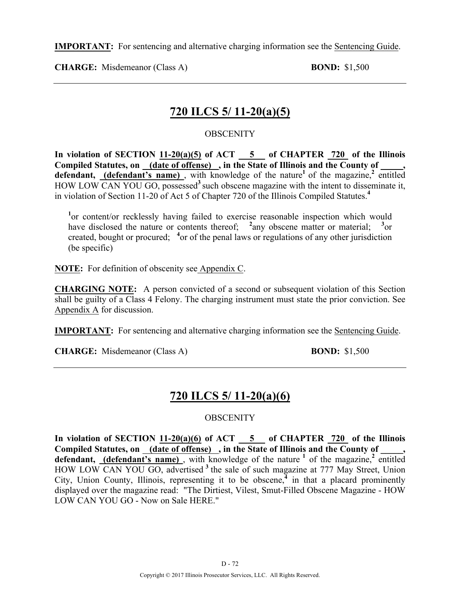**IMPORTANT:** For sentencing and alternative charging information see the Sentencing Guide.

**CHARGE:** Misdemeanor (Class A) **BOND:** \$1,500

# **720 ILCS 5/ 11-20(a)(5)**

## **OBSCENITY**

**In violation of SECTION 11-20(a)(5) of ACT 5 of CHAPTER 720 of the Illinois**  Compiled Statutes, on <u>(date of offense)</u>, in the State of Illinois and the County of **defendant, (defendant's name)**, with knowledge of the nature<sup>1</sup> of the magazine,<sup>2</sup> entitled HOW LOW CAN YOU GO, possessed**<sup>3</sup>**such obscene magazine with the intent to disseminate it, in violation of Section 11-20 of Act 5 of Chapter 720 of the Illinois Compiled Statutes.**<sup>4</sup>**

<sup>1</sup> or content/or recklessly having failed to exercise reasonable inspection which would have disclosed the nature or contents thereof;  $\frac{2}{2}$  any obscene matter or material;  $\frac{3}{2}$  or created, bought or procured; <sup>4</sup> or of the penal laws or regulations of any other jurisdiction (be specific)

**NOTE:** For definition of obscenity see Appendix C.

**CHARGING NOTE:** A person convicted of a second or subsequent violation of this Section shall be guilty of a Class 4 Felony. The charging instrument must state the prior conviction. See Appendix A for discussion.

**IMPORTANT:** For sentencing and alternative charging information see the Sentencing Guide.

**CHARGE:** Misdemeanor (Class A) **BOND:** \$1,500

# **720 ILCS 5/ 11-20(a)(6)**

## **OBSCENITY**

**In violation of SECTION 11-20(a)(6) of ACT 5 of CHAPTER 720 of the Illinois**  Compiled Statutes, on (date of offense), in the State of Illinois and the County of **defendant, (defendant's name)** , with knowledge of the nature **<sup>1</sup>** of the magazine,**<sup>2</sup>** entitled HOW LOW CAN YOU GO, advertised **<sup>3</sup>**the sale of such magazine at 777 May Street, Union City, Union County, Illinois, representing it to be obscene,<sup>4</sup> in that a placard prominently displayed over the magazine read: "The Dirtiest, Vilest, Smut-Filled Obscene Magazine - HOW LOW CAN YOU GO - Now on Sale HERE."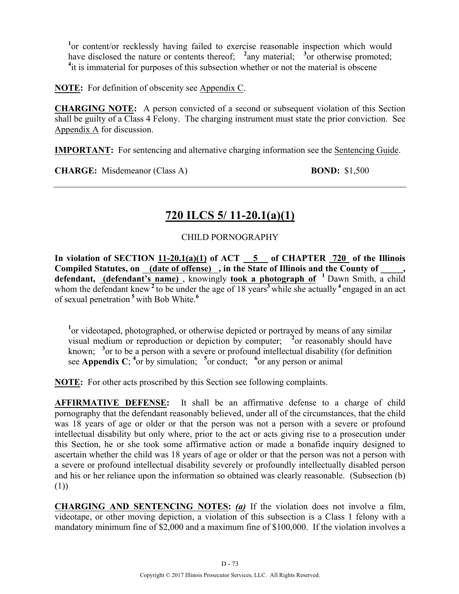<sup>1</sup> or content/or recklessly having failed to exercise reasonable inspection which would have disclosed the nature or contents thereof; <sup>2</sup>any material; <sup>3</sup> or otherwise promoted; <sup>4</sup>it is immaterial for purposes of this subsection whether or not the material is obscene

**NOTE:** For definition of obscenity see Appendix C.

**CHARGING NOTE:** A person convicted of a second or subsequent violation of this Section shall be guilty of a Class 4 Felony. The charging instrument must state the prior conviction. See Appendix A for discussion.

**IMPORTANT:** For sentencing and alternative charging information see the Sentencing Guide.

**CHARGE:** Misdemeanor (Class A) **BOND:** \$1,500

# **720 ILCS 5/ 11-20.1(a)(1)**

## CHILD PORNOGRAPHY

**In violation of SECTION 11-20.1(a)(1) of ACT 5 of CHAPTER 720 of the Illinois Compiled Statutes, on (date of offense) , in the State of Illinois and the County of \_\_\_\_\_, defendant, (defendant's name)** , knowingly **took a photograph of <sup>1</sup>** Dawn Smith, a child whom the defendant knew  $2$  to be under the age of 18 years<sup>3</sup> while she actually  $4$  engaged in an act of sexual penetration **<sup>5</sup>**with Bob White.**<sup>6</sup>**

<sup>1</sup> or videotaped, photographed, or otherwise depicted or portrayed by means of any similar visual medium or reproduction or depiction by computer; <sup>2</sup> or reasonably should have known; <sup>3</sup> or to be a person with a severe or profound intellectual disability (for definition see **Appendix C**; <sup>4</sup> or by simulation; <sup>5</sup> or conduct; <sup>6</sup> or any person or animal

**NOTE:** For other acts proscribed by this Section see following complaints.

**AFFIRMATIVE DEFENSE:** It shall be an affirmative defense to a charge of child pornography that the defendant reasonably believed, under all of the circumstances, that the child was 18 years of age or older or that the person was not a person with a severe or profound intellectual disability but only where, prior to the act or acts giving rise to a prosecution under this Section, he or she took some affirmative action or made a bonafide inquiry designed to ascertain whether the child was 18 years of age or older or that the person was not a person with a severe or profound intellectual disability severely or profoundly intellectually disabled person and his or her reliance upon the information so obtained was clearly reasonable. (Subsection (b) (1))

**CHARGING AND SENTENCING NOTES:** *(a)* If the violation does not involve a film, videotape, or other moving depiction, a violation of this subsection is a Class 1 felony with a mandatory minimum fine of \$2,000 and a maximum fine of \$100,000. If the violation involves a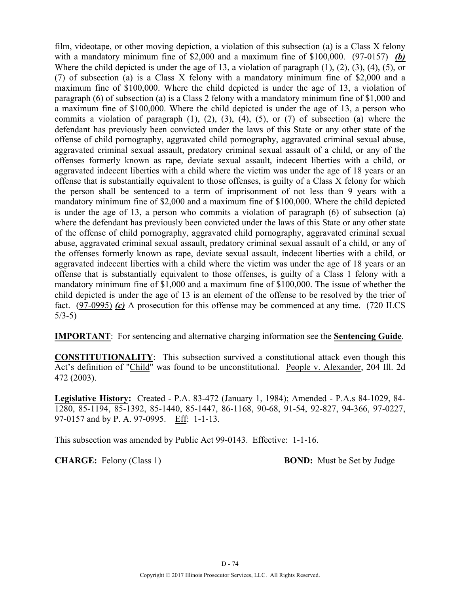film, videotape, or other moving depiction, a violation of this subsection (a) is a Class X felony with a mandatory minimum fine of \$2,000 and a maximum fine of \$100,000. (97-0157) *(b)* Where the child depicted is under the age of 13, a violation of paragraph (1), (2), (3), (4), (5), or (7) of subsection (a) is a Class X felony with a mandatory minimum fine of \$2,000 and a maximum fine of \$100,000. Where the child depicted is under the age of 13, a violation of paragraph (6) of subsection (a) is a Class 2 felony with a mandatory minimum fine of \$1,000 and a maximum fine of \$100,000. Where the child depicted is under the age of 13, a person who commits a violation of paragraph  $(1)$ ,  $(2)$ ,  $(3)$ ,  $(4)$ ,  $(5)$ , or  $(7)$  of subsection  $(a)$  where the defendant has previously been convicted under the laws of this State or any other state of the offense of child pornography, aggravated child pornography, aggravated criminal sexual abuse, aggravated criminal sexual assault, predatory criminal sexual assault of a child, or any of the offenses formerly known as rape, deviate sexual assault, indecent liberties with a child, or aggravated indecent liberties with a child where the victim was under the age of 18 years or an offense that is substantially equivalent to those offenses, is guilty of a Class X felony for which the person shall be sentenced to a term of imprisonment of not less than 9 years with a mandatory minimum fine of \$2,000 and a maximum fine of \$100,000. Where the child depicted is under the age of 13, a person who commits a violation of paragraph (6) of subsection (a) where the defendant has previously been convicted under the laws of this State or any other state of the offense of child pornography, aggravated child pornography, aggravated criminal sexual abuse, aggravated criminal sexual assault, predatory criminal sexual assault of a child, or any of the offenses formerly known as rape, deviate sexual assault, indecent liberties with a child, or aggravated indecent liberties with a child where the victim was under the age of 18 years or an offense that is substantially equivalent to those offenses, is guilty of a Class 1 felony with a mandatory minimum fine of \$1,000 and a maximum fine of \$100,000. The issue of whether the child depicted is under the age of 13 is an element of the offense to be resolved by the trier of fact. (97-0995) *(c)* A prosecution for this offense may be commenced at any time. (720 ILCS 5/3-5)

**IMPORTANT**: For sentencing and alternative charging information see the **Sentencing Guide**.

**CONSTITUTIONALITY**: This subsection survived a constitutional attack even though this Act's definition of "Child" was found to be unconstitutional. People v. Alexander, 204 Ill. 2d 472 (2003).

**Legislative History:** Created - P.A. 83-472 (January 1, 1984); Amended - P.A.s 84-1029, 84- 1280, 85-1194, 85-1392, 85-1440, 85-1447, 86-1168, 90-68, 91-54, 92-827, 94-366, 97-0227, 97-0157 and by P. A. 97-0995. Eff: 1-1-13.

This subsection was amended by Public Act 99-0143. Effective: 1-1-16.

**CHARGE:** Felony (Class 1) **BOND:** Must be Set by Judge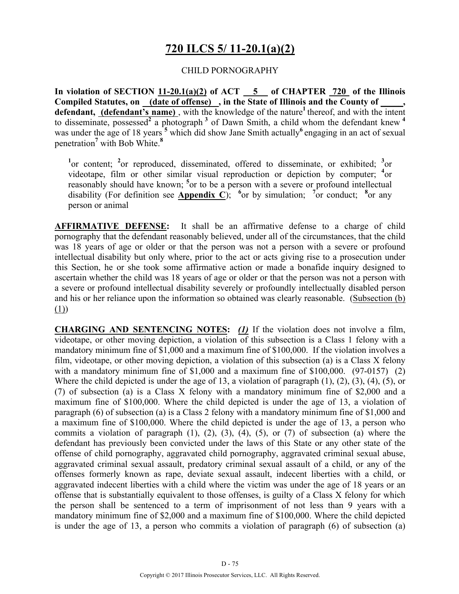# **720 ILCS 5/ 11-20.1(a)(2)**

### CHILD PORNOGRAPHY

**In violation of SECTION 11-20.1(a)(2) of ACT 5 of CHAPTER 720 of the Illinois Compiled Statutes, on (date of offense) , in the State of Illinois and the County of \_\_\_\_\_,**  defendant, (defendant's name), with the knowledge of the nature<sup>1</sup> thereof, and with the intent to disseminate, possessed<sup>2</sup> a photograph<sup>3</sup> of Dawn Smith, a child whom the defendant knew<sup>4</sup> was under the age of 18 years<sup>5</sup> which did show Jane Smith actually<sup>6</sup> engaging in an act of sexual penetration**<sup>7</sup>** with Bob White.**<sup>8</sup>**

<sup>1</sup><sup>or</sup> content; <sup>2</sup><sup>or</sup> reproduced, disseminated, offered to disseminate, or exhibited; <sup>3</sup><sup>or</sup> videotape, film or other similar visual reproduction or depiction by computer; **<sup>4</sup>** or reasonably should have known; <sup>5</sup> or to be a person with a severe or profound intellectual disability (For definition see **Appendix C**); <sup>6</sup> or by simulation; <sup>7</sup> or conduct; <sup>8</sup> or any person or animal

**AFFIRMATIVE DEFENSE:** It shall be an affirmative defense to a charge of child pornography that the defendant reasonably believed, under all of the circumstances, that the child was 18 years of age or older or that the person was not a person with a severe or profound intellectual disability but only where, prior to the act or acts giving rise to a prosecution under this Section, he or she took some affirmative action or made a bonafide inquiry designed to ascertain whether the child was 18 years of age or older or that the person was not a person with a severe or profound intellectual disability severely or profoundly intellectually disabled person and his or her reliance upon the information so obtained was clearly reasonable. (Subsection (b) (1))

**CHARGING AND SENTENCING NOTES:** *(1)* If the violation does not involve a film, videotape, or other moving depiction, a violation of this subsection is a Class 1 felony with a mandatory minimum fine of \$1,000 and a maximum fine of \$100,000. If the violation involves a film, videotape, or other moving depiction, a violation of this subsection (a) is a Class X felony with a mandatory minimum fine of \$1,000 and a maximum fine of \$100,000. (97-0157) (2) Where the child depicted is under the age of 13, a violation of paragraph (1), (2), (3), (4), (5), or (7) of subsection (a) is a Class X felony with a mandatory minimum fine of \$2,000 and a maximum fine of \$100,000. Where the child depicted is under the age of 13, a violation of paragraph (6) of subsection (a) is a Class 2 felony with a mandatory minimum fine of \$1,000 and a maximum fine of \$100,000. Where the child depicted is under the age of 13, a person who commits a violation of paragraph  $(1)$ ,  $(2)$ ,  $(3)$ ,  $(4)$ ,  $(5)$ , or  $(7)$  of subsection  $(a)$  where the defendant has previously been convicted under the laws of this State or any other state of the offense of child pornography, aggravated child pornography, aggravated criminal sexual abuse, aggravated criminal sexual assault, predatory criminal sexual assault of a child, or any of the offenses formerly known as rape, deviate sexual assault, indecent liberties with a child, or aggravated indecent liberties with a child where the victim was under the age of 18 years or an offense that is substantially equivalent to those offenses, is guilty of a Class X felony for which the person shall be sentenced to a term of imprisonment of not less than 9 years with a mandatory minimum fine of \$2,000 and a maximum fine of \$100,000. Where the child depicted is under the age of 13, a person who commits a violation of paragraph (6) of subsection (a)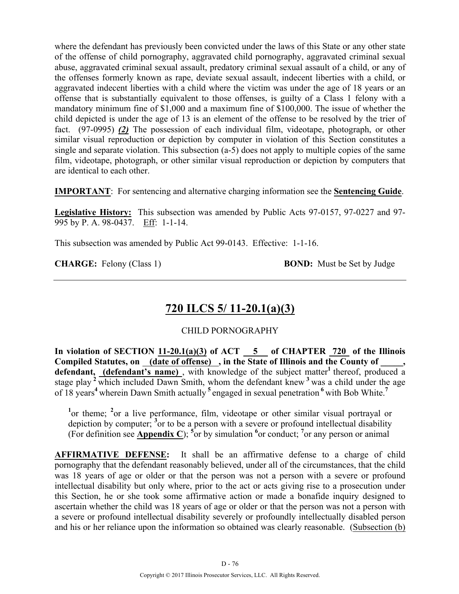where the defendant has previously been convicted under the laws of this State or any other state of the offense of child pornography, aggravated child pornography, aggravated criminal sexual abuse, aggravated criminal sexual assault, predatory criminal sexual assault of a child, or any of the offenses formerly known as rape, deviate sexual assault, indecent liberties with a child, or aggravated indecent liberties with a child where the victim was under the age of 18 years or an offense that is substantially equivalent to those offenses, is guilty of a Class 1 felony with a mandatory minimum fine of \$1,000 and a maximum fine of \$100,000. The issue of whether the child depicted is under the age of 13 is an element of the offense to be resolved by the trier of fact. (97-0995) *(2)* The possession of each individual film, videotape, photograph, or other similar visual reproduction or depiction by computer in violation of this Section constitutes a single and separate violation. This subsection (a-5) does not apply to multiple copies of the same film, videotape, photograph, or other similar visual reproduction or depiction by computers that are identical to each other.

**IMPORTANT**: For sentencing and alternative charging information see the **Sentencing Guide**.

**Legislative History:** This subsection was amended by Public Acts 97-0157, 97-0227 and 97- 995 by P. A. 98-0437. Eff: 1-1-14.

This subsection was amended by Public Act 99-0143. Effective: 1-1-16.

**CHARGE:** Felony (Class 1) **BOND:** Must be Set by Judge

# **720 ILCS 5/ 11-20.1(a)(3)**

## CHILD PORNOGRAPHY

**In violation of SECTION 11-20.1(a)(3) of ACT 5 of CHAPTER 720 of the Illinois Compiled Statutes, on (date of offense) , in the State of Illinois and the County of \_\_\_\_\_,**  defendant, (defendant's name), with knowledge of the subject matter<sup>1</sup> thereof, produced a stage play <sup>2</sup> which included Dawn Smith, whom the defendant knew <sup>3</sup> was a child under the age of 18 years**<sup>4</sup>**wherein Dawn Smith actually **<sup>5</sup>**engaged in sexual penetration **<sup>6</sup>**with Bob White.**<sup>7</sup>**

<sup>1</sup>or theme; <sup>2</sup> or a live performance, film, videotape or other similar visual portrayal or depiction by computer; **<sup>3</sup>** or to be a person with a severe or profound intellectual disability (For definition see **Appendix C**); <sup>5</sup> or by simulation <sup>6</sup> or conduct; <sup>7</sup> or any person or animal

**AFFIRMATIVE DEFENSE:** It shall be an affirmative defense to a charge of child pornography that the defendant reasonably believed, under all of the circumstances, that the child was 18 years of age or older or that the person was not a person with a severe or profound intellectual disability but only where, prior to the act or acts giving rise to a prosecution under this Section, he or she took some affirmative action or made a bonafide inquiry designed to ascertain whether the child was 18 years of age or older or that the person was not a person with a severe or profound intellectual disability severely or profoundly intellectually disabled person and his or her reliance upon the information so obtained was clearly reasonable. (Subsection (b)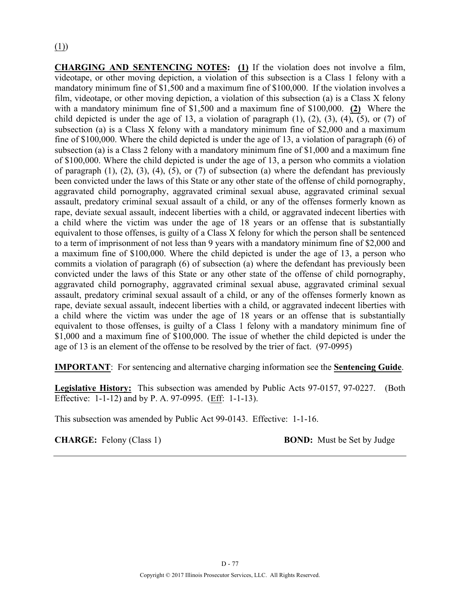**CHARGING AND SENTENCING NOTES: (1)** If the violation does not involve a film, videotape, or other moving depiction, a violation of this subsection is a Class 1 felony with a mandatory minimum fine of \$1,500 and a maximum fine of \$100,000. If the violation involves a film, videotape, or other moving depiction, a violation of this subsection (a) is a Class X felony with a mandatory minimum fine of \$1,500 and a maximum fine of \$100,000. **(2)** Where the child depicted is under the age of 13, a violation of paragraph  $(1)$ ,  $(2)$ ,  $(3)$ ,  $(4)$ ,  $(5)$ , or  $(7)$  of subsection (a) is a Class X felony with a mandatory minimum fine of \$2,000 and a maximum fine of \$100,000. Where the child depicted is under the age of 13, a violation of paragraph (6) of subsection (a) is a Class 2 felony with a mandatory minimum fine of \$1,000 and a maximum fine of \$100,000. Where the child depicted is under the age of 13, a person who commits a violation of paragraph  $(1)$ ,  $(2)$ ,  $(3)$ ,  $(4)$ ,  $(5)$ , or  $(7)$  of subsection  $(a)$  where the defendant has previously been convicted under the laws of this State or any other state of the offense of child pornography, aggravated child pornography, aggravated criminal sexual abuse, aggravated criminal sexual assault, predatory criminal sexual assault of a child, or any of the offenses formerly known as rape, deviate sexual assault, indecent liberties with a child, or aggravated indecent liberties with a child where the victim was under the age of 18 years or an offense that is substantially equivalent to those offenses, is guilty of a Class X felony for which the person shall be sentenced to a term of imprisonment of not less than 9 years with a mandatory minimum fine of \$2,000 and a maximum fine of \$100,000. Where the child depicted is under the age of 13, a person who commits a violation of paragraph (6) of subsection (a) where the defendant has previously been convicted under the laws of this State or any other state of the offense of child pornography, aggravated child pornography, aggravated criminal sexual abuse, aggravated criminal sexual assault, predatory criminal sexual assault of a child, or any of the offenses formerly known as rape, deviate sexual assault, indecent liberties with a child, or aggravated indecent liberties with a child where the victim was under the age of 18 years or an offense that is substantially equivalent to those offenses, is guilty of a Class 1 felony with a mandatory minimum fine of \$1,000 and a maximum fine of \$100,000. The issue of whether the child depicted is under the age of 13 is an element of the offense to be resolved by the trier of fact. (97-0995)

**IMPORTANT**: For sentencing and alternative charging information see the **Sentencing Guide**.

**Legislative History:** This subsection was amended by Public Acts 97-0157, 97-0227. (Both Effective: 1-1-12) and by P. A. 97-0995. (Eff: 1-1-13).

This subsection was amended by Public Act 99-0143. Effective: 1-1-16.

**CHARGE:** Felony (Class 1) **BOND:** Must be Set by Judge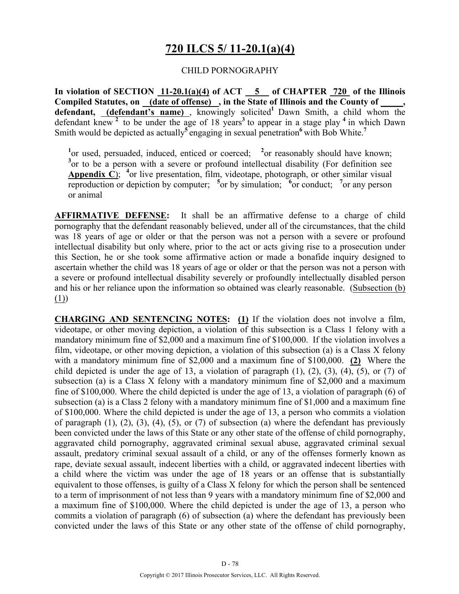## **720 ILCS 5/ 11-20.1(a)(4)**

#### CHILD PORNOGRAPHY

**In violation of SECTION 11-20.1(a)(4) of ACT 5 of CHAPTER 720 of the Illinois Compiled Statutes, on (date of offense) , in the State of Illinois and the County of \_\_\_\_\_, defendant, (defendant's name)** , knowingly solicited**<sup>1</sup>**Dawn Smith, a child whom the defendant knew **<sup>2</sup>**to be under the age of 18 years**<sup>3</sup>**to appear in a stage play **<sup>4</sup>**in which Dawn Smith would be depicted as actually<sup>5</sup>engaging in sexual penetration<sup>6</sup> with Bob White.<sup>7</sup>

<sup>1</sup> or used, persuaded, induced, enticed or coerced; <sup>2</sup> or reasonably should have known; <sup>3</sup> or to be a person with a severe or profound intellectual disability (For definition see **Appendix C**); <sup>4</sup> or live presentation, film, videotape, photograph, or other similar visual reproduction or depiction by computer;  $\frac{5}{6}$  or by simulation;  $\frac{6}{6}$  or conduct;  $\frac{7}{6}$  or any person or animal

**AFFIRMATIVE DEFENSE:** It shall be an affirmative defense to a charge of child pornography that the defendant reasonably believed, under all of the circumstances, that the child was 18 years of age or older or that the person was not a person with a severe or profound intellectual disability but only where, prior to the act or acts giving rise to a prosecution under this Section, he or she took some affirmative action or made a bonafide inquiry designed to ascertain whether the child was 18 years of age or older or that the person was not a person with a severe or profound intellectual disability severely or profoundly intellectually disabled person and his or her reliance upon the information so obtained was clearly reasonable. (Subsection (b) (1))

**CHARGING AND SENTENCING NOTES: (1)** If the violation does not involve a film, videotape, or other moving depiction, a violation of this subsection is a Class 1 felony with a mandatory minimum fine of \$2,000 and a maximum fine of \$100,000. If the violation involves a film, videotape, or other moving depiction, a violation of this subsection (a) is a Class X felony with a mandatory minimum fine of \$2,000 and a maximum fine of \$100,000. **(2)** Where the child depicted is under the age of 13, a violation of paragraph  $(1)$ ,  $(2)$ ,  $(3)$ ,  $(4)$ ,  $(5)$ , or  $(7)$  of subsection (a) is a Class X felony with a mandatory minimum fine of \$2,000 and a maximum fine of \$100,000. Where the child depicted is under the age of 13, a violation of paragraph (6) of subsection (a) is a Class 2 felony with a mandatory minimum fine of \$1,000 and a maximum fine of \$100,000. Where the child depicted is under the age of 13, a person who commits a violation of paragraph  $(1)$ ,  $(2)$ ,  $(3)$ ,  $(4)$ ,  $(5)$ , or  $(7)$  of subsection  $(a)$  where the defendant has previously been convicted under the laws of this State or any other state of the offense of child pornography, aggravated child pornography, aggravated criminal sexual abuse, aggravated criminal sexual assault, predatory criminal sexual assault of a child, or any of the offenses formerly known as rape, deviate sexual assault, indecent liberties with a child, or aggravated indecent liberties with a child where the victim was under the age of 18 years or an offense that is substantially equivalent to those offenses, is guilty of a Class X felony for which the person shall be sentenced to a term of imprisonment of not less than 9 years with a mandatory minimum fine of \$2,000 and a maximum fine of \$100,000. Where the child depicted is under the age of 13, a person who commits a violation of paragraph (6) of subsection (a) where the defendant has previously been convicted under the laws of this State or any other state of the offense of child pornography,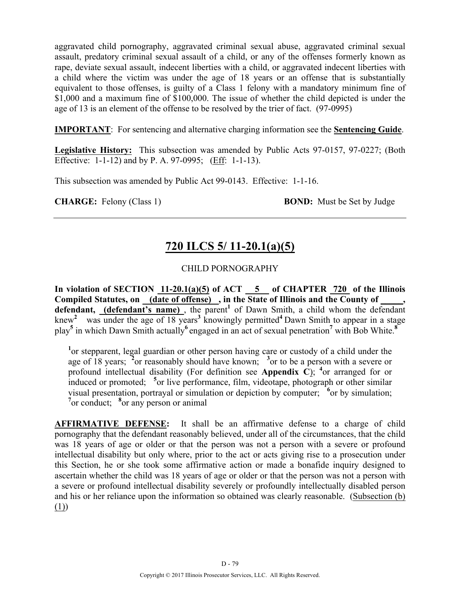aggravated child pornography, aggravated criminal sexual abuse, aggravated criminal sexual assault, predatory criminal sexual assault of a child, or any of the offenses formerly known as rape, deviate sexual assault, indecent liberties with a child, or aggravated indecent liberties with a child where the victim was under the age of 18 years or an offense that is substantially equivalent to those offenses, is guilty of a Class 1 felony with a mandatory minimum fine of \$1,000 and a maximum fine of \$100,000. The issue of whether the child depicted is under the age of 13 is an element of the offense to be resolved by the trier of fact. (97-0995)

**IMPORTANT**: For sentencing and alternative charging information see the **Sentencing Guide**.

**Legislative History:** This subsection was amended by Public Acts 97-0157, 97-0227; (Both Effective: 1-1-12) and by P. A. 97-0995; (Eff: 1-1-13).

This subsection was amended by Public Act 99-0143. Effective: 1-1-16.

**CHARGE:** Felony (Class 1) **BOND:** Must be Set by Judge

## **720 ILCS 5/ 11-20.1(a)(5)**

#### CHILD PORNOGRAPHY

In violation of SECTION  $11-20.1(a)(5)$  of ACT  $-5$  of CHAPTER  $720$  of the Illinois Compiled Statutes, on (date of offense), in the State of Illinois and the County of defendant, (defendant's name), the parent<sup>1</sup> of Dawn Smith, a child whom the defendant knew<sup>2</sup> was under the age of 18 years<sup>3</sup> knowingly permitted<sup>4</sup> Dawn Smith to appear in a stage play**<sup>5</sup>** in which Dawn Smith actually**<sup>6</sup>**engaged in an act of sexual penetration**<sup>7</sup>** with Bob White.**<sup>8</sup>**

<sup>1</sup> or stepparent, legal guardian or other person having care or custody of a child under the age of 18 years; **<sup>2</sup>** or reasonably should have known; **<sup>3</sup>** or to be a person with a severe or profound intellectual disability (For definition see Appendix  $\overrightarrow{C}$ ); <sup>4</sup> or arranged for or induced or promoted; <sup>5</sup> or live performance, film, videotape, photograph or other similar visual presentation, portrayal or simulation or depiction by computer; <sup>6</sup> or by simulation; <sup>7</sup> or conduct; <sup>8</sup> or any person or animal

**AFFIRMATIVE DEFENSE:** It shall be an affirmative defense to a charge of child pornography that the defendant reasonably believed, under all of the circumstances, that the child was 18 years of age or older or that the person was not a person with a severe or profound intellectual disability but only where, prior to the act or acts giving rise to a prosecution under this Section, he or she took some affirmative action or made a bonafide inquiry designed to ascertain whether the child was 18 years of age or older or that the person was not a person with a severe or profound intellectual disability severely or profoundly intellectually disabled person and his or her reliance upon the information so obtained was clearly reasonable. (Subsection (b) (1))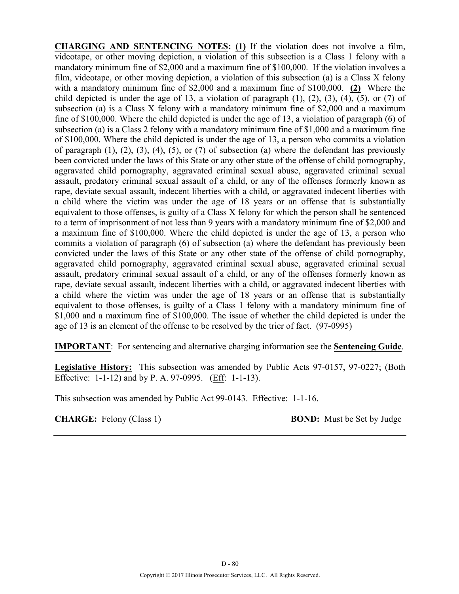**CHARGING AND SENTENCING NOTES: (1)** If the violation does not involve a film, videotape, or other moving depiction, a violation of this subsection is a Class 1 felony with a mandatory minimum fine of \$2,000 and a maximum fine of \$100,000. If the violation involves a film, videotape, or other moving depiction, a violation of this subsection (a) is a Class X felony with a mandatory minimum fine of \$2,000 and a maximum fine of \$100,000. **(2)** Where the child depicted is under the age of 13, a violation of paragraph  $(1)$ ,  $(2)$ ,  $(3)$ ,  $(4)$ ,  $(5)$ , or  $(7)$  of subsection (a) is a Class X felony with a mandatory minimum fine of \$2,000 and a maximum fine of \$100,000. Where the child depicted is under the age of 13, a violation of paragraph (6) of subsection (a) is a Class 2 felony with a mandatory minimum fine of \$1,000 and a maximum fine of \$100,000. Where the child depicted is under the age of 13, a person who commits a violation of paragraph  $(1)$ ,  $(2)$ ,  $(3)$ ,  $(4)$ ,  $(5)$ , or  $(7)$  of subsection  $(a)$  where the defendant has previously been convicted under the laws of this State or any other state of the offense of child pornography, aggravated child pornography, aggravated criminal sexual abuse, aggravated criminal sexual assault, predatory criminal sexual assault of a child, or any of the offenses formerly known as rape, deviate sexual assault, indecent liberties with a child, or aggravated indecent liberties with a child where the victim was under the age of 18 years or an offense that is substantially equivalent to those offenses, is guilty of a Class X felony for which the person shall be sentenced to a term of imprisonment of not less than 9 years with a mandatory minimum fine of \$2,000 and a maximum fine of \$100,000. Where the child depicted is under the age of 13, a person who commits a violation of paragraph (6) of subsection (a) where the defendant has previously been convicted under the laws of this State or any other state of the offense of child pornography, aggravated child pornography, aggravated criminal sexual abuse, aggravated criminal sexual assault, predatory criminal sexual assault of a child, or any of the offenses formerly known as rape, deviate sexual assault, indecent liberties with a child, or aggravated indecent liberties with a child where the victim was under the age of 18 years or an offense that is substantially equivalent to those offenses, is guilty of a Class 1 felony with a mandatory minimum fine of \$1,000 and a maximum fine of \$100,000. The issue of whether the child depicted is under the age of 13 is an element of the offense to be resolved by the trier of fact. (97-0995)

**IMPORTANT**: For sentencing and alternative charging information see the **Sentencing Guide**.

**Legislative History:** This subsection was amended by Public Acts 97-0157, 97-0227; (Both Effective: 1-1-12) and by P. A. 97-0995. (Eff: 1-1-13).

This subsection was amended by Public Act 99-0143. Effective: 1-1-16.

**CHARGE:** Felony (Class 1) **BOND:** Must be Set by Judge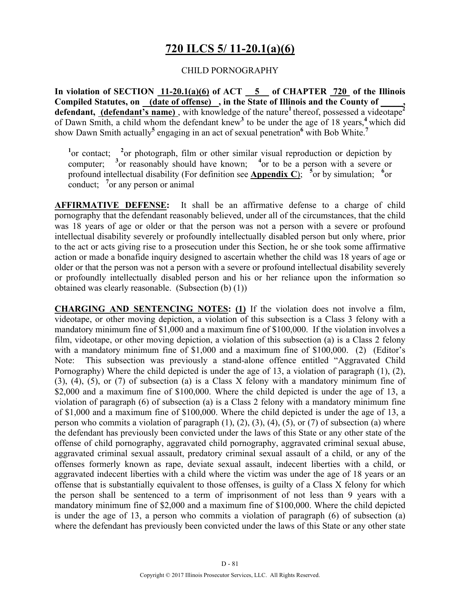## **720 ILCS 5/ 11-20.1(a)(6)**

#### CHILD PORNOGRAPHY

**In violation of SECTION 11-20.1(a)(6) of ACT 5 of CHAPTER 720 of the Illinois Compiled Statutes, on (date of offense) , in the State of Illinois and the County of \_\_\_\_\_, defendant, (defendant's name)**, with knowledge of the nature<sup>1</sup> thereof, possessed a videotape<sup>2</sup> of Dawn Smith, a child whom the defendant knew**<sup>3</sup>** to be under the age of 18 years,**<sup>4</sup>**which did show Dawn Smith actually**<sup>5</sup>** engaging in an act of sexual penetration**<sup>6</sup>** with Bob White.**<sup>7</sup>**

<sup>1</sup> or contact; <sup>2</sup> or photograph, film or other similar visual reproduction or depiction by computer; **<sup>3</sup>** <sup>3</sup> or reasonably should have known;  $^{4}$ or to be a person with a severe or profound intellectual disability (For definition see **Appendix C**);  $\frac{1}{2}$  or by simulation; <sup>6</sup> or conduct; <sup>7</sup> or any person or animal

**AFFIRMATIVE DEFENSE:** It shall be an affirmative defense to a charge of child pornography that the defendant reasonably believed, under all of the circumstances, that the child was 18 years of age or older or that the person was not a person with a severe or profound intellectual disability severely or profoundly intellectually disabled person but only where, prior to the act or acts giving rise to a prosecution under this Section, he or she took some affirmative action or made a bonafide inquiry designed to ascertain whether the child was 18 years of age or older or that the person was not a person with a severe or profound intellectual disability severely or profoundly intellectually disabled person and his or her reliance upon the information so obtained was clearly reasonable. (Subsection (b) (1))

**CHARGING AND SENTENCING NOTES: (1)** If the violation does not involve a film, videotape, or other moving depiction, a violation of this subsection is a Class 3 felony with a mandatory minimum fine of \$1,000 and a maximum fine of \$100,000. If the violation involves a film, videotape, or other moving depiction, a violation of this subsection (a) is a Class 2 felony with a mandatory minimum fine of \$1,000 and a maximum fine of \$100,000. (2) (Editor's Note: This subsection was previously a stand-alone offence entitled "Aggravated Child Pornography) Where the child depicted is under the age of 13, a violation of paragraph (1), (2), (3), (4), (5), or (7) of subsection (a) is a Class X felony with a mandatory minimum fine of \$2,000 and a maximum fine of \$100,000. Where the child depicted is under the age of 13, a violation of paragraph (6) of subsection (a) is a Class 2 felony with a mandatory minimum fine of \$1,000 and a maximum fine of \$100,000. Where the child depicted is under the age of 13, a person who commits a violation of paragraph  $(1)$ ,  $(2)$ ,  $(3)$ ,  $(4)$ ,  $(5)$ , or  $(7)$  of subsection (a) where the defendant has previously been convicted under the laws of this State or any other state of the offense of child pornography, aggravated child pornography, aggravated criminal sexual abuse, aggravated criminal sexual assault, predatory criminal sexual assault of a child, or any of the offenses formerly known as rape, deviate sexual assault, indecent liberties with a child, or aggravated indecent liberties with a child where the victim was under the age of 18 years or an offense that is substantially equivalent to those offenses, is guilty of a Class X felony for which the person shall be sentenced to a term of imprisonment of not less than 9 years with a mandatory minimum fine of \$2,000 and a maximum fine of \$100,000. Where the child depicted is under the age of 13, a person who commits a violation of paragraph (6) of subsection (a) where the defendant has previously been convicted under the laws of this State or any other state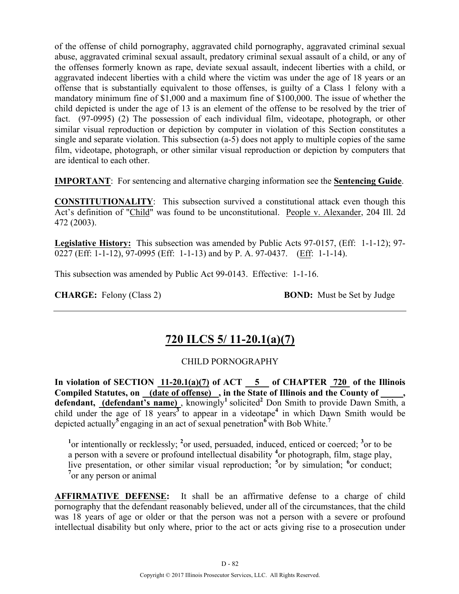of the offense of child pornography, aggravated child pornography, aggravated criminal sexual abuse, aggravated criminal sexual assault, predatory criminal sexual assault of a child, or any of the offenses formerly known as rape, deviate sexual assault, indecent liberties with a child, or aggravated indecent liberties with a child where the victim was under the age of 18 years or an offense that is substantially equivalent to those offenses, is guilty of a Class 1 felony with a mandatory minimum fine of \$1,000 and a maximum fine of \$100,000. The issue of whether the child depicted is under the age of 13 is an element of the offense to be resolved by the trier of fact. (97-0995) (2) The possession of each individual film, videotape, photograph, or other similar visual reproduction or depiction by computer in violation of this Section constitutes a single and separate violation. This subsection (a-5) does not apply to multiple copies of the same film, videotape, photograph, or other similar visual reproduction or depiction by computers that are identical to each other.

**IMPORTANT**: For sentencing and alternative charging information see the **Sentencing Guide**.

**CONSTITUTIONALITY**: This subsection survived a constitutional attack even though this Act's definition of "Child" was found to be unconstitutional. People v. Alexander, 204 Ill. 2d 472 (2003).

**Legislative History:** This subsection was amended by Public Acts 97-0157, (Eff: 1-1-12); 97- 0227 (Eff: 1-1-12),  $97-0995$  (Eff: 1-1-13) and by P. A. 97-0437. (Eff: 1-1-14).

This subsection was amended by Public Act 99-0143. Effective: 1-1-16.

**CHARGE:** Felony (Class 2) **BOND:** Must be Set by Judge

## **720 ILCS 5/ 11-20.1(a)(7)**

#### CHILD PORNOGRAPHY

In violation of SECTION  $11-20.1(a)(7)$  of ACT  $\overline{5}$  of CHAPTER  $\overline{720}$  of the Illinois Compiled Statutes, on **(date of offense)**, in the State of Illinois and the County of defendant, (defendant's name), knowingly<sup>1</sup> solicited<sup>2</sup> Don Smith to provide Dawn Smith, a child under the age of 18 years**<sup>3</sup>**to appear in a videotape**<sup>4</sup>** in which Dawn Smith would be depicted actually**<sup>5</sup>**engaging in an act of sexual penetration**<sup>6</sup>**with Bob White.**<sup>7</sup>**

<sup>1</sup><sup>or</sup> intentionally or recklessly; <sup>2</sup><sup>or</sup> used, persuaded, induced, enticed or coerced; <sup>3</sup><sup>or</sup> to be a person with a severe or profound intellectual disability **<sup>4</sup>** or photograph, film, stage play, live presentation, or other similar visual reproduction; <sup>5</sup> or by simulation; <sup>6</sup> or conduct; <sup>7</sup> or any person or animal

**AFFIRMATIVE DEFENSE:** It shall be an affirmative defense to a charge of child pornography that the defendant reasonably believed, under all of the circumstances, that the child was 18 years of age or older or that the person was not a person with a severe or profound intellectual disability but only where, prior to the act or acts giving rise to a prosecution under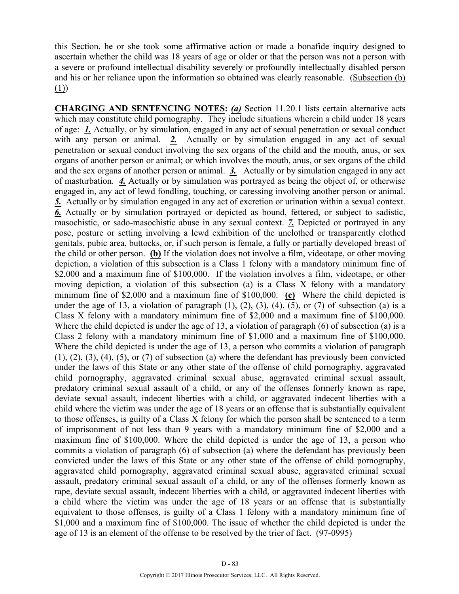this Section, he or she took some affirmative action or made a bonafide inquiry designed to ascertain whether the child was 18 years of age or older or that the person was not a person with a severe or profound intellectual disability severely or profoundly intellectually disabled person and his or her reliance upon the information so obtained was clearly reasonable. (Subsection (b) (1))

**CHARGING AND SENTENCING NOTES:** *(a)* Section 11.20.1 lists certain alternative acts which may constitute child pornography. They include situations wherein a child under 18 years of age: *1.* Actually, or by simulation, engaged in any act of sexual penetration or sexual conduct with any person or animal. **2.** Actually or by simulation engaged in any act of sexual penetration or sexual conduct involving the sex organs of the child and the mouth, anus, or sex organs of another person or animal; or which involves the mouth, anus, or sex organs of the child and the sex organs of another person or animal. *3.* Actually or by simulation engaged in any act of masturbation. *4.* Actually or by simulation was portrayed as being the object of, or otherwise engaged in, any act of lewd fondling, touching, or caressing involving another person or animal. *5.* Actually or by simulation engaged in any act of excretion or urination within a sexual context. *6.* Actually or by simulation portrayed or depicted as bound, fettered, or subject to sadistic, masochistic, or sado-masochistic abuse in any sexual context. *7.* Depicted or portrayed in any pose, posture or setting involving a lewd exhibition of the unclothed or transparently clothed genitals, pubic area, buttocks, or, if such person is female, a fully or partially developed breast of the child or other person. **(b)** If the violation does not involve a film, videotape, or other moving depiction, a violation of this subsection is a Class 1 felony with a mandatory minimum fine of \$2,000 and a maximum fine of \$100,000. If the violation involves a film, videotape, or other moving depiction, a violation of this subsection (a) is a Class X felony with a mandatory minimum fine of \$2,000 and a maximum fine of \$100,000. **(c)** Where the child depicted is under the age of 13, a violation of paragraph  $(1)$ ,  $(2)$ ,  $(3)$ ,  $(4)$ ,  $(5)$ , or  $(7)$  of subsection  $(a)$  is a Class X felony with a mandatory minimum fine of \$2,000 and a maximum fine of \$100,000. Where the child depicted is under the age of 13, a violation of paragraph (6) of subsection (a) is a Class 2 felony with a mandatory minimum fine of \$1,000 and a maximum fine of \$100,000. Where the child depicted is under the age of 13, a person who commits a violation of paragraph  $(1)$ ,  $(2)$ ,  $(3)$ ,  $(4)$ ,  $(5)$ , or  $(7)$  of subsection (a) where the defendant has previously been convicted under the laws of this State or any other state of the offense of child pornography, aggravated child pornography, aggravated criminal sexual abuse, aggravated criminal sexual assault, predatory criminal sexual assault of a child, or any of the offenses formerly known as rape, deviate sexual assault, indecent liberties with a child, or aggravated indecent liberties with a child where the victim was under the age of 18 years or an offense that is substantially equivalent to those offenses, is guilty of a Class X felony for which the person shall be sentenced to a term of imprisonment of not less than 9 years with a mandatory minimum fine of \$2,000 and a maximum fine of \$100,000. Where the child depicted is under the age of 13, a person who commits a violation of paragraph (6) of subsection (a) where the defendant has previously been convicted under the laws of this State or any other state of the offense of child pornography, aggravated child pornography, aggravated criminal sexual abuse, aggravated criminal sexual assault, predatory criminal sexual assault of a child, or any of the offenses formerly known as rape, deviate sexual assault, indecent liberties with a child, or aggravated indecent liberties with a child where the victim was under the age of 18 years or an offense that is substantially equivalent to those offenses, is guilty of a Class 1 felony with a mandatory minimum fine of \$1,000 and a maximum fine of \$100,000. The issue of whether the child depicted is under the age of 13 is an element of the offense to be resolved by the trier of fact. (97-0995)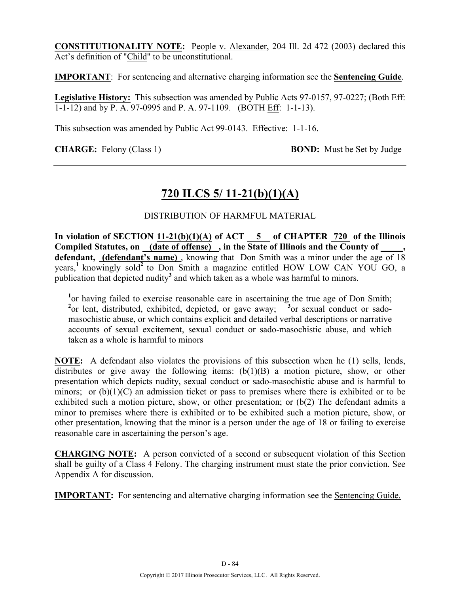**CONSTITUTIONALITY NOTE:** People v. Alexander, 204 Ill. 2d 472 (2003) declared this Act's definition of "Child" to be unconstitutional.

**IMPORTANT**: For sentencing and alternative charging information see the **Sentencing Guide**.

**Legislative History:** This subsection was amended by Public Acts 97-0157, 97-0227; (Both Eff: 1-1-12) and by P. A. 97-0995 and P. A. 97-1109. (BOTH Eff: 1-1-13).

This subsection was amended by Public Act 99-0143. Effective: 1-1-16.

**CHARGE:** Felony (Class 1) **BOND:** Must be Set by Judge

# **720 ILCS 5/ 11-21(b)(1)(A)**

## DISTRIBUTION OF HARMFUL MATERIAL

**In violation of SECTION 11-21(b)(1)(A) of ACT 5 of CHAPTER 720 of the Illinois Compiled Statutes, on (date of offense) , in the State of Illinois and the County of \_\_\_\_\_,**  defendant, (defendant's name), knowing that Don Smith was a minor under the age of 18 years,**<sup>1</sup>**knowingly sold**<sup>2</sup>**to Don Smith a magazine entitled HOW LOW CAN YOU GO, a publication that depicted nudity**<sup>3</sup>** and which taken as a whole was harmful to minors.

<sup>1</sup> or having failed to exercise reasonable care in ascertaining the true age of Don Smith; <sup>2</sup> or lent, distributed, exhibited, depicted, or gave away; <sup>3</sup> or sexual conduct or sadomasochistic abuse, or which contains explicit and detailed verbal descriptions or narrative accounts of sexual excitement, sexual conduct or sado-masochistic abuse, and which taken as a whole is harmful to minors

**NOTE:** A defendant also violates the provisions of this subsection when he (1) sells, lends, distributes or give away the following items:  $(b(1)(B)$  a motion picture, show, or other presentation which depicts nudity, sexual conduct or sado-masochistic abuse and is harmful to minors; or  $(b)(1)(C)$  an admission ticket or pass to premises where there is exhibited or to be exhibited such a motion picture, show, or other presentation; or (b(2) The defendant admits a minor to premises where there is exhibited or to be exhibited such a motion picture, show, or other presentation, knowing that the minor is a person under the age of 18 or failing to exercise reasonable care in ascertaining the person's age.

**CHARGING NOTE:** A person convicted of a second or subsequent violation of this Section shall be guilty of a Class 4 Felony. The charging instrument must state the prior conviction. See Appendix A for discussion.

**IMPORTANT:** For sentencing and alternative charging information see the Sentencing Guide.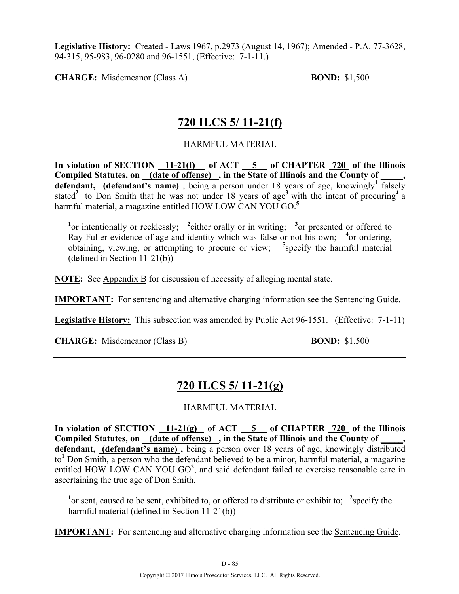**Legislative History:** Created - Laws 1967, p.2973 (August 14, 1967); Amended - P.A. 77-3628, 94-315, 95-983, 96-0280 and 96-1551, (Effective: 7-1-11.)

**CHARGE:** Misdemeanor (Class A) **BOND:** \$1,500

## **720 ILCS 5/ 11-21(f)**

HARMFUL MATERIAL

**In violation of SECTION 11-21(f) of ACT 5 of CHAPTER 720 of the Illinois Compiled Statutes, on (date of offense) , in the State of Illinois and the County of \_\_\_\_\_, defendant, (defendant's name)** , being a person under 18 years of age, knowingly**<sup>1</sup>** falsely stated<sup>2</sup> to Don Smith that he was not under 18 years of age<sup>3</sup> with the intent of procuring<sup>4</sup> a harmful material, a magazine entitled HOW LOW CAN YOU GO.**<sup>5</sup>**

<sup>1</sup><sup>or</sup> intentionally or recklessly; <sup>2</sup> either orally or in writing; <sup>3</sup> or presented or offered to Ray Fuller evidence of age and identity which was false or not his own; <sup>4</sup>or ordering, obtaining, viewing, or attempting to procure or view; **<sup>5</sup>** specify the harmful material (defined in Section 11-21(b))

**NOTE:** See Appendix B for discussion of necessity of alleging mental state.

**IMPORTANT:** For sentencing and alternative charging information see the Sentencing Guide.

**Legislative History:** This subsection was amended by Public Act 96-1551. (Effective: 7-1-11)

**CHARGE:** Misdemeanor (Class B) **BOND:** \$1,500

## **720 ILCS 5/ 11-21(g)**

#### HARMFUL MATERIAL

**In violation of SECTION 11-21(g) of ACT 5 of CHAPTER 720 of the Illinois Compiled Statutes, on (date of offense) , in the State of Illinois and the County of \_\_\_\_\_, defendant, (defendant's name) ,** being a person over 18 years of age, knowingly distributed to**<sup>1</sup>** Don Smith, a person who the defendant believed to be a minor, harmful material, a magazine entitled HOW LOW CAN YOU GO<sup>2</sup>, and said defendant failed to exercise reasonable care in ascertaining the true age of Don Smith.

<sup>1</sup> or sent, caused to be sent, exhibited to, or offered to distribute or exhibit to; <sup>2</sup> specify the harmful material (defined in Section 11-21(b))

**IMPORTANT:** For sentencing and alternative charging information see the Sentencing Guide.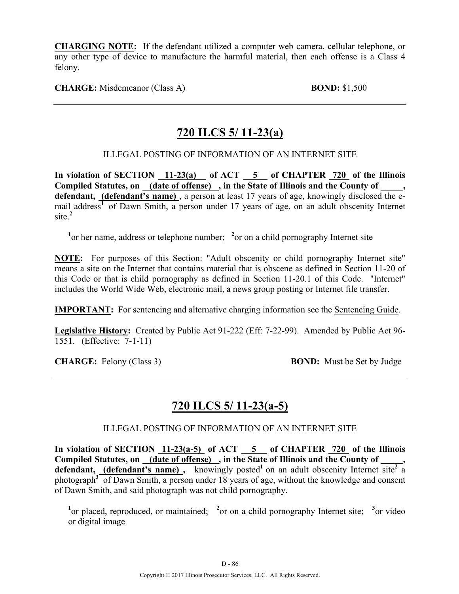**CHARGING NOTE:** If the defendant utilized a computer web camera, cellular telephone, or any other type of device to manufacture the harmful material, then each offense is a Class 4 felony.

**CHARGE:** Misdemeanor (Class A) **BOND:** \$1,500

# **720 ILCS 5/ 11-23(a)**

## ILLEGAL POSTING OF INFORMATION OF AN INTERNET SITE

**In violation of SECTION 11-23(a) of ACT 5 of CHAPTER 720 of the Illinois**  Compiled Statutes, on <u>(date of offense)</u>, in the State of Illinois and the County of defendant, *(defendant's name)*, a person at least 17 years of age, knowingly disclosed the email address<sup>1</sup> of Dawn Smith, a person under 17 years of age, on an adult obscenity Internet site.**<sup>2</sup>**

<sup>1</sup> or her name, address or telephone number; <sup>2</sup> or on a child pornography Internet site

**NOTE:** For purposes of this Section: "Adult obscenity or child pornography Internet site" means a site on the Internet that contains material that is obscene as defined in Section 11-20 of this Code or that is child pornography as defined in Section 11-20.1 of this Code. "Internet" includes the World Wide Web, electronic mail, a news group posting or Internet file transfer.

**IMPORTANT:** For sentencing and alternative charging information see the Sentencing Guide.

**Legislative History:** Created by Public Act 91-222 (Eff: 7-22-99). Amended by Public Act 96- 1551. (Effective: 7-1-11)

**CHARGE:** Felony (Class 3) **BOND:** Must be Set by Judge

## **720 ILCS 5/ 11-23(a-5)**

## ILLEGAL POSTING OF INFORMATION OF AN INTERNET SITE

In violation of SECTION 11-23(a-5) of ACT 5 of CHAPTER 720 of the Illinois Compiled Statutes, on (date of offense), in the State of Illinois and the County of defendant, **(defendant's name)**, knowingly posted<sup>1</sup> on an adult obscenity Internet site<sup>2</sup> a photograph**<sup>3</sup>** of Dawn Smith, a person under 18 years of age, without the knowledge and consent of Dawn Smith, and said photograph was not child pornography.

<sup>1</sup><sup>or</sup> placed, reproduced, or maintained; <sup>2</sup><sup>or</sup> on a child pornography Internet site; <sup>3</sup><sup>or</sup> video or digital image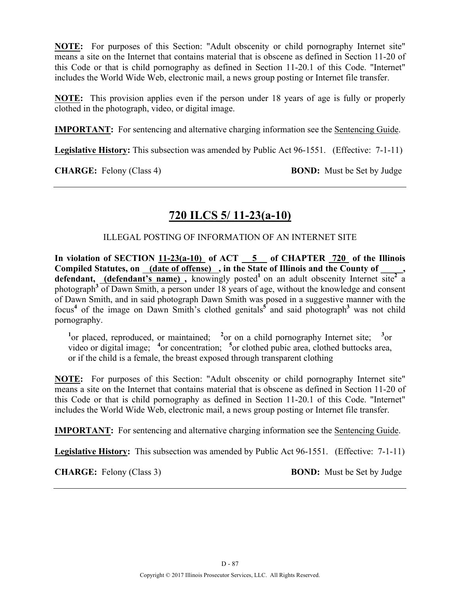**NOTE:** For purposes of this Section: "Adult obscenity or child pornography Internet site" means a site on the Internet that contains material that is obscene as defined in Section 11-20 of this Code or that is child pornography as defined in Section 11-20.1 of this Code. "Internet" includes the World Wide Web, electronic mail, a news group posting or Internet file transfer.

**NOTE:** This provision applies even if the person under 18 years of age is fully or properly clothed in the photograph, video, or digital image.

**IMPORTANT:** For sentencing and alternative charging information see the Sentencing Guide.

**Legislative History:** This subsection was amended by Public Act 96-1551. (Effective: 7-1-11)

**CHARGE:** Felony (Class 4) **BOND:** Must be Set by Judge

# **720 ILCS 5/ 11-23(a-10)**

ILLEGAL POSTING OF INFORMATION OF AN INTERNET SITE

**In violation of SECTION 11-23(a-10) of ACT 5 of CHAPTER 720 of the Illinois Compiled Statutes, on (date of offense) , in the State of Illinois and the County of \_\_\_\_\_,**  defendant, (defendant's name), knowingly posted<sup>1</sup> on an adult obscenity Internet site<sup>2</sup> a photograph**<sup>3</sup>** of Dawn Smith, a person under 18 years of age, without the knowledge and consent of Dawn Smith, and in said photograph Dawn Smith was posed in a suggestive manner with the focus<sup>4</sup> of the image on Dawn Smith's clothed genitals<sup>5</sup> and said photograph<sup>3</sup> was not child pornography.

<sup>1</sup><sup>or</sup> placed, reproduced, or maintained; <sup>2</sup><sup>or</sup> on a child pornography Internet site; <sup>3</sup><sup>or</sup> video or digital image; <sup>4</sup> or concentration; <sup>5</sup> or clothed pubic area, clothed buttocks area, or if the child is a female, the breast exposed through transparent clothing

**NOTE:** For purposes of this Section: "Adult obscenity or child pornography Internet site" means a site on the Internet that contains material that is obscene as defined in Section 11-20 of this Code or that is child pornography as defined in Section 11-20.1 of this Code. "Internet" includes the World Wide Web, electronic mail, a news group posting or Internet file transfer.

**IMPORTANT:** For sentencing and alternative charging information see the Sentencing Guide.

**Legislative History:** This subsection was amended by Public Act 96-1551. (Effective: 7-1-11)

**CHARGE:** Felony (Class 3) **BOND:** Must be Set by Judge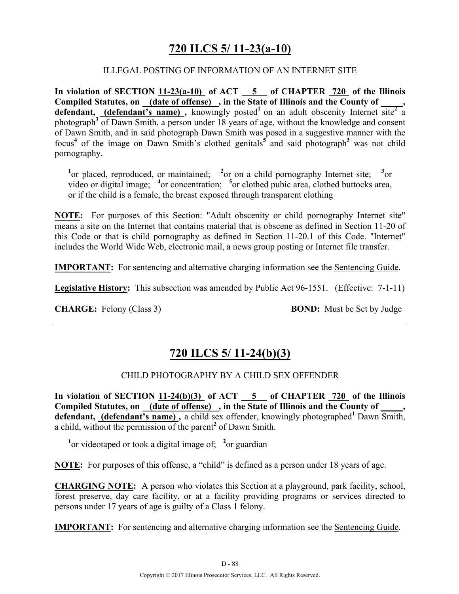## **720 ILCS 5/ 11-23(a-10)**

#### ILLEGAL POSTING OF INFORMATION OF AN INTERNET SITE

**In violation of SECTION 11-23(a-10) of ACT 5 of CHAPTER 720 of the Illinois**  Compiled Statutes, on (date of offense), in the State of Illinois and the County of defendant, **(defendant's name)**, knowingly posted<sup>1</sup> on an adult obscenity Internet site<sup>2</sup> a photograph**<sup>3</sup>** of Dawn Smith, a person under 18 years of age, without the knowledge and consent of Dawn Smith, and in said photograph Dawn Smith was posed in a suggestive manner with the focus<sup>4</sup> of the image on Dawn Smith's clothed genitals<sup>5</sup> and said photograph<sup>3</sup> was not child pornography.

<sup>1</sup><sup>or</sup> placed, reproduced, or maintained; <sup>2</sup><sup>or</sup> on a child pornography Internet site; <sup>3</sup><sup>or</sup> video or digital image; <sup>4</sup> or concentration; <sup>5</sup> or clothed pubic area, clothed buttocks area, or if the child is a female, the breast exposed through transparent clothing

**NOTE:** For purposes of this Section: "Adult obscenity or child pornography Internet site" means a site on the Internet that contains material that is obscene as defined in Section 11-20 of this Code or that is child pornography as defined in Section 11-20.1 of this Code. "Internet" includes the World Wide Web, electronic mail, a news group posting or Internet file transfer.

**IMPORTANT:** For sentencing and alternative charging information see the Sentencing Guide.

**Legislative History:** This subsection was amended by Public Act 96-1551. (Effective: 7-1-11)

**CHARGE:** Felony (Class 3) **BOND:** Must be Set by Judge

## **720 ILCS 5/ 11-24(b)(3)**

## CHILD PHOTOGRAPHY BY A CHILD SEX OFFENDER

**In violation of SECTION 11-24(b)(3) of ACT 5 of CHAPTER 720 of the Illinois**  Compiled Statutes, on (date of offense), in the State of Illinois and the County of defendant, (defendant's name), a child sex offender, knowingly photographed<sup>1</sup> Dawn Smith, a child, without the permission of the parent**<sup>2</sup>** of Dawn Smith.

<sup>1</sup> or videotaped or took a digital image of; <sup>2</sup> or guardian

**NOTE:** For purposes of this offense, a "child" is defined as a person under 18 years of age.

**CHARGING NOTE:** A person who violates this Section at a playground, park facility, school, forest preserve, day care facility, or at a facility providing programs or services directed to persons under 17 years of age is guilty of a Class 1 felony.

**IMPORTANT:** For sentencing and alternative charging information see the Sentencing Guide.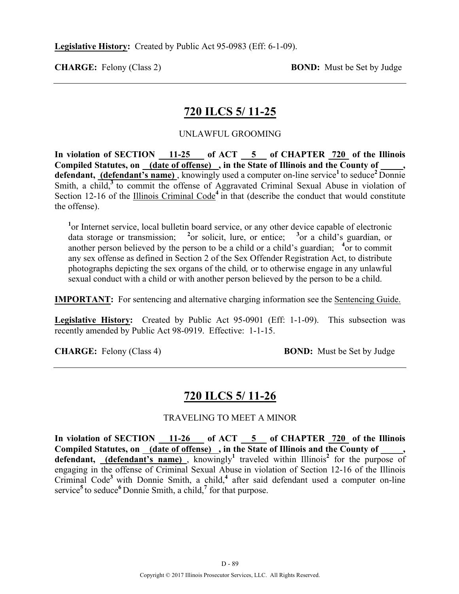## **720 ILCS 5/ 11-25**

### UNLAWFUL GROOMING

In violation of SECTION 11-25 of ACT 5 of CHAPTER 720 of the Illinois Compiled Statutes, on <u>(date of offense)</u>, in the State of Illinois and the County of **defendant, (defendant's name)**, knowingly used a computer on-line service<sup>1</sup> to seduce<sup>2</sup> Donnie Smith, a child,<sup>3</sup> to commit the offense of Aggravated Criminal Sexual Abuse in violation of Section 12-16 of the Illinois Criminal Code<sup>4</sup> in that (describe the conduct that would constitute the offense).

<sup>1</sup>or Internet service, local bulletin board service, or any other device capable of electronic data storage or transmission; **<sup>2</sup>** or solicit, lure, or entice; **<sup>3</sup>** or a child's guardian, or another person believed by the person to be a child or a child's guardian; <sup>4</sup> or to commit any sex offense as defined in Section 2 of the Sex Offender Registration Act, to distribute photographs depicting the sex organs of the child*,* or to otherwise engage in any unlawful sexual conduct with a child or with another person believed by the person to be a child.

**IMPORTANT:** For sentencing and alternative charging information see the Sentencing Guide.

**Legislative History:** Created by Public Act 95-0901 (Eff: 1-1-09). This subsection was recently amended by Public Act 98-0919. Effective: 1-1-15.

**CHARGE:** Felony (Class 4) **BOND:** Must be Set by Judge

## **720 ILCS 5/ 11-26**

#### TRAVELING TO MEET A MINOR

**In violation of SECTION 11-26 of ACT 5 of CHAPTER 720 of the Illinois**  Compiled Statutes, on (date of offense), in the State of Illinois and the County of \_\_\_\_\_, **defendant, (defendant's name)** , knowingly**<sup>1</sup>** traveled within Illinois**<sup>2</sup>** for the purpose of engaging in the offense of Criminal Sexual Abuse in violation of Section 12-16 of the Illinois Criminal Code**<sup>3</sup>**with Donnie Smith, a child,**<sup>4</sup>** after said defendant used a computer on-line service<sup>5</sup> to seduce<sup>6</sup> Donnie Smith, a child,<sup>7</sup> for that purpose.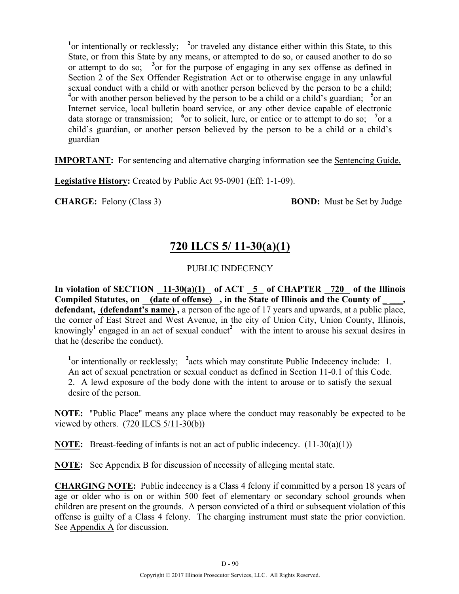<sup>1</sup><sup>or</sup> intentionally or recklessly; <sup>2</sup><sup>or</sup> traveled any distance either within this State, to this State, or from this State by any means, or attempted to do so, or caused another to do so or attempt to do so;  $3$  or for the purpose of engaging in any sex offense as defined in Section 2 of the Sex Offender Registration Act or to otherwise engage in any unlawful sexual conduct with a child or with another person believed by the person to be a child; <sup>4</sup> or with another person believed by the person to be a child or a child's guardian; <sup>5</sup> or an Internet service, local bulletin board service, or any other device capable of electronic data storage or transmission; <sup>6</sup> or to solicit, lure, or entice or to attempt to do so; <sup>7</sup> or a child's guardian, or another person believed by the person to be a child or a child's guardian

**IMPORTANT:** For sentencing and alternative charging information see the Sentencing Guide.

**Legislative History:** Created by Public Act 95-0901 (Eff: 1-1-09).

**CHARGE:** Felony (Class 3) **BOND:** Must be Set by Judge

# **720 ILCS 5/ 11-30(a)(1)**

## PUBLIC INDECENCY

In violation of SECTION 11-30(a)(1) of ACT 5 of CHAPTER 720 of the Illinois Compiled Statutes, on (date of offense), in the State of Illinois and the County of \_\_\_\_, **defendant, (defendant's name) ,** a person of the age of 17 years and upwards, at a public place, the corner of East Street and West Avenue, in the city of Union City, Union County, Illinois, knowingly<sup>1</sup> engaged in an act of sexual conduct<sup>2</sup> with the intent to arouse his sexual desires in that he (describe the conduct).

<sup>1</sup> or intentionally or recklessly; <sup>2</sup> acts which may constitute Public Indecency include: 1. An act of sexual penetration or sexual conduct as defined in Section 11-0.1 of this Code. 2. A lewd exposure of the body done with the intent to arouse or to satisfy the sexual desire of the person.

**NOTE:** "Public Place" means any place where the conduct may reasonably be expected to be viewed by others. (720 ILCS 5/11-30(b))

**NOTE:** Breast-feeding of infants is not an act of public indecency. (11-30(a)(1))

**NOTE:** See Appendix B for discussion of necessity of alleging mental state.

**CHARGING NOTE:** Public indecency is a Class 4 felony if committed by a person 18 years of age or older who is on or within 500 feet of elementary or secondary school grounds when children are present on the grounds. A person convicted of a third or subsequent violation of this offense is guilty of a Class 4 felony. The charging instrument must state the prior conviction. See Appendix A for discussion.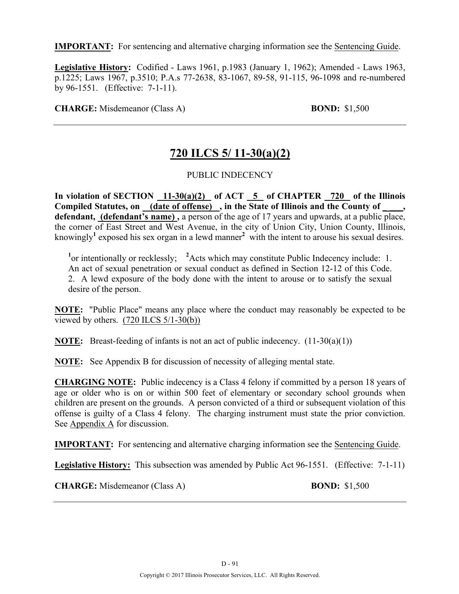**IMPORTANT:** For sentencing and alternative charging information see the Sentencing Guide.

**Legislative History:** Codified - Laws 1961, p.1983 (January 1, 1962); Amended - Laws 1963, p.1225; Laws 1967, p.3510; P.A.s 77-2638, 83-1067, 89-58, 91-115, 96-1098 and re-numbered by 96-1551. (Effective: 7-1-11).

**CHARGE:** Misdemeanor (Class A) **BOND:** \$1,500

# **720 ILCS 5/ 11-30(a)(2)**

## PUBLIC INDECENCY

In violation of SECTION 11-30(a)(2) of ACT 5 of CHAPTER 720 of the Illinois Compiled Statutes, on (date of offense), in the State of Illinois and the County of **defendant, (defendant's name) ,** a person of the age of 17 years and upwards, at a public place, the corner of East Street and West Avenue, in the city of Union City, Union County, Illinois, knowingly**<sup>1</sup>** exposed his sex organ in a lewd manner**<sup>2</sup>** with the intent to arouse his sexual desires.

<sup>1</sup> or intentionally or recklessly; <sup>2</sup> Acts which may constitute Public Indecency include: 1. An act of sexual penetration or sexual conduct as defined in Section 12-12 of this Code. 2. A lewd exposure of the body done with the intent to arouse or to satisfy the sexual desire of the person.

**NOTE:** "Public Place" means any place where the conduct may reasonably be expected to be viewed by others.  $(720$  ILCS  $5/1-30(b)$ )

**NOTE:** Breast-feeding of infants is not an act of public indecency. (11-30(a)(1))

**NOTE:** See Appendix B for discussion of necessity of alleging mental state.

**CHARGING NOTE:** Public indecency is a Class 4 felony if committed by a person 18 years of age or older who is on or within 500 feet of elementary or secondary school grounds when children are present on the grounds. A person convicted of a third or subsequent violation of this offense is guilty of a Class 4 felony. The charging instrument must state the prior conviction. See Appendix A for discussion.

**IMPORTANT:** For sentencing and alternative charging information see the Sentencing Guide.

**Legislative History:** This subsection was amended by Public Act 96-1551. (Effective: 7-1-11)

**CHARGE:** Misdemeanor (Class A) **BOND:** \$1,500